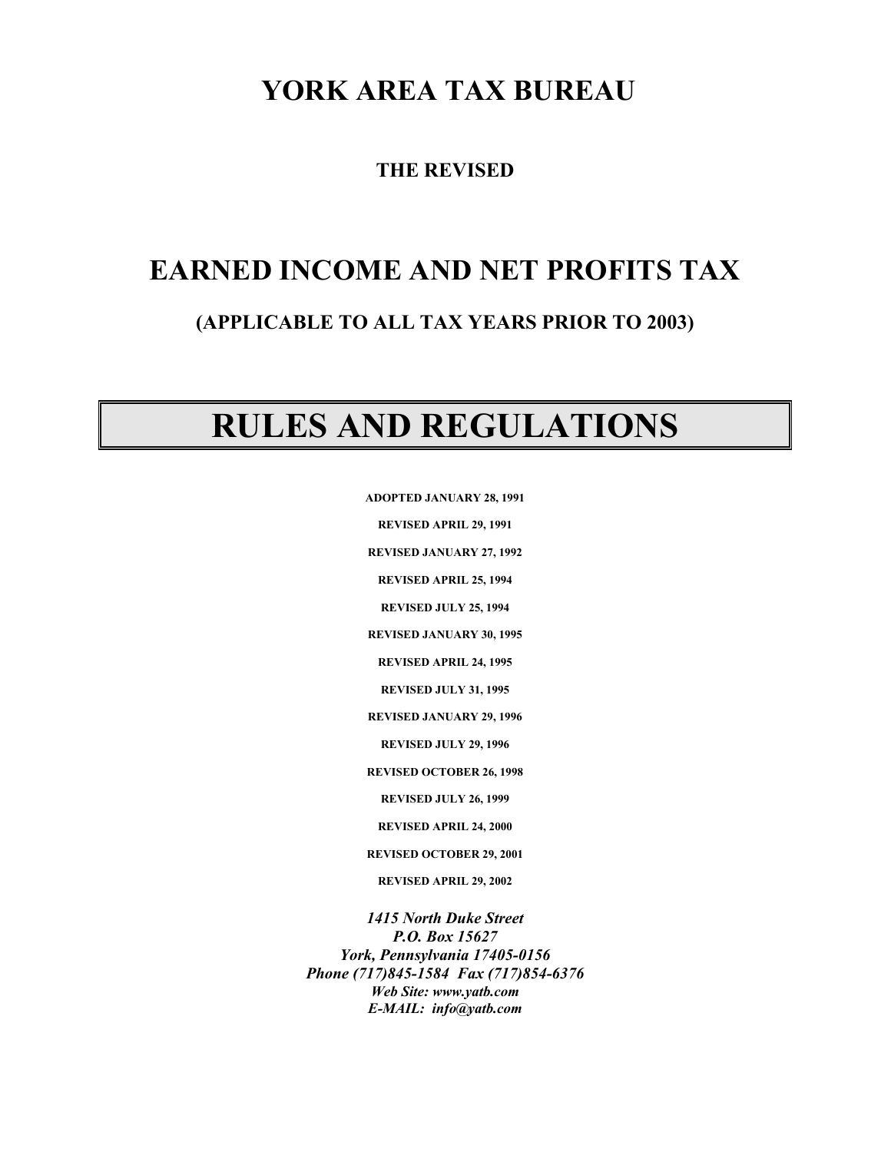# **YORK AREA TAX BUREAU**

**THE REVISED** 

# **EARNED INCOME AND NET PROFITS TAX**

# **(APPLICABLE TO ALL TAX YEARS PRIOR TO 2003)**

# **RULES AND REGULATIONS**

**ADOPTED JANUARY 28, 1991** 

**REVISED APRIL 29, 1991** 

**REVISED JANUARY 27, 1992** 

**REVISED APRIL 25, 1994** 

**REVISED JULY 25, 1994** 

**REVISED JANUARY 30, 1995** 

**REVISED APRIL 24, 1995** 

**REVISED JULY 31, 1995** 

**REVISED JANUARY 29, 1996** 

**REVISED JULY 29, 1996** 

**REVISED OCTOBER 26, 1998** 

**REVISED JULY 26, 1999** 

**REVISED APRIL 24, 2000** 

**REVISED OCTOBER 29, 2001** 

**REVISED APRIL 29, 2002** 

*1415 North Duke Street P.O. Box 15627 York, Pennsylvania 17405-0156 Phone (717)845-1584 Fax (717)854-6376 Web Site: www.yatb.com E-MAIL: info@yatb.com*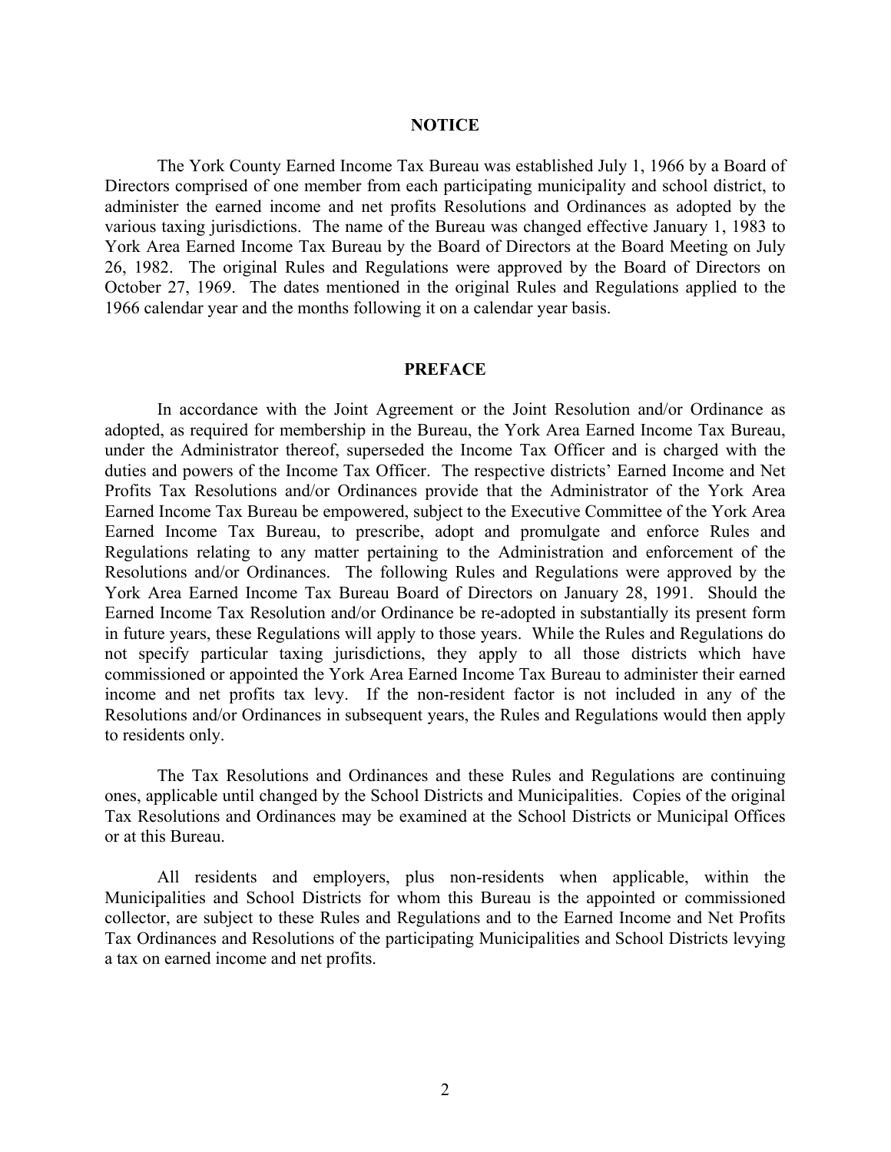#### **NOTICE**

 The York County Earned Income Tax Bureau was established July 1, 1966 by a Board of Directors comprised of one member from each participating municipality and school district, to administer the earned income and net profits Resolutions and Ordinances as adopted by the various taxing jurisdictions. The name of the Bureau was changed effective January 1, 1983 to York Area Earned Income Tax Bureau by the Board of Directors at the Board Meeting on July 26, 1982. The original Rules and Regulations were approved by the Board of Directors on October 27, 1969. The dates mentioned in the original Rules and Regulations applied to the 1966 calendar year and the months following it on a calendar year basis.

#### **PREFACE**

 In accordance with the Joint Agreement or the Joint Resolution and/or Ordinance as adopted, as required for membership in the Bureau, the York Area Earned Income Tax Bureau, under the Administrator thereof, superseded the Income Tax Officer and is charged with the duties and powers of the Income Tax Officer. The respective districts' Earned Income and Net Profits Tax Resolutions and/or Ordinances provide that the Administrator of the York Area Earned Income Tax Bureau be empowered, subject to the Executive Committee of the York Area Earned Income Tax Bureau, to prescribe, adopt and promulgate and enforce Rules and Regulations relating to any matter pertaining to the Administration and enforcement of the Resolutions and/or Ordinances. The following Rules and Regulations were approved by the York Area Earned Income Tax Bureau Board of Directors on January 28, 1991. Should the Earned Income Tax Resolution and/or Ordinance be re-adopted in substantially its present form in future years, these Regulations will apply to those years. While the Rules and Regulations do not specify particular taxing jurisdictions, they apply to all those districts which have commissioned or appointed the York Area Earned Income Tax Bureau to administer their earned income and net profits tax levy. If the non-resident factor is not included in any of the Resolutions and/or Ordinances in subsequent years, the Rules and Regulations would then apply to residents only.

 The Tax Resolutions and Ordinances and these Rules and Regulations are continuing ones, applicable until changed by the School Districts and Municipalities. Copies of the original Tax Resolutions and Ordinances may be examined at the School Districts or Municipal Offices or at this Bureau.

 All residents and employers, plus non-residents when applicable, within the Municipalities and School Districts for whom this Bureau is the appointed or commissioned collector, are subject to these Rules and Regulations and to the Earned Income and Net Profits Tax Ordinances and Resolutions of the participating Municipalities and School Districts levying a tax on earned income and net profits.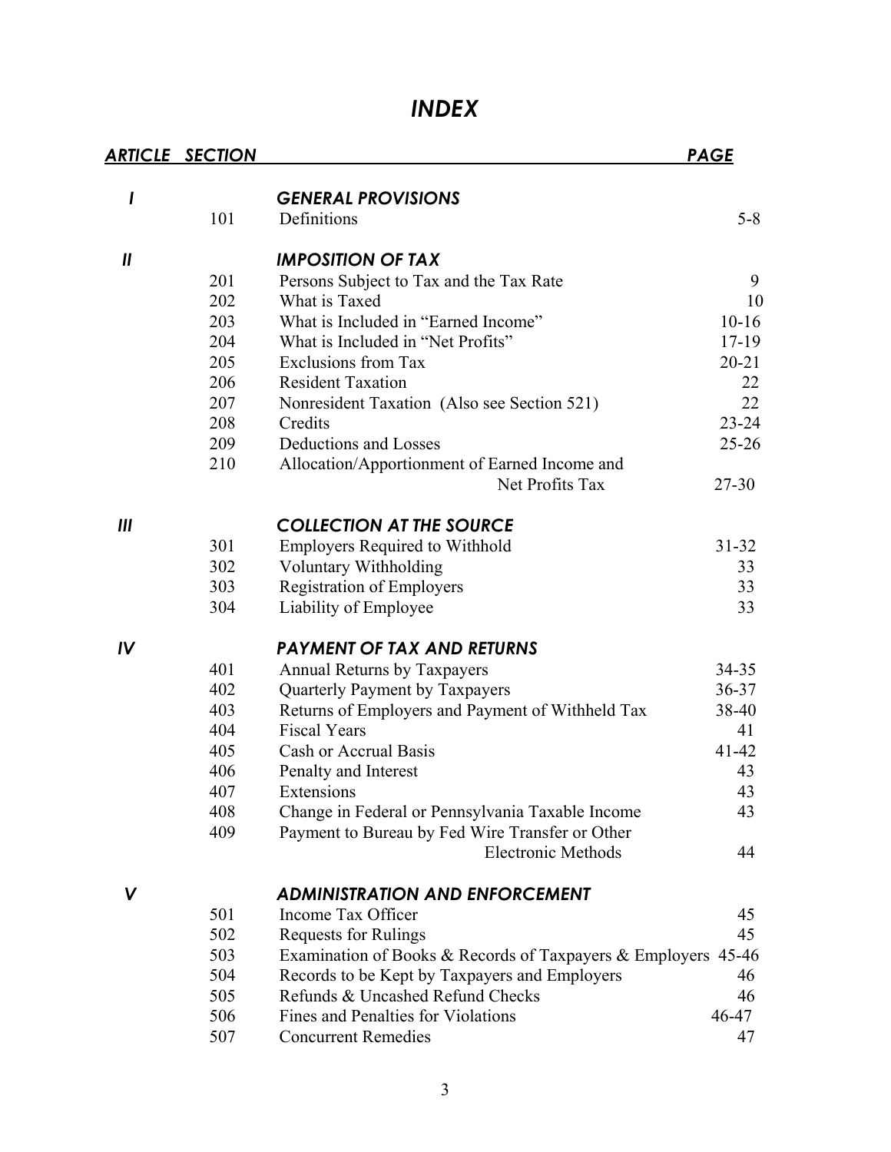# *INDEX*

|                            | <b>ARTICLE SECTION</b> |                                                               | <b>PAGE</b> |
|----------------------------|------------------------|---------------------------------------------------------------|-------------|
|                            |                        |                                                               |             |
| I                          | 101                    | <b>GENERAL PROVISIONS</b><br>Definitions                      | $5 - 8$     |
|                            |                        |                                                               |             |
| $\boldsymbol{\mathsf{II}}$ |                        | <b>IMPOSITION OF TAX</b>                                      |             |
|                            | 201                    | Persons Subject to Tax and the Tax Rate                       | 9           |
|                            | 202                    | What is Taxed                                                 | 10          |
|                            | 203                    | What is Included in "Earned Income"                           | $10 - 16$   |
|                            | 204                    | What is Included in "Net Profits"                             | 17-19       |
|                            | 205                    | <b>Exclusions from Tax</b>                                    | $20 - 21$   |
|                            | 206                    | <b>Resident Taxation</b>                                      | 22          |
|                            | 207                    | Nonresident Taxation (Also see Section 521)                   | 22          |
|                            | 208                    | Credits                                                       | $23 - 24$   |
|                            | 209                    | Deductions and Losses                                         | $25 - 26$   |
|                            | 210                    | Allocation/Apportionment of Earned Income and                 |             |
|                            |                        | Net Profits Tax                                               | $27 - 30$   |
| Ш                          |                        | <b>COLLECTION AT THE SOURCE</b>                               |             |
|                            | 301                    | <b>Employers Required to Withhold</b>                         | $31 - 32$   |
|                            | 302                    | Voluntary Withholding                                         | 33          |
|                            | 303                    | <b>Registration of Employers</b>                              | 33          |
|                            | 304                    | Liability of Employee                                         | 33          |
| IV                         |                        | <b>PAYMENT OF TAX AND RETURNS</b>                             |             |
|                            | 401                    | <b>Annual Returns by Taxpayers</b>                            | 34-35       |
|                            | 402                    | Quarterly Payment by Taxpayers                                | 36-37       |
|                            | 403                    | Returns of Employers and Payment of Withheld Tax              | 38-40       |
|                            | 404                    | <b>Fiscal Years</b>                                           | 41          |
|                            | 405                    | Cash or Accrual Basis                                         | $41 - 42$   |
|                            | 406                    | Penalty and Interest                                          | 43          |
|                            | 407                    | Extensions                                                    | 43          |
|                            | 408                    | Change in Federal or Pennsylvania Taxable Income              | 43          |
|                            | 409                    | Payment to Bureau by Fed Wire Transfer or Other               |             |
|                            |                        | <b>Electronic Methods</b>                                     | 44          |
| V                          |                        | <b>ADMINISTRATION AND ENFORCEMENT</b>                         |             |
|                            | 501                    | Income Tax Officer                                            | 45          |
|                            | 502                    | <b>Requests for Rulings</b>                                   | 45          |
|                            | 503                    | Examination of Books & Records of Taxpayers & Employers 45-46 |             |
|                            | 504                    | Records to be Kept by Taxpayers and Employers                 | 46          |
|                            | 505                    | Refunds & Uncashed Refund Checks                              | 46          |
|                            | 506                    | Fines and Penalties for Violations                            | 46-47       |
|                            | 507                    | <b>Concurrent Remedies</b>                                    | 47          |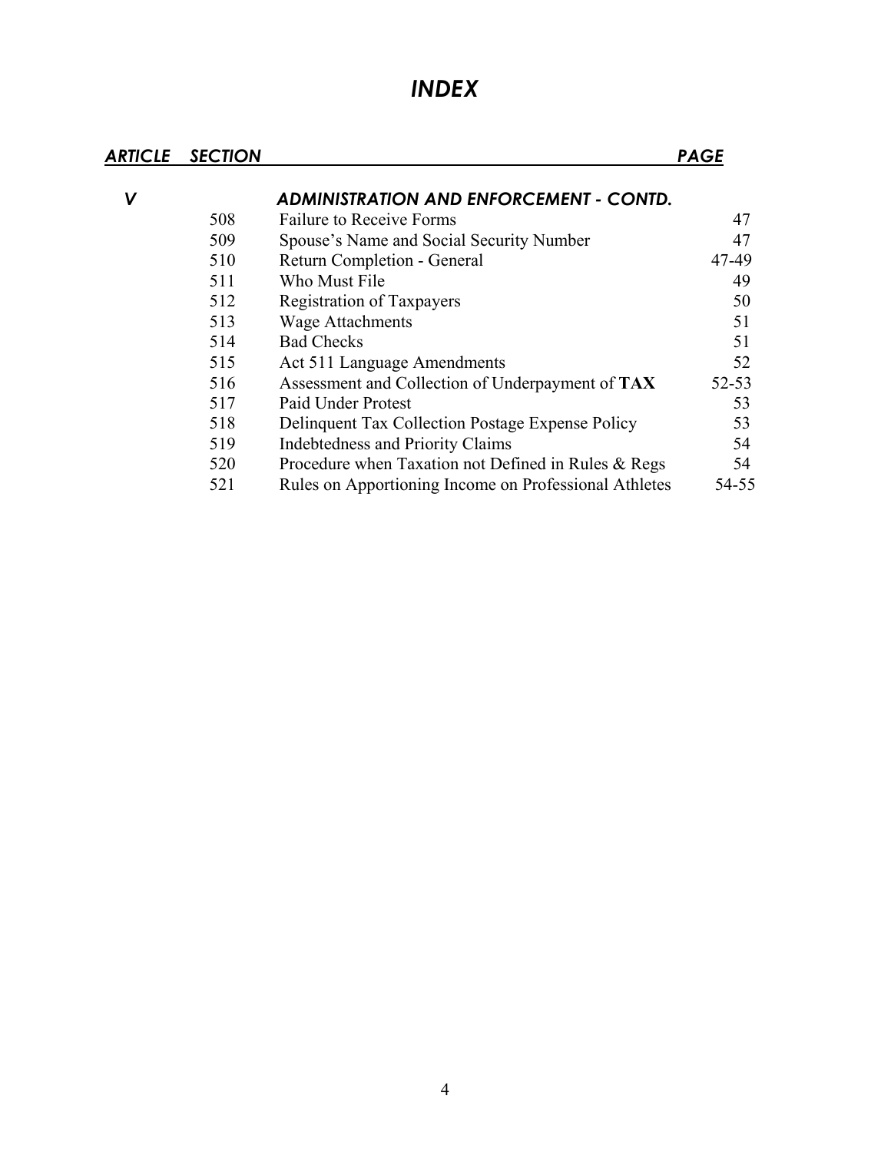# *INDEX*

| ARTICLE | <b>SECTION</b> |                                                       | <b>PAGE</b> |
|---------|----------------|-------------------------------------------------------|-------------|
| V       |                | <b>ADMINISTRATION AND ENFORCEMENT - CONTD.</b>        |             |
|         | 508            | <b>Failure to Receive Forms</b>                       | 47          |
|         | 509            | Spouse's Name and Social Security Number              | 47          |
|         | 510            | Return Completion - General                           | 47-49       |
|         | 511            | Who Must File                                         | 49          |
|         | 512            | <b>Registration of Taxpayers</b>                      | 50          |
|         | 513            | <b>Wage Attachments</b>                               | 51          |
|         | 514            | <b>Bad Checks</b>                                     | 51          |
|         | 515            | Act 511 Language Amendments                           | 52          |
|         | 516            | Assessment and Collection of Underpayment of TAX      | $52 - 53$   |
|         | 517            | <b>Paid Under Protest</b>                             | 53          |
|         | 518            | Delinquent Tax Collection Postage Expense Policy      | 53          |
|         | 519            | Indebtedness and Priority Claims                      | 54          |
|         | 520            | Procedure when Taxation not Defined in Rules & Regs   | 54          |
|         | 521            | Rules on Apportioning Income on Professional Athletes | 54-55       |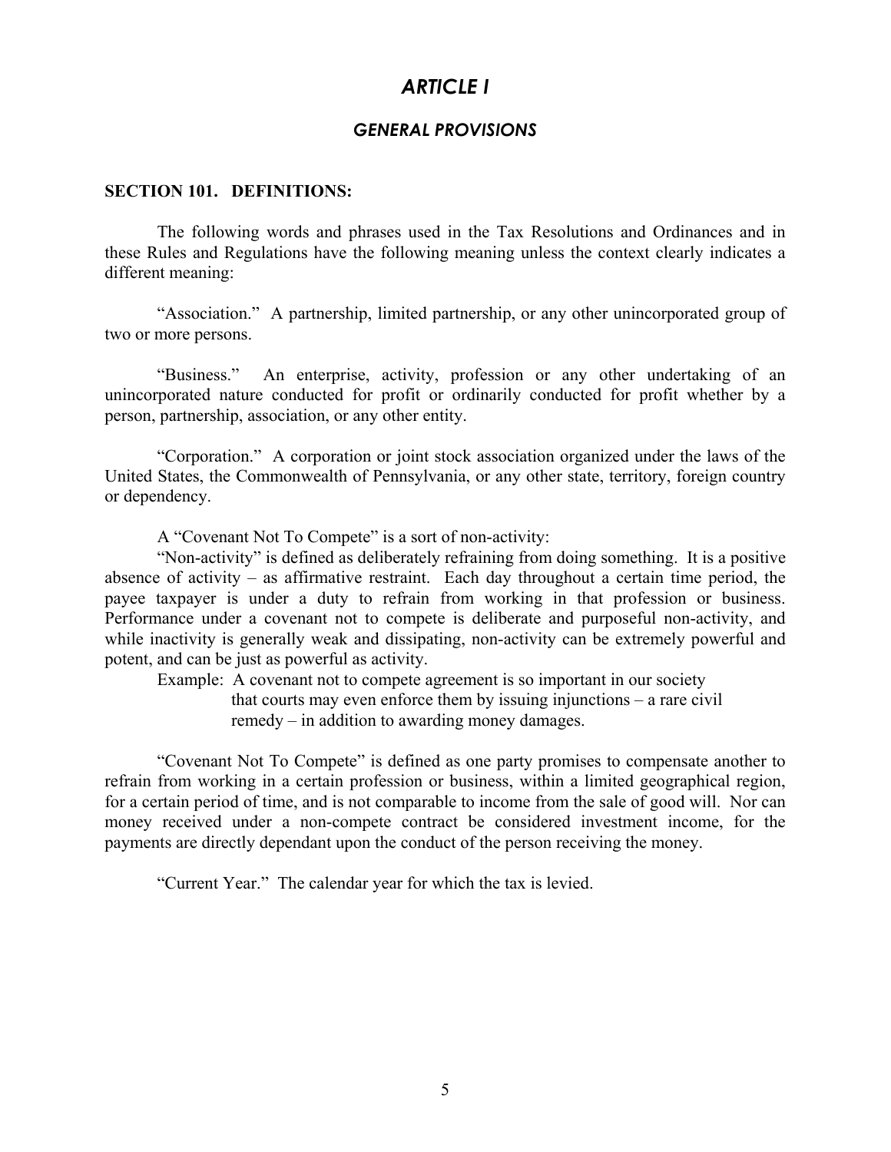## *ARTICLE I*

## *GENERAL PROVISIONS*

#### **SECTION 101. DEFINITIONS:**

 The following words and phrases used in the Tax Resolutions and Ordinances and in these Rules and Regulations have the following meaning unless the context clearly indicates a different meaning:

 "Association." A partnership, limited partnership, or any other unincorporated group of two or more persons.

 "Business." An enterprise, activity, profession or any other undertaking of an unincorporated nature conducted for profit or ordinarily conducted for profit whether by a person, partnership, association, or any other entity.

 "Corporation." A corporation or joint stock association organized under the laws of the United States, the Commonwealth of Pennsylvania, or any other state, territory, foreign country or dependency.

A "Covenant Not To Compete" is a sort of non-activity:

"Non-activity" is defined as deliberately refraining from doing something. It is a positive absence of activity – as affirmative restraint. Each day throughout a certain time period, the payee taxpayer is under a duty to refrain from working in that profession or business. Performance under a covenant not to compete is deliberate and purposeful non-activity, and while inactivity is generally weak and dissipating, non-activity can be extremely powerful and potent, and can be just as powerful as activity.

 Example: A covenant not to compete agreement is so important in our society that courts may even enforce them by issuing injunctions – a rare civil remedy – in addition to awarding money damages.

"Covenant Not To Compete" is defined as one party promises to compensate another to refrain from working in a certain profession or business, within a limited geographical region, for a certain period of time, and is not comparable to income from the sale of good will. Nor can money received under a non-compete contract be considered investment income, for the payments are directly dependant upon the conduct of the person receiving the money.

"Current Year." The calendar year for which the tax is levied.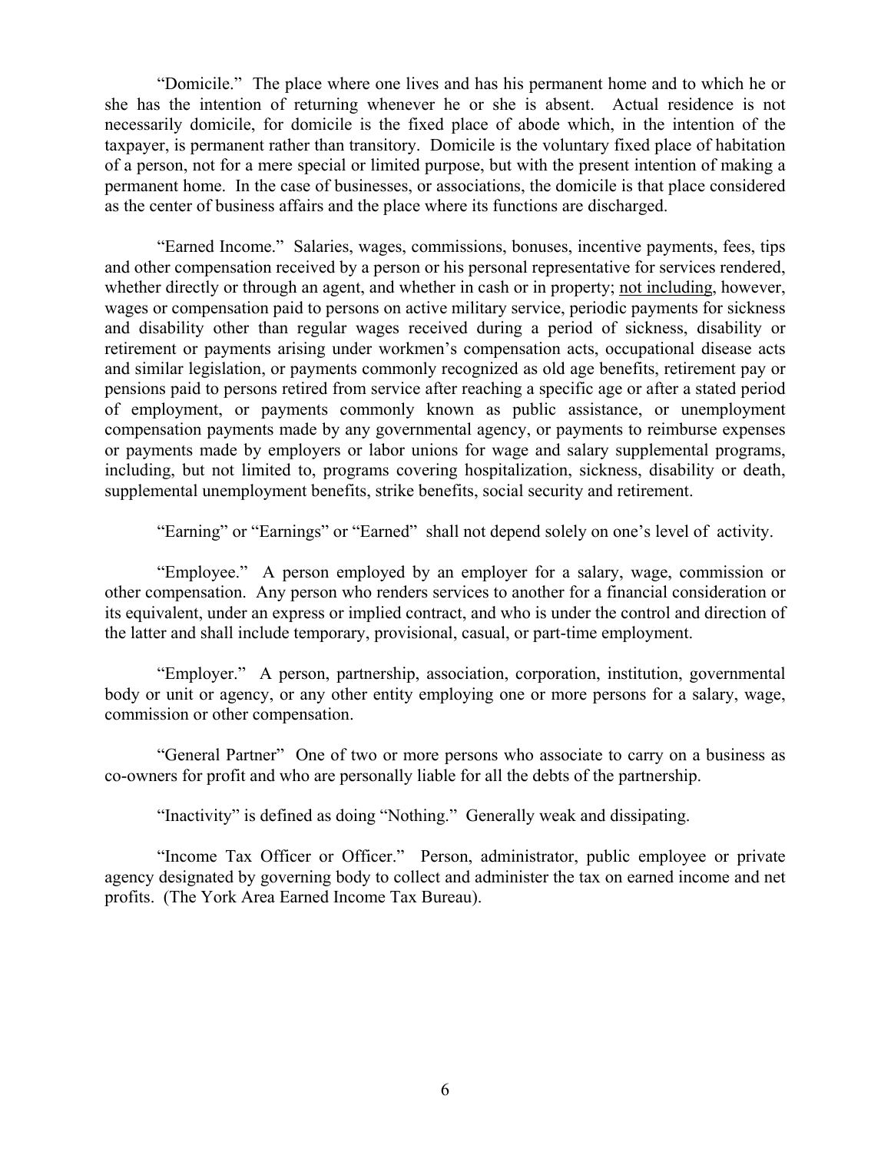"Domicile." The place where one lives and has his permanent home and to which he or she has the intention of returning whenever he or she is absent. Actual residence is not necessarily domicile, for domicile is the fixed place of abode which, in the intention of the taxpayer, is permanent rather than transitory. Domicile is the voluntary fixed place of habitation of a person, not for a mere special or limited purpose, but with the present intention of making a permanent home. In the case of businesses, or associations, the domicile is that place considered as the center of business affairs and the place where its functions are discharged.

 "Earned Income." Salaries, wages, commissions, bonuses, incentive payments, fees, tips and other compensation received by a person or his personal representative for services rendered, whether directly or through an agent, and whether in cash or in property; not including, however, wages or compensation paid to persons on active military service, periodic payments for sickness and disability other than regular wages received during a period of sickness, disability or retirement or payments arising under workmen's compensation acts, occupational disease acts and similar legislation, or payments commonly recognized as old age benefits, retirement pay or pensions paid to persons retired from service after reaching a specific age or after a stated period of employment, or payments commonly known as public assistance, or unemployment compensation payments made by any governmental agency, or payments to reimburse expenses or payments made by employers or labor unions for wage and salary supplemental programs, including, but not limited to, programs covering hospitalization, sickness, disability or death, supplemental unemployment benefits, strike benefits, social security and retirement.

"Earning" or "Earnings" or "Earned" shall not depend solely on one's level of activity.

"Employee." A person employed by an employer for a salary, wage, commission or other compensation. Any person who renders services to another for a financial consideration or its equivalent, under an express or implied contract, and who is under the control and direction of the latter and shall include temporary, provisional, casual, or part-time employment.

 "Employer." A person, partnership, association, corporation, institution, governmental body or unit or agency, or any other entity employing one or more persons for a salary, wage, commission or other compensation.

 "General Partner" One of two or more persons who associate to carry on a business as co-owners for profit and who are personally liable for all the debts of the partnership.

"Inactivity" is defined as doing "Nothing." Generally weak and dissipating.

 "Income Tax Officer or Officer." Person, administrator, public employee or private agency designated by governing body to collect and administer the tax on earned income and net profits. (The York Area Earned Income Tax Bureau).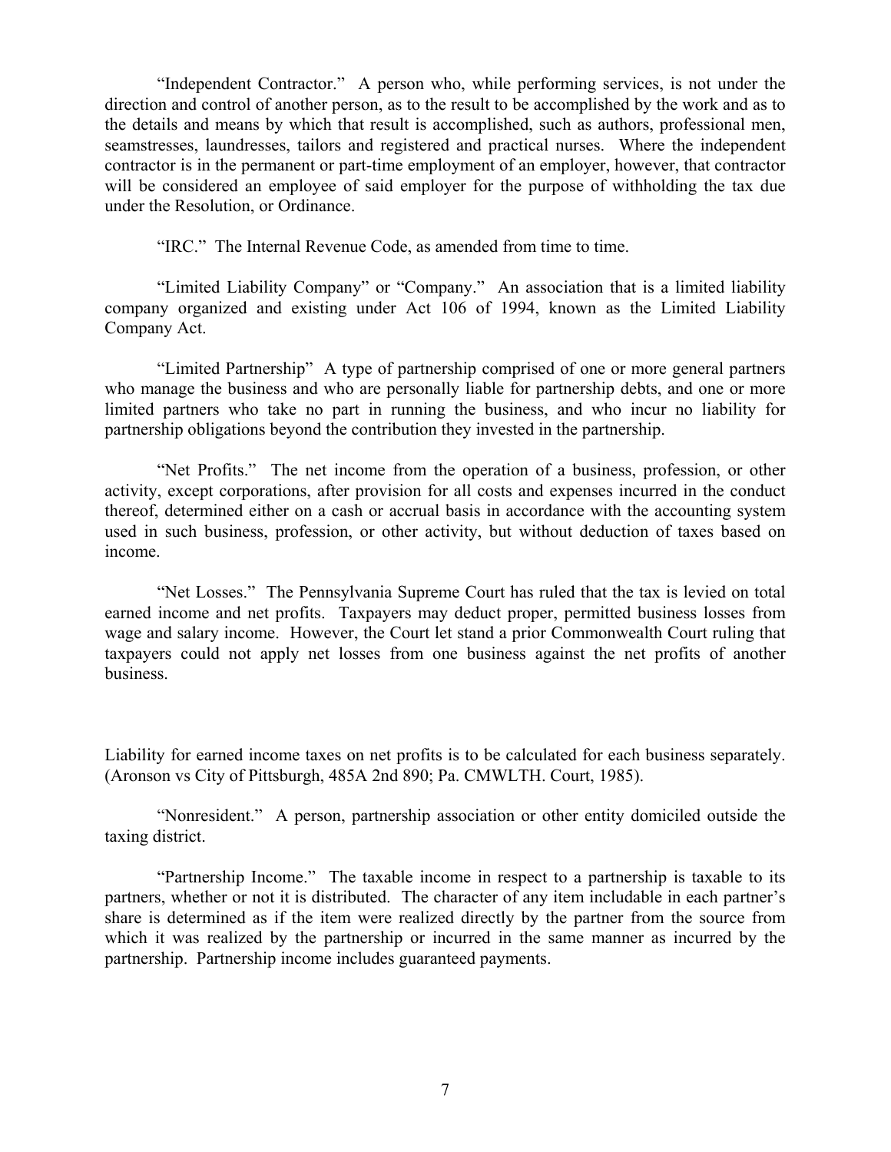"Independent Contractor." A person who, while performing services, is not under the direction and control of another person, as to the result to be accomplished by the work and as to the details and means by which that result is accomplished, such as authors, professional men, seamstresses, laundresses, tailors and registered and practical nurses. Where the independent contractor is in the permanent or part-time employment of an employer, however, that contractor will be considered an employee of said employer for the purpose of withholding the tax due under the Resolution, or Ordinance.

"IRC." The Internal Revenue Code, as amended from time to time.

 "Limited Liability Company" or "Company." An association that is a limited liability company organized and existing under Act 106 of 1994, known as the Limited Liability Company Act.

 "Limited Partnership" A type of partnership comprised of one or more general partners who manage the business and who are personally liable for partnership debts, and one or more limited partners who take no part in running the business, and who incur no liability for partnership obligations beyond the contribution they invested in the partnership.

 "Net Profits." The net income from the operation of a business, profession, or other activity, except corporations, after provision for all costs and expenses incurred in the conduct thereof, determined either on a cash or accrual basis in accordance with the accounting system used in such business, profession, or other activity, but without deduction of taxes based on income.

 "Net Losses." The Pennsylvania Supreme Court has ruled that the tax is levied on total earned income and net profits. Taxpayers may deduct proper, permitted business losses from wage and salary income. However, the Court let stand a prior Commonwealth Court ruling that taxpayers could not apply net losses from one business against the net profits of another business.

Liability for earned income taxes on net profits is to be calculated for each business separately. (Aronson vs City of Pittsburgh, 485A 2nd 890; Pa. CMWLTH. Court, 1985).

 "Nonresident." A person, partnership association or other entity domiciled outside the taxing district.

 "Partnership Income." The taxable income in respect to a partnership is taxable to its partners, whether or not it is distributed. The character of any item includable in each partner's share is determined as if the item were realized directly by the partner from the source from which it was realized by the partnership or incurred in the same manner as incurred by the partnership. Partnership income includes guaranteed payments.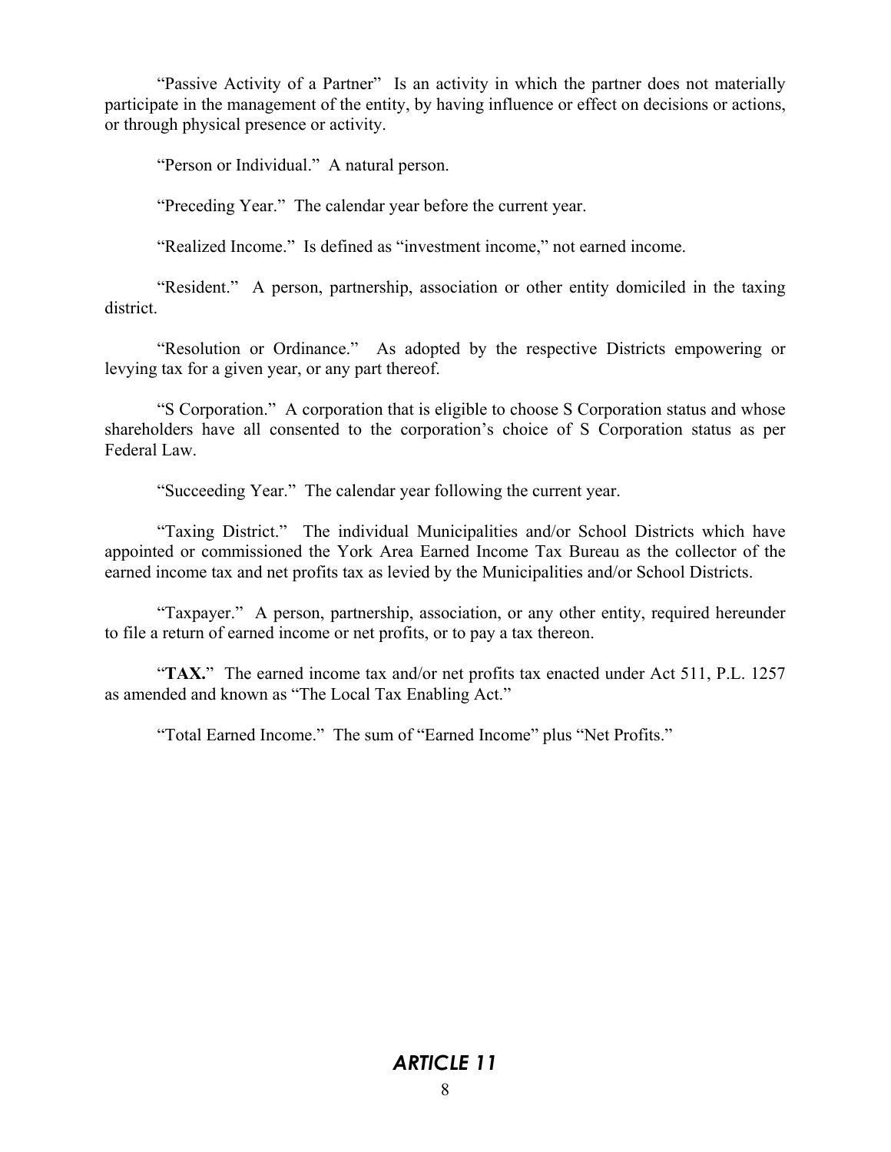"Passive Activity of a Partner" Is an activity in which the partner does not materially participate in the management of the entity, by having influence or effect on decisions or actions, or through physical presence or activity.

"Person or Individual." A natural person.

"Preceding Year." The calendar year before the current year.

"Realized Income." Is defined as "investment income," not earned income.

 "Resident." A person, partnership, association or other entity domiciled in the taxing district.

 "Resolution or Ordinance." As adopted by the respective Districts empowering or levying tax for a given year, or any part thereof.

 "S Corporation." A corporation that is eligible to choose S Corporation status and whose shareholders have all consented to the corporation's choice of S Corporation status as per Federal Law.

"Succeeding Year." The calendar year following the current year.

 "Taxing District." The individual Municipalities and/or School Districts which have appointed or commissioned the York Area Earned Income Tax Bureau as the collector of the earned income tax and net profits tax as levied by the Municipalities and/or School Districts.

 "Taxpayer." A person, partnership, association, or any other entity, required hereunder to file a return of earned income or net profits, or to pay a tax thereon.

 "**TAX.**" The earned income tax and/or net profits tax enacted under Act 511, P.L. 1257 as amended and known as "The Local Tax Enabling Act."

"Total Earned Income." The sum of "Earned Income" plus "Net Profits."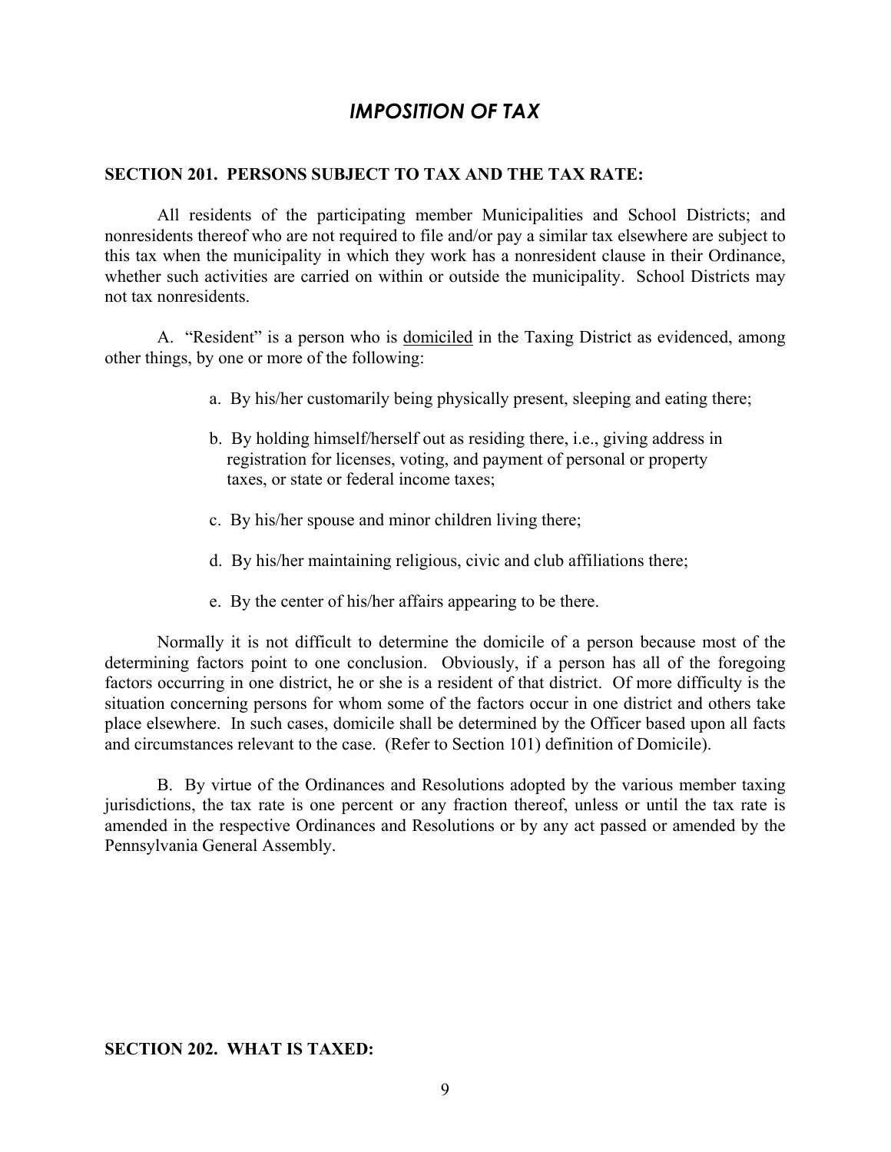## *IMPOSITION OF TAX*

#### **SECTION 201. PERSONS SUBJECT TO TAX AND THE TAX RATE:**

All residents of the participating member Municipalities and School Districts; and nonresidents thereof who are not required to file and/or pay a similar tax elsewhere are subject to this tax when the municipality in which they work has a nonresident clause in their Ordinance, whether such activities are carried on within or outside the municipality. School Districts may not tax nonresidents.

 A. "Resident" is a person who is domiciled in the Taxing District as evidenced, among other things, by one or more of the following:

- a. By his/her customarily being physically present, sleeping and eating there;
- b. By holding himself/herself out as residing there, i.e., giving address in registration for licenses, voting, and payment of personal or property taxes, or state or federal income taxes;
- c. By his/her spouse and minor children living there;
- d. By his/her maintaining religious, civic and club affiliations there;
- e. By the center of his/her affairs appearing to be there.

 Normally it is not difficult to determine the domicile of a person because most of the determining factors point to one conclusion. Obviously, if a person has all of the foregoing factors occurring in one district, he or she is a resident of that district. Of more difficulty is the situation concerning persons for whom some of the factors occur in one district and others take place elsewhere. In such cases, domicile shall be determined by the Officer based upon all facts and circumstances relevant to the case. (Refer to Section 101) definition of Domicile).

 B. By virtue of the Ordinances and Resolutions adopted by the various member taxing jurisdictions, the tax rate is one percent or any fraction thereof, unless or until the tax rate is amended in the respective Ordinances and Resolutions or by any act passed or amended by the Pennsylvania General Assembly.

#### **SECTION 202. WHAT IS TAXED:**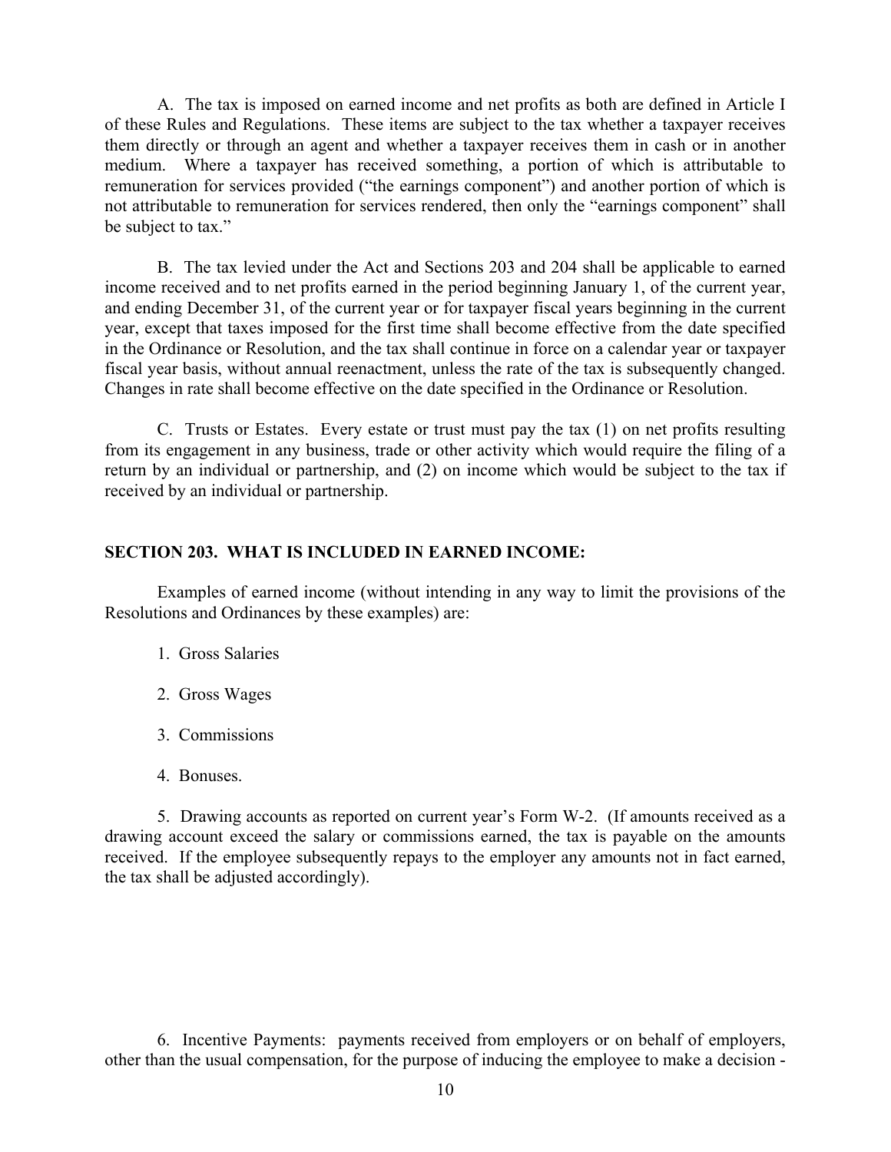A. The tax is imposed on earned income and net profits as both are defined in Article I of these Rules and Regulations. These items are subject to the tax whether a taxpayer receives them directly or through an agent and whether a taxpayer receives them in cash or in another medium. Where a taxpayer has received something, a portion of which is attributable to remuneration for services provided ("the earnings component") and another portion of which is not attributable to remuneration for services rendered, then only the "earnings component" shall be subject to tax."

 B. The tax levied under the Act and Sections 203 and 204 shall be applicable to earned income received and to net profits earned in the period beginning January 1, of the current year, and ending December 31, of the current year or for taxpayer fiscal years beginning in the current year, except that taxes imposed for the first time shall become effective from the date specified in the Ordinance or Resolution, and the tax shall continue in force on a calendar year or taxpayer fiscal year basis, without annual reenactment, unless the rate of the tax is subsequently changed. Changes in rate shall become effective on the date specified in the Ordinance or Resolution.

 C. Trusts or Estates. Every estate or trust must pay the tax (1) on net profits resulting from its engagement in any business, trade or other activity which would require the filing of a return by an individual or partnership, and (2) on income which would be subject to the tax if received by an individual or partnership.

## **SECTION 203. WHAT IS INCLUDED IN EARNED INCOME:**

 Examples of earned income (without intending in any way to limit the provisions of the Resolutions and Ordinances by these examples) are:

- 1. Gross Salaries
- 2. Gross Wages
- 3. Commissions
- 4. Bonuses.

 5. Drawing accounts as reported on current year's Form W-2. (If amounts received as a drawing account exceed the salary or commissions earned, the tax is payable on the amounts received. If the employee subsequently repays to the employer any amounts not in fact earned, the tax shall be adjusted accordingly).

 6. Incentive Payments: payments received from employers or on behalf of employers, other than the usual compensation, for the purpose of inducing the employee to make a decision -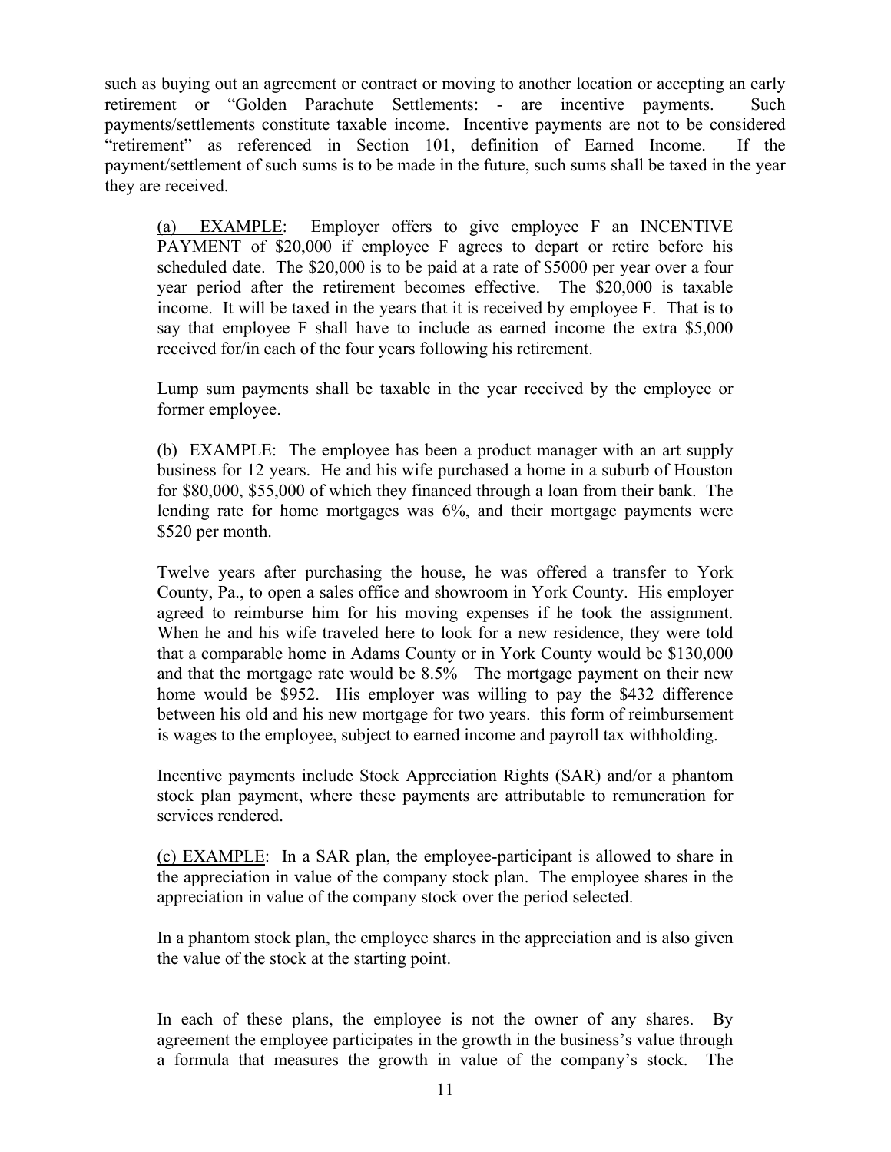such as buying out an agreement or contract or moving to another location or accepting an early retirement or "Golden Parachute Settlements: - are incentive payments. Such payments/settlements constitute taxable income. Incentive payments are not to be considered "retirement" as referenced in Section 101, definition of Earned Income. If the payment/settlement of such sums is to be made in the future, such sums shall be taxed in the year they are received.

(a) EXAMPLE: Employer offers to give employee F an INCENTIVE PAYMENT of \$20,000 if employee F agrees to depart or retire before his scheduled date. The \$20,000 is to be paid at a rate of \$5000 per year over a four year period after the retirement becomes effective. The \$20,000 is taxable income. It will be taxed in the years that it is received by employee F. That is to say that employee F shall have to include as earned income the extra \$5,000 received for/in each of the four years following his retirement.

Lump sum payments shall be taxable in the year received by the employee or former employee.

(b) EXAMPLE: The employee has been a product manager with an art supply business for 12 years. He and his wife purchased a home in a suburb of Houston for \$80,000, \$55,000 of which they financed through a loan from their bank. The lending rate for home mortgages was 6%, and their mortgage payments were \$520 per month.

Twelve years after purchasing the house, he was offered a transfer to York County, Pa., to open a sales office and showroom in York County. His employer agreed to reimburse him for his moving expenses if he took the assignment. When he and his wife traveled here to look for a new residence, they were told that a comparable home in Adams County or in York County would be \$130,000 and that the mortgage rate would be 8.5% The mortgage payment on their new home would be \$952. His employer was willing to pay the \$432 difference between his old and his new mortgage for two years. this form of reimbursement is wages to the employee, subject to earned income and payroll tax withholding.

Incentive payments include Stock Appreciation Rights (SAR) and/or a phantom stock plan payment, where these payments are attributable to remuneration for services rendered.

(c) EXAMPLE: In a SAR plan, the employee-participant is allowed to share in the appreciation in value of the company stock plan. The employee shares in the appreciation in value of the company stock over the period selected.

In a phantom stock plan, the employee shares in the appreciation and is also given the value of the stock at the starting point.

In each of these plans, the employee is not the owner of any shares. By agreement the employee participates in the growth in the business's value through a formula that measures the growth in value of the company's stock. The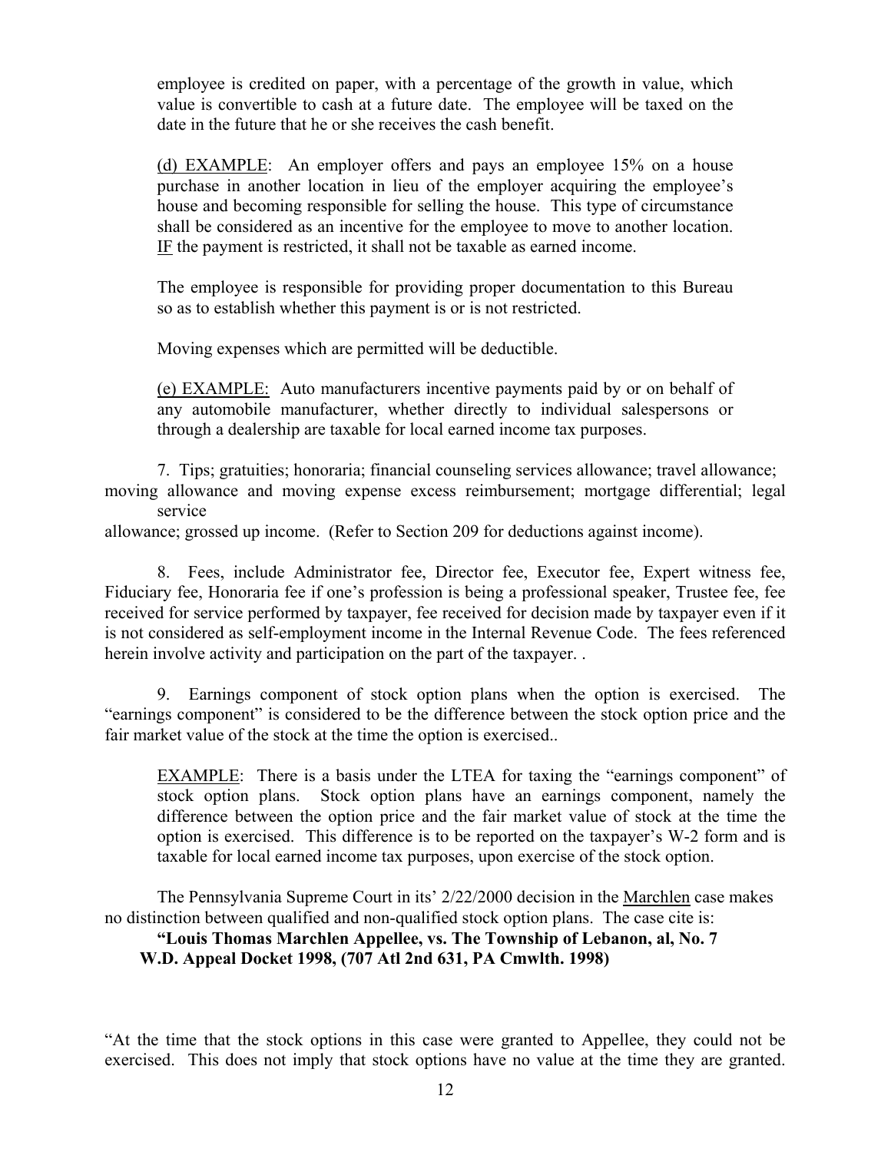employee is credited on paper, with a percentage of the growth in value, which value is convertible to cash at a future date. The employee will be taxed on the date in the future that he or she receives the cash benefit.

(d) EXAMPLE: An employer offers and pays an employee 15% on a house purchase in another location in lieu of the employer acquiring the employee's house and becoming responsible for selling the house. This type of circumstance shall be considered as an incentive for the employee to move to another location. IF the payment is restricted, it shall not be taxable as earned income.

The employee is responsible for providing proper documentation to this Bureau so as to establish whether this payment is or is not restricted.

Moving expenses which are permitted will be deductible.

(e) EXAMPLE: Auto manufacturers incentive payments paid by or on behalf of any automobile manufacturer, whether directly to individual salespersons or through a dealership are taxable for local earned income tax purposes.

 7. Tips; gratuities; honoraria; financial counseling services allowance; travel allowance; moving allowance and moving expense excess reimbursement; mortgage differential; legal service

allowance; grossed up income. (Refer to Section 209 for deductions against income).

 8. Fees, include Administrator fee, Director fee, Executor fee, Expert witness fee, Fiduciary fee, Honoraria fee if one's profession is being a professional speaker, Trustee fee, fee received for service performed by taxpayer, fee received for decision made by taxpayer even if it is not considered as self-employment income in the Internal Revenue Code. The fees referenced herein involve activity and participation on the part of the taxpayer. .

 9. Earnings component of stock option plans when the option is exercised. The "earnings component" is considered to be the difference between the stock option price and the fair market value of the stock at the time the option is exercised..

EXAMPLE: There is a basis under the LTEA for taxing the "earnings component" of stock option plans. Stock option plans have an earnings component, namely the difference between the option price and the fair market value of stock at the time the option is exercised. This difference is to be reported on the taxpayer's W-2 form and is taxable for local earned income tax purposes, upon exercise of the stock option.

 The Pennsylvania Supreme Court in its' 2/22/2000 decision in the Marchlen case makes no distinction between qualified and non-qualified stock option plans. The case cite is:

## **"Louis Thomas Marchlen Appellee, vs. The Township of Lebanon, al, No. 7 W.D. Appeal Docket 1998, (707 Atl 2nd 631, PA Cmwlth. 1998)**

"At the time that the stock options in this case were granted to Appellee, they could not be exercised. This does not imply that stock options have no value at the time they are granted.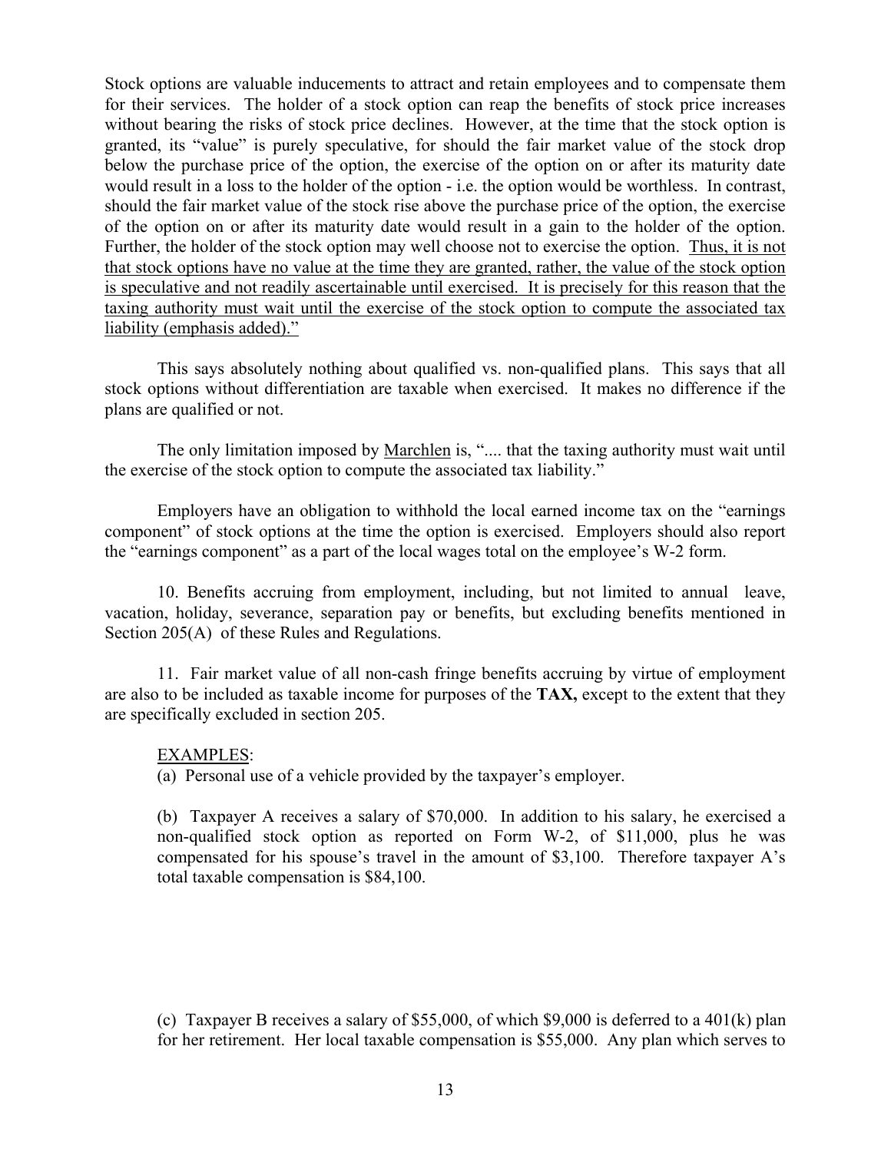Stock options are valuable inducements to attract and retain employees and to compensate them for their services. The holder of a stock option can reap the benefits of stock price increases without bearing the risks of stock price declines. However, at the time that the stock option is granted, its "value" is purely speculative, for should the fair market value of the stock drop below the purchase price of the option, the exercise of the option on or after its maturity date would result in a loss to the holder of the option - i.e. the option would be worthless. In contrast, should the fair market value of the stock rise above the purchase price of the option, the exercise of the option on or after its maturity date would result in a gain to the holder of the option. Further, the holder of the stock option may well choose not to exercise the option. Thus, it is not that stock options have no value at the time they are granted, rather, the value of the stock option is speculative and not readily ascertainable until exercised. It is precisely for this reason that the taxing authority must wait until the exercise of the stock option to compute the associated tax liability (emphasis added)."

 This says absolutely nothing about qualified vs. non-qualified plans. This says that all stock options without differentiation are taxable when exercised. It makes no difference if the plans are qualified or not.

The only limitation imposed by Marchlen is, ".... that the taxing authority must wait until the exercise of the stock option to compute the associated tax liability."

 Employers have an obligation to withhold the local earned income tax on the "earnings component" of stock options at the time the option is exercised. Employers should also report the "earnings component" as a part of the local wages total on the employee's W-2 form.

 10. Benefits accruing from employment, including, but not limited to annual leave, vacation, holiday, severance, separation pay or benefits, but excluding benefits mentioned in Section 205(A) of these Rules and Regulations.

 11. Fair market value of all non-cash fringe benefits accruing by virtue of employment are also to be included as taxable income for purposes of the **TAX,** except to the extent that they are specifically excluded in section 205.

## EXAMPLES:

(a) Personal use of a vehicle provided by the taxpayer's employer.

 (b) Taxpayer A receives a salary of \$70,000. In addition to his salary, he exercised a non-qualified stock option as reported on Form W-2, of \$11,000, plus he was compensated for his spouse's travel in the amount of \$3,100. Therefore taxpayer A's total taxable compensation is \$84,100.

(c) Taxpayer B receives a salary of \$55,000, of which \$9,000 is deferred to a  $401(k)$  plan for her retirement. Her local taxable compensation is \$55,000. Any plan which serves to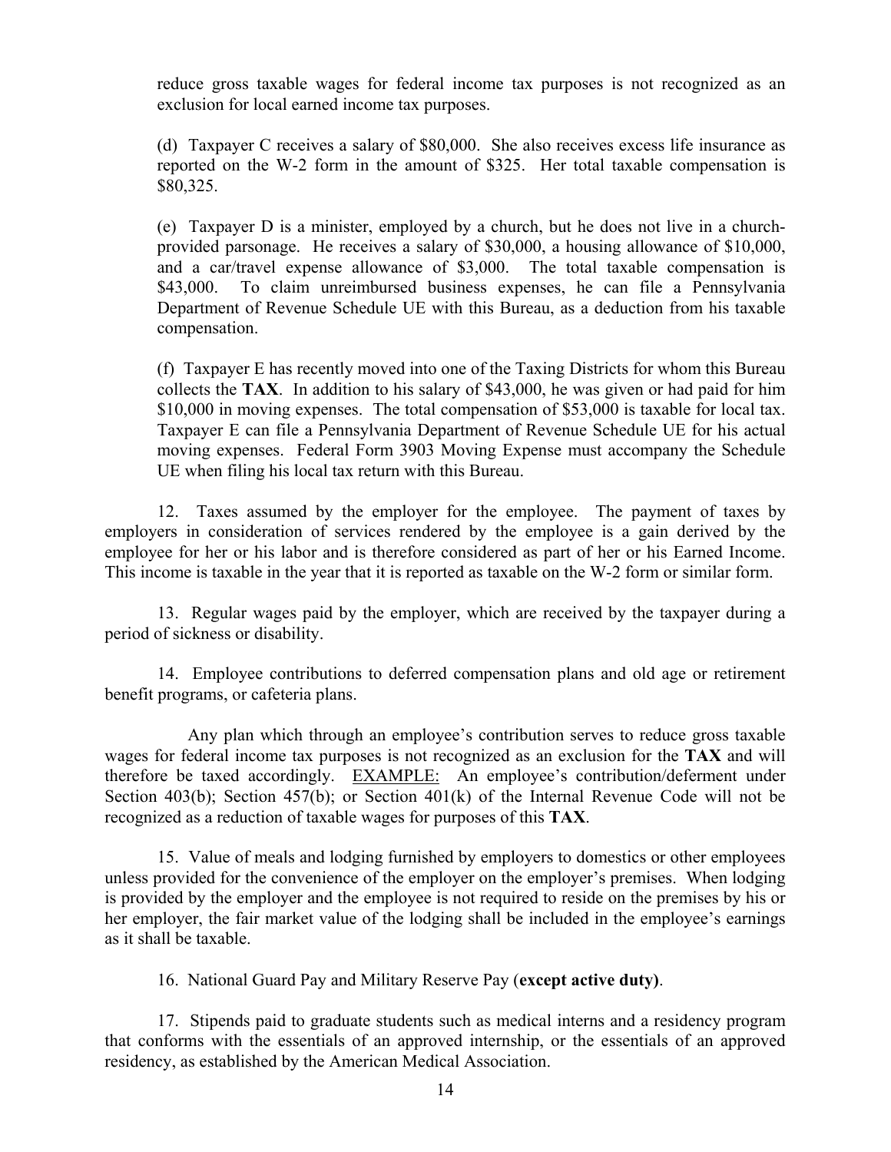reduce gross taxable wages for federal income tax purposes is not recognized as an exclusion for local earned income tax purposes.

 (d) Taxpayer C receives a salary of \$80,000. She also receives excess life insurance as reported on the W-2 form in the amount of \$325. Her total taxable compensation is \$80,325.

 (e) Taxpayer D is a minister, employed by a church, but he does not live in a churchprovided parsonage. He receives a salary of \$30,000, a housing allowance of \$10,000, and a car/travel expense allowance of \$3,000. The total taxable compensation is \$43,000. To claim unreimbursed business expenses, he can file a Pennsylvania Department of Revenue Schedule UE with this Bureau, as a deduction from his taxable compensation.

 (f) Taxpayer E has recently moved into one of the Taxing Districts for whom this Bureau collects the **TAX**. In addition to his salary of \$43,000, he was given or had paid for him \$10,000 in moving expenses. The total compensation of \$53,000 is taxable for local tax. Taxpayer E can file a Pennsylvania Department of Revenue Schedule UE for his actual moving expenses. Federal Form 3903 Moving Expense must accompany the Schedule UE when filing his local tax return with this Bureau.

 12. Taxes assumed by the employer for the employee. The payment of taxes by employers in consideration of services rendered by the employee is a gain derived by the employee for her or his labor and is therefore considered as part of her or his Earned Income. This income is taxable in the year that it is reported as taxable on the W-2 form or similar form.

 13. Regular wages paid by the employer, which are received by the taxpayer during a period of sickness or disability.

 14. Employee contributions to deferred compensation plans and old age or retirement benefit programs, or cafeteria plans.

 Any plan which through an employee's contribution serves to reduce gross taxable wages for federal income tax purposes is not recognized as an exclusion for the **TAX** and will therefore be taxed accordingly. EXAMPLE: An employee's contribution/deferment under Section 403(b); Section 457(b); or Section 401(k) of the Internal Revenue Code will not be recognized as a reduction of taxable wages for purposes of this **TAX**.

 15. Value of meals and lodging furnished by employers to domestics or other employees unless provided for the convenience of the employer on the employer's premises. When lodging is provided by the employer and the employee is not required to reside on the premises by his or her employer, the fair market value of the lodging shall be included in the employee's earnings as it shall be taxable.

16. National Guard Pay and Military Reserve Pay (**except active duty)**.

 17. Stipends paid to graduate students such as medical interns and a residency program that conforms with the essentials of an approved internship, or the essentials of an approved residency, as established by the American Medical Association.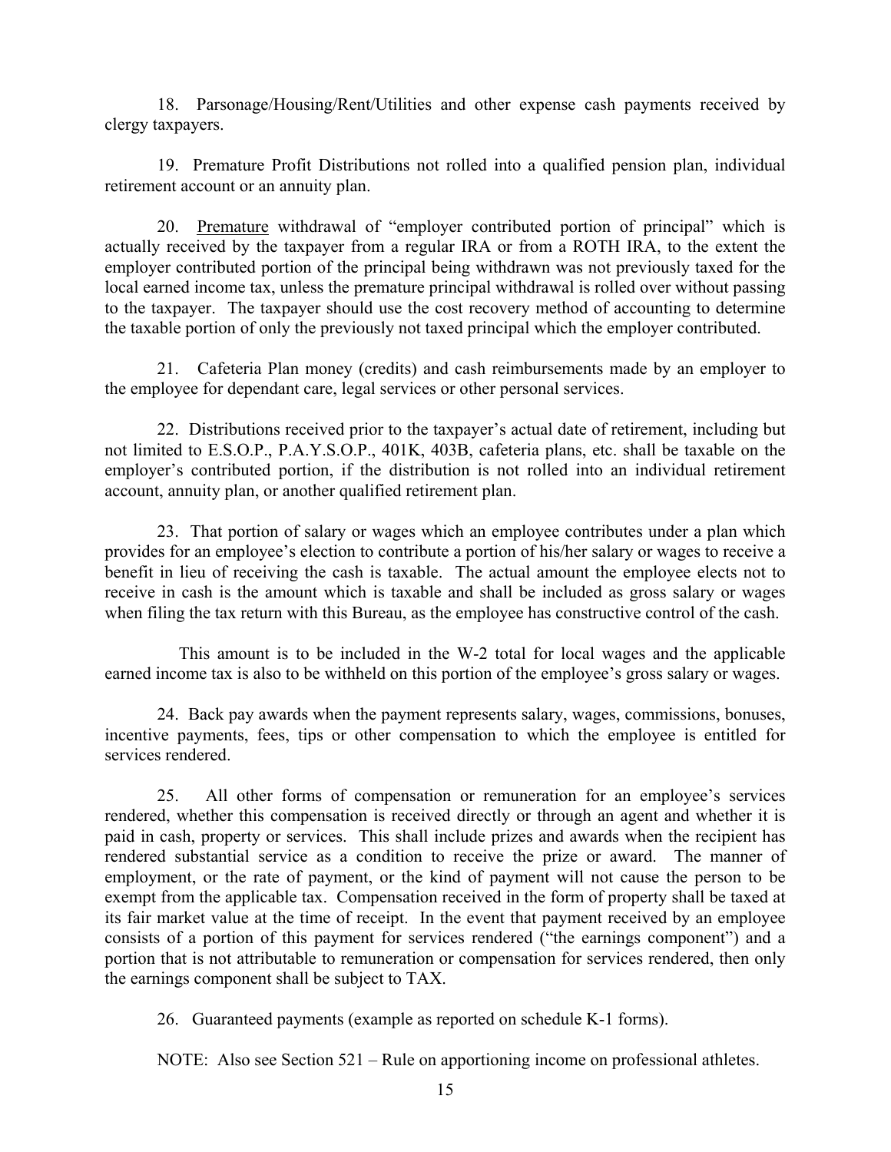18. Parsonage/Housing/Rent/Utilities and other expense cash payments received by clergy taxpayers.

 19. Premature Profit Distributions not rolled into a qualified pension plan, individual retirement account or an annuity plan.

 20. Premature withdrawal of "employer contributed portion of principal" which is actually received by the taxpayer from a regular IRA or from a ROTH IRA, to the extent the employer contributed portion of the principal being withdrawn was not previously taxed for the local earned income tax, unless the premature principal withdrawal is rolled over without passing to the taxpayer. The taxpayer should use the cost recovery method of accounting to determine the taxable portion of only the previously not taxed principal which the employer contributed.

 21. Cafeteria Plan money (credits) and cash reimbursements made by an employer to the employee for dependant care, legal services or other personal services.

 22. Distributions received prior to the taxpayer's actual date of retirement, including but not limited to E.S.O.P., P.A.Y.S.O.P., 401K, 403B, cafeteria plans, etc. shall be taxable on the employer's contributed portion, if the distribution is not rolled into an individual retirement account, annuity plan, or another qualified retirement plan.

 23. That portion of salary or wages which an employee contributes under a plan which provides for an employee's election to contribute a portion of his/her salary or wages to receive a benefit in lieu of receiving the cash is taxable. The actual amount the employee elects not to receive in cash is the amount which is taxable and shall be included as gross salary or wages when filing the tax return with this Bureau, as the employee has constructive control of the cash.

 This amount is to be included in the W-2 total for local wages and the applicable earned income tax is also to be withheld on this portion of the employee's gross salary or wages.

 24. Back pay awards when the payment represents salary, wages, commissions, bonuses, incentive payments, fees, tips or other compensation to which the employee is entitled for services rendered.

 25. All other forms of compensation or remuneration for an employee's services rendered, whether this compensation is received directly or through an agent and whether it is paid in cash, property or services. This shall include prizes and awards when the recipient has rendered substantial service as a condition to receive the prize or award. The manner of employment, or the rate of payment, or the kind of payment will not cause the person to be exempt from the applicable tax. Compensation received in the form of property shall be taxed at its fair market value at the time of receipt. In the event that payment received by an employee consists of a portion of this payment for services rendered ("the earnings component") and a portion that is not attributable to remuneration or compensation for services rendered, then only the earnings component shall be subject to TAX.

26. Guaranteed payments (example as reported on schedule K-1 forms).

NOTE: Also see Section 521 – Rule on apportioning income on professional athletes.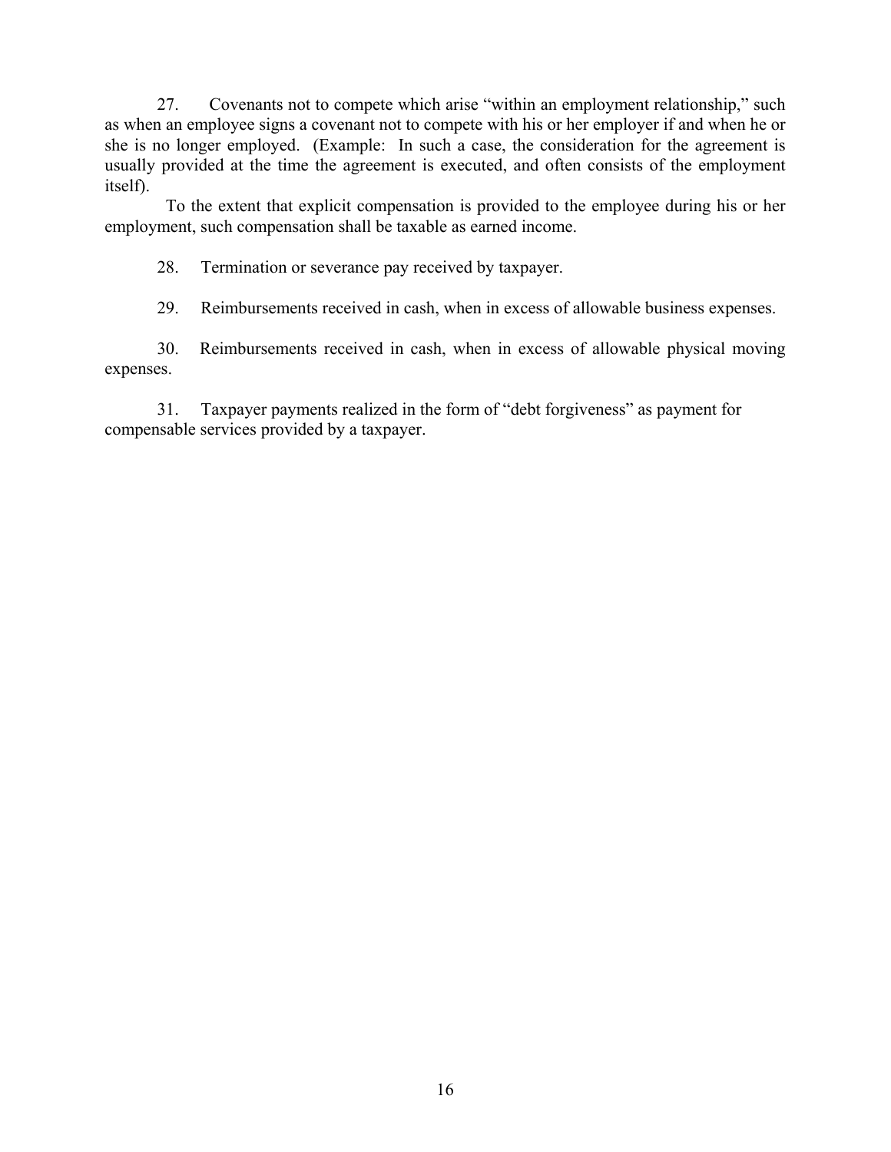27. Covenants not to compete which arise "within an employment relationship," such as when an employee signs a covenant not to compete with his or her employer if and when he or she is no longer employed. (Example: In such a case, the consideration for the agreement is usually provided at the time the agreement is executed, and often consists of the employment itself).

 To the extent that explicit compensation is provided to the employee during his or her employment, such compensation shall be taxable as earned income.

28. Termination or severance pay received by taxpayer.

29. Reimbursements received in cash, when in excess of allowable business expenses.

 30. Reimbursements received in cash, when in excess of allowable physical moving expenses.

 31. Taxpayer payments realized in the form of "debt forgiveness" as payment for compensable services provided by a taxpayer.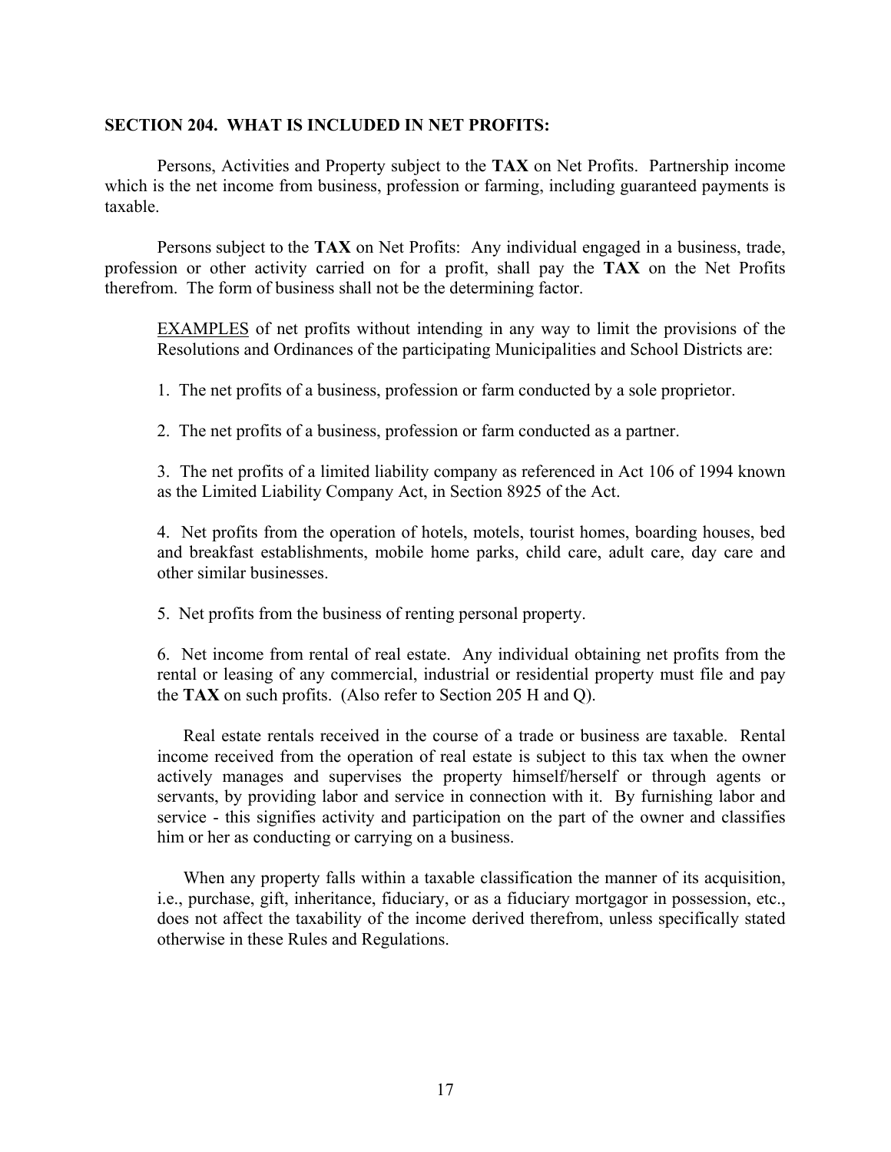#### **SECTION 204. WHAT IS INCLUDED IN NET PROFITS:**

 Persons, Activities and Property subject to the **TAX** on Net Profits. Partnership income which is the net income from business, profession or farming, including guaranteed payments is taxable.

 Persons subject to the **TAX** on Net Profits: Any individual engaged in a business, trade, profession or other activity carried on for a profit, shall pay the **TAX** on the Net Profits therefrom. The form of business shall not be the determining factor.

 EXAMPLES of net profits without intending in any way to limit the provisions of the Resolutions and Ordinances of the participating Municipalities and School Districts are:

1. The net profits of a business, profession or farm conducted by a sole proprietor.

2. The net profits of a business, profession or farm conducted as a partner.

 3. The net profits of a limited liability company as referenced in Act 106 of 1994 known as the Limited Liability Company Act, in Section 8925 of the Act.

 4. Net profits from the operation of hotels, motels, tourist homes, boarding houses, bed and breakfast establishments, mobile home parks, child care, adult care, day care and other similar businesses.

5. Net profits from the business of renting personal property.

 6. Net income from rental of real estate. Any individual obtaining net profits from the rental or leasing of any commercial, industrial or residential property must file and pay the **TAX** on such profits. (Also refer to Section 205 H and Q).

 Real estate rentals received in the course of a trade or business are taxable. Rental income received from the operation of real estate is subject to this tax when the owner actively manages and supervises the property himself/herself or through agents or servants, by providing labor and service in connection with it. By furnishing labor and service - this signifies activity and participation on the part of the owner and classifies him or her as conducting or carrying on a business.

 When any property falls within a taxable classification the manner of its acquisition, i.e., purchase, gift, inheritance, fiduciary, or as a fiduciary mortgagor in possession, etc., does not affect the taxability of the income derived therefrom, unless specifically stated otherwise in these Rules and Regulations.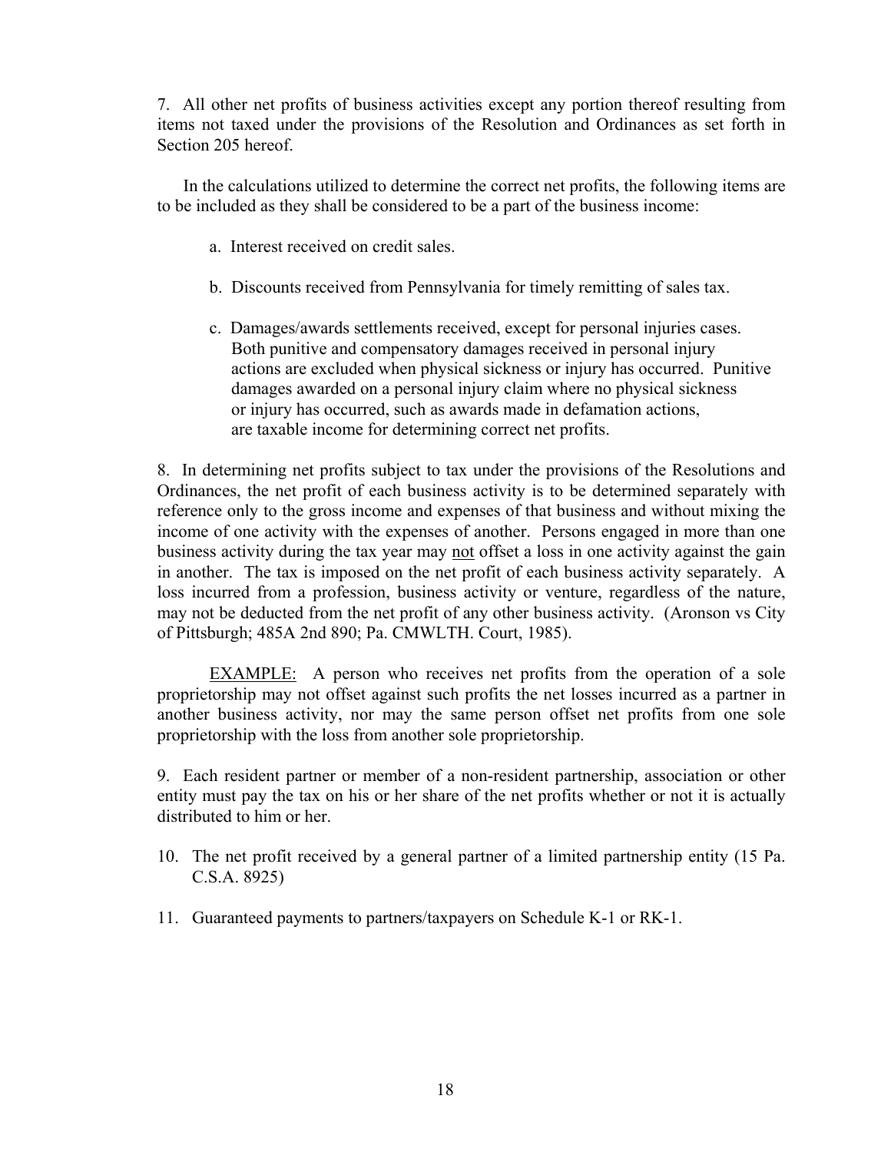7. All other net profits of business activities except any portion thereof resulting from items not taxed under the provisions of the Resolution and Ordinances as set forth in Section 205 hereof.

 In the calculations utilized to determine the correct net profits, the following items are to be included as they shall be considered to be a part of the business income:

- a. Interest received on credit sales.
- b. Discounts received from Pennsylvania for timely remitting of sales tax.
- c. Damages/awards settlements received, except for personal injuries cases. Both punitive and compensatory damages received in personal injury actions are excluded when physical sickness or injury has occurred. Punitive damages awarded on a personal injury claim where no physical sickness or injury has occurred, such as awards made in defamation actions, are taxable income for determining correct net profits.

 8. In determining net profits subject to tax under the provisions of the Resolutions and Ordinances, the net profit of each business activity is to be determined separately with reference only to the gross income and expenses of that business and without mixing the income of one activity with the expenses of another. Persons engaged in more than one business activity during the tax year may not offset a loss in one activity against the gain in another. The tax is imposed on the net profit of each business activity separately. A loss incurred from a profession, business activity or venture, regardless of the nature, may not be deducted from the net profit of any other business activity. (Aronson vs City of Pittsburgh; 485A 2nd 890; Pa. CMWLTH. Court, 1985).

 EXAMPLE: A person who receives net profits from the operation of a sole proprietorship may not offset against such profits the net losses incurred as a partner in another business activity, nor may the same person offset net profits from one sole proprietorship with the loss from another sole proprietorship.

 9. Each resident partner or member of a non-resident partnership, association or other entity must pay the tax on his or her share of the net profits whether or not it is actually distributed to him or her.

- 10. The net profit received by a general partner of a limited partnership entity (15 Pa. C.S.A. 8925)
- 11. Guaranteed payments to partners/taxpayers on Schedule K-1 or RK-1.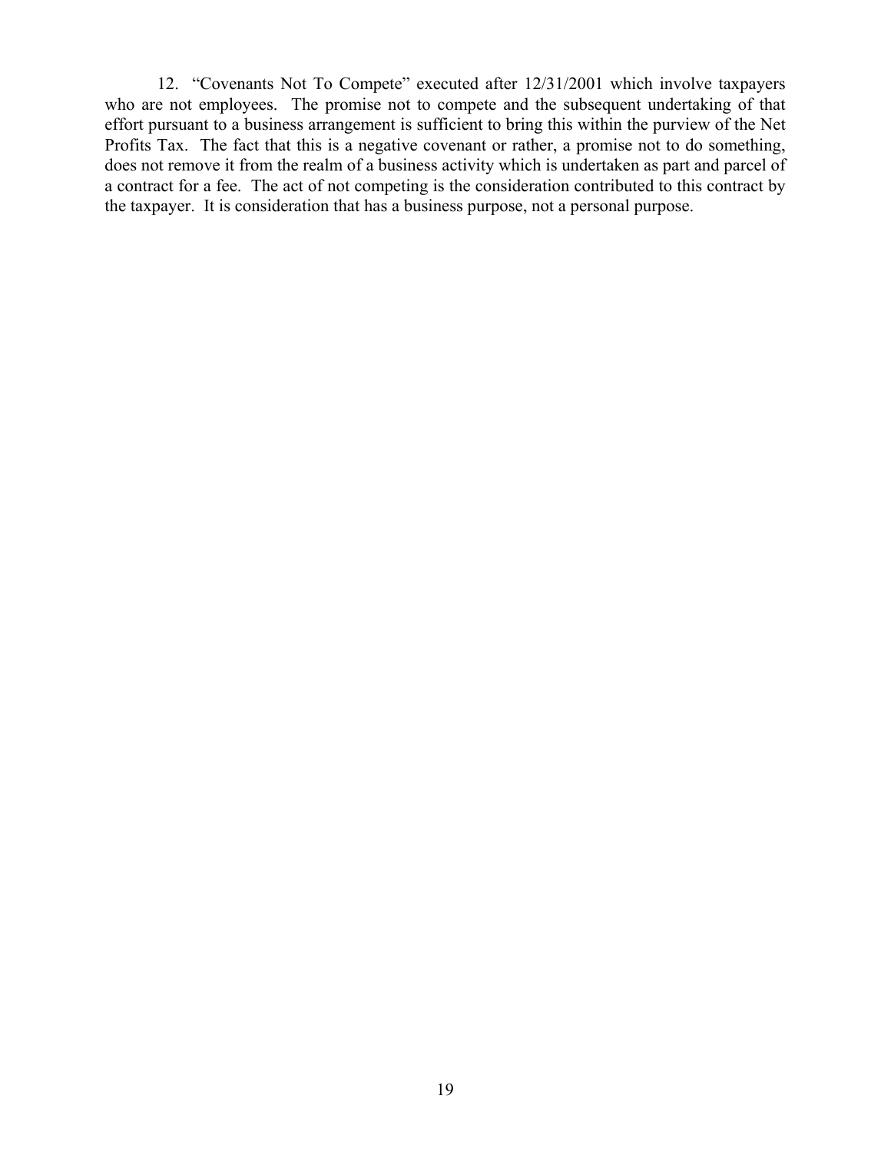12. "Covenants Not To Compete" executed after 12/31/2001 which involve taxpayers who are not employees. The promise not to compete and the subsequent undertaking of that effort pursuant to a business arrangement is sufficient to bring this within the purview of the Net Profits Tax. The fact that this is a negative covenant or rather, a promise not to do something, does not remove it from the realm of a business activity which is undertaken as part and parcel of a contract for a fee. The act of not competing is the consideration contributed to this contract by the taxpayer. It is consideration that has a business purpose, not a personal purpose.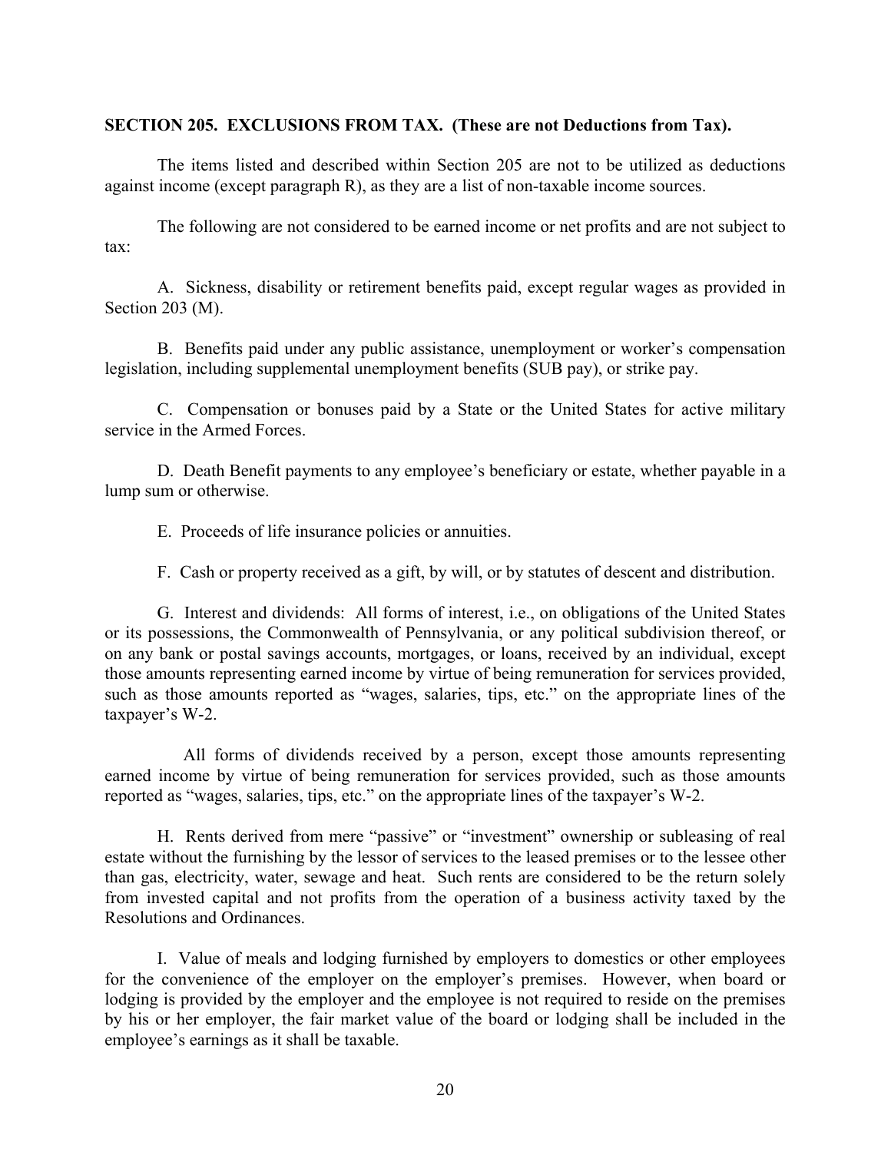#### **SECTION 205. EXCLUSIONS FROM TAX. (These are not Deductions from Tax).**

 The items listed and described within Section 205 are not to be utilized as deductions against income (except paragraph R), as they are a list of non-taxable income sources.

 The following are not considered to be earned income or net profits and are not subject to tax:

 A. Sickness, disability or retirement benefits paid, except regular wages as provided in Section 203 (M).

 B. Benefits paid under any public assistance, unemployment or worker's compensation legislation, including supplemental unemployment benefits (SUB pay), or strike pay.

 C. Compensation or bonuses paid by a State or the United States for active military service in the Armed Forces.

 D. Death Benefit payments to any employee's beneficiary or estate, whether payable in a lump sum or otherwise.

E. Proceeds of life insurance policies or annuities.

F. Cash or property received as a gift, by will, or by statutes of descent and distribution.

 G. Interest and dividends: All forms of interest, i.e., on obligations of the United States or its possessions, the Commonwealth of Pennsylvania, or any political subdivision thereof, or on any bank or postal savings accounts, mortgages, or loans, received by an individual, except those amounts representing earned income by virtue of being remuneration for services provided, such as those amounts reported as "wages, salaries, tips, etc." on the appropriate lines of the taxpayer's W-2.

 All forms of dividends received by a person, except those amounts representing earned income by virtue of being remuneration for services provided, such as those amounts reported as "wages, salaries, tips, etc." on the appropriate lines of the taxpayer's W-2.

 H. Rents derived from mere "passive" or "investment" ownership or subleasing of real estate without the furnishing by the lessor of services to the leased premises or to the lessee other than gas, electricity, water, sewage and heat. Such rents are considered to be the return solely from invested capital and not profits from the operation of a business activity taxed by the Resolutions and Ordinances.

 I. Value of meals and lodging furnished by employers to domestics or other employees for the convenience of the employer on the employer's premises. However, when board or lodging is provided by the employer and the employee is not required to reside on the premises by his or her employer, the fair market value of the board or lodging shall be included in the employee's earnings as it shall be taxable.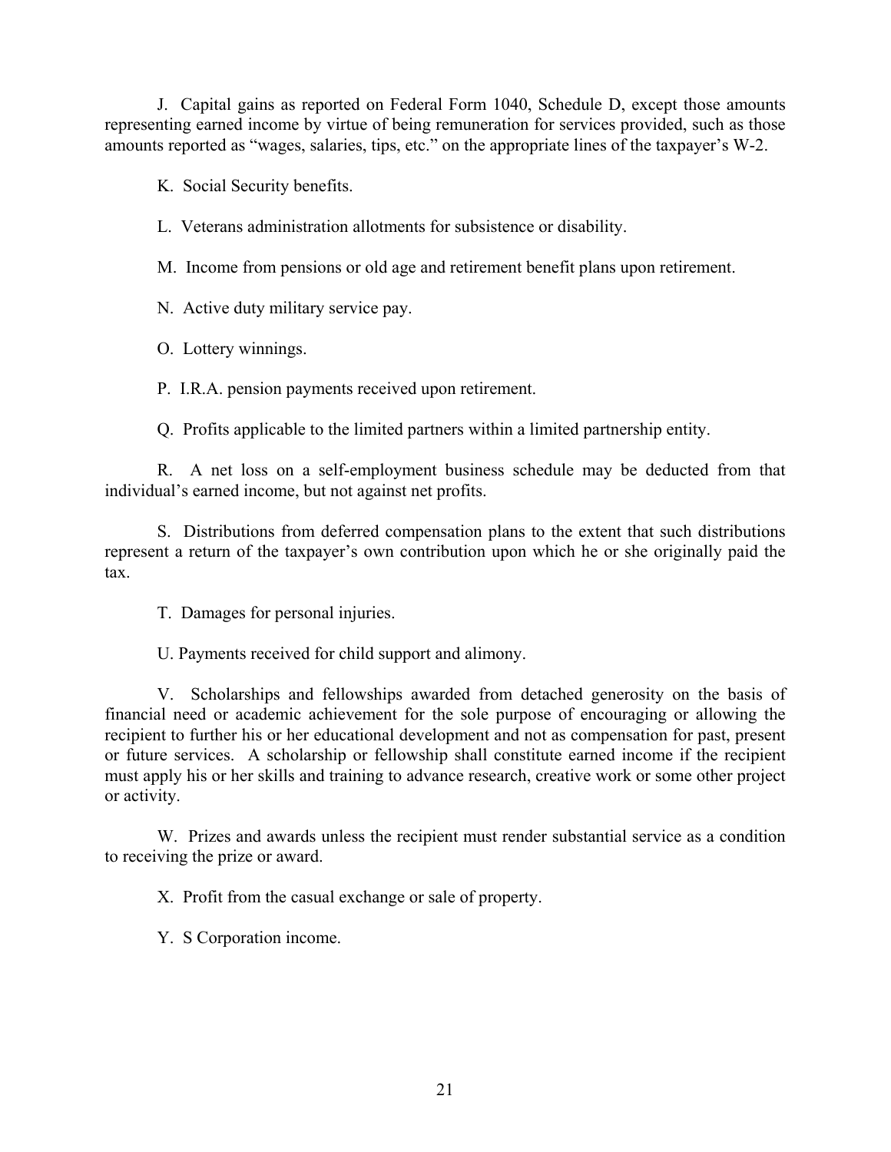J. Capital gains as reported on Federal Form 1040, Schedule D, except those amounts representing earned income by virtue of being remuneration for services provided, such as those amounts reported as "wages, salaries, tips, etc." on the appropriate lines of the taxpayer's W-2.

K. Social Security benefits.

L. Veterans administration allotments for subsistence or disability.

M. Income from pensions or old age and retirement benefit plans upon retirement.

N. Active duty military service pay.

O. Lottery winnings.

P. I.R.A. pension payments received upon retirement.

Q. Profits applicable to the limited partners within a limited partnership entity.

 R. A net loss on a self-employment business schedule may be deducted from that individual's earned income, but not against net profits.

 S. Distributions from deferred compensation plans to the extent that such distributions represent a return of the taxpayer's own contribution upon which he or she originally paid the tax.

T. Damages for personal injuries.

U. Payments received for child support and alimony.

 V. Scholarships and fellowships awarded from detached generosity on the basis of financial need or academic achievement for the sole purpose of encouraging or allowing the recipient to further his or her educational development and not as compensation for past, present or future services. A scholarship or fellowship shall constitute earned income if the recipient must apply his or her skills and training to advance research, creative work or some other project or activity.

 W. Prizes and awards unless the recipient must render substantial service as a condition to receiving the prize or award.

X. Profit from the casual exchange or sale of property.

Y. S Corporation income.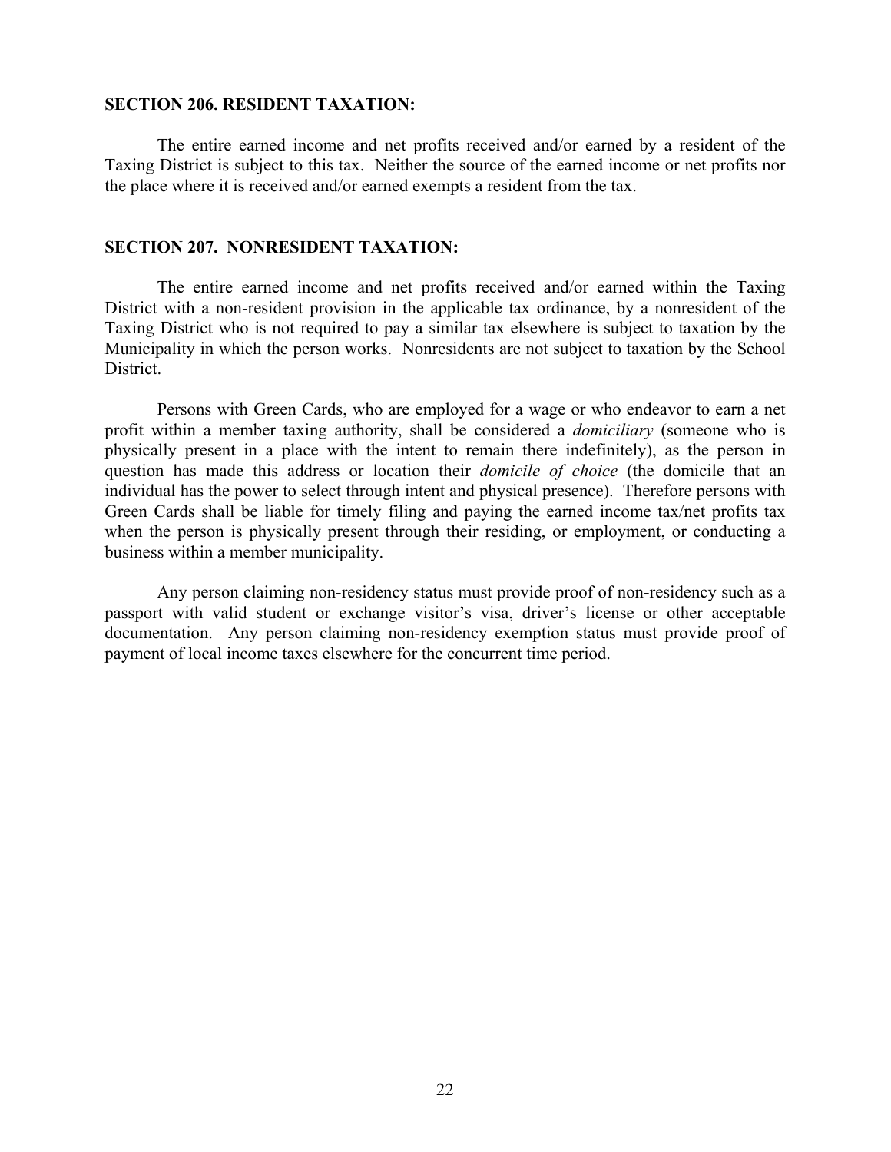#### **SECTION 206. RESIDENT TAXATION:**

 The entire earned income and net profits received and/or earned by a resident of the Taxing District is subject to this tax. Neither the source of the earned income or net profits nor the place where it is received and/or earned exempts a resident from the tax.

#### **SECTION 207. NONRESIDENT TAXATION:**

 The entire earned income and net profits received and/or earned within the Taxing District with a non-resident provision in the applicable tax ordinance, by a nonresident of the Taxing District who is not required to pay a similar tax elsewhere is subject to taxation by the Municipality in which the person works. Nonresidents are not subject to taxation by the School District.

 Persons with Green Cards, who are employed for a wage or who endeavor to earn a net profit within a member taxing authority, shall be considered a *domiciliary* (someone who is physically present in a place with the intent to remain there indefinitely), as the person in question has made this address or location their *domicile of choice* (the domicile that an individual has the power to select through intent and physical presence). Therefore persons with Green Cards shall be liable for timely filing and paying the earned income tax/net profits tax when the person is physically present through their residing, or employment, or conducting a business within a member municipality.

 Any person claiming non-residency status must provide proof of non-residency such as a passport with valid student or exchange visitor's visa, driver's license or other acceptable documentation. Any person claiming non-residency exemption status must provide proof of payment of local income taxes elsewhere for the concurrent time period.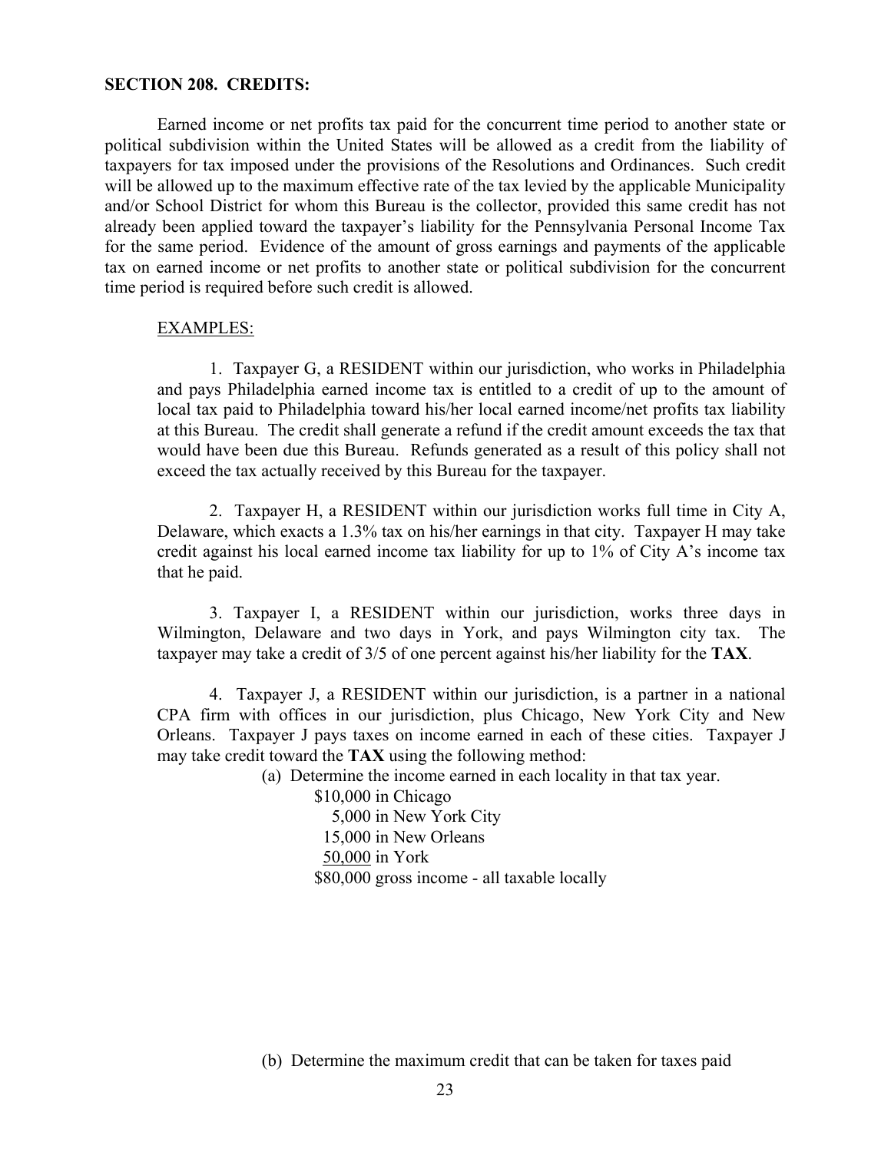#### **SECTION 208. CREDITS:**

 Earned income or net profits tax paid for the concurrent time period to another state or political subdivision within the United States will be allowed as a credit from the liability of taxpayers for tax imposed under the provisions of the Resolutions and Ordinances. Such credit will be allowed up to the maximum effective rate of the tax levied by the applicable Municipality and/or School District for whom this Bureau is the collector, provided this same credit has not already been applied toward the taxpayer's liability for the Pennsylvania Personal Income Tax for the same period. Evidence of the amount of gross earnings and payments of the applicable tax on earned income or net profits to another state or political subdivision for the concurrent time period is required before such credit is allowed.

#### EXAMPLES:

 1. Taxpayer G, a RESIDENT within our jurisdiction, who works in Philadelphia and pays Philadelphia earned income tax is entitled to a credit of up to the amount of local tax paid to Philadelphia toward his/her local earned income/net profits tax liability at this Bureau. The credit shall generate a refund if the credit amount exceeds the tax that would have been due this Bureau. Refunds generated as a result of this policy shall not exceed the tax actually received by this Bureau for the taxpayer.

 2. Taxpayer H, a RESIDENT within our jurisdiction works full time in City A, Delaware, which exacts a 1.3% tax on his/her earnings in that city. Taxpayer H may take credit against his local earned income tax liability for up to 1% of City A's income tax that he paid.

 3. Taxpayer I, a RESIDENT within our jurisdiction, works three days in Wilmington, Delaware and two days in York, and pays Wilmington city tax. The taxpayer may take a credit of 3/5 of one percent against his/her liability for the **TAX**.

 4. Taxpayer J, a RESIDENT within our jurisdiction, is a partner in a national CPA firm with offices in our jurisdiction, plus Chicago, New York City and New Orleans. Taxpayer J pays taxes on income earned in each of these cities. Taxpayer J may take credit toward the **TAX** using the following method:

(a) Determine the income earned in each locality in that tax year.

 \$10,000 in Chicago 5,000 in New York City 15,000 in New Orleans 50,000 in York \$80,000 gross income - all taxable locally

(b) Determine the maximum credit that can be taken for taxes paid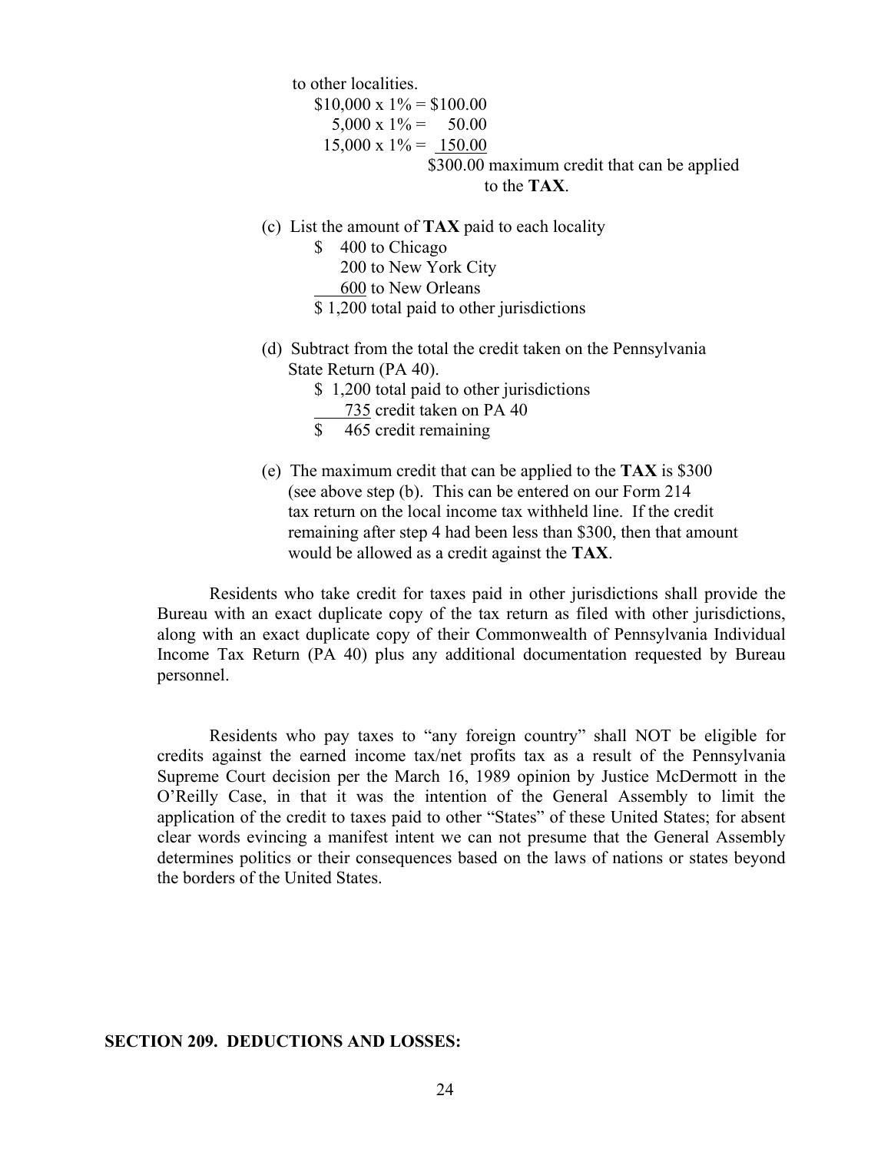to other localities.

 $$10,000 \times 1\% = $100.00$  $5,000 \times 1\% = 50.00$  $15,000 \times 1\% = 150.00$ \$300.00 maximum credit that can be applied to the **TAX**.

- (c) List the amount of **TAX** paid to each locality
	- \$ 400 to Chicago
		- 200 to New York City
	- 600 to New Orleans
	- \$ 1,200 total paid to other jurisdictions
- (d) Subtract from the total the credit taken on the Pennsylvania State Return (PA 40).
	- \$1,200 total paid to other jurisdictions
		- 735 credit taken on PA 40
	- \$ 465 credit remaining
- (e) The maximum credit that can be applied to the **TAX** is \$300 (see above step (b). This can be entered on our Form 214 tax return on the local income tax withheld line. If the credit remaining after step 4 had been less than \$300, then that amount would be allowed as a credit against the **TAX**.

 Residents who take credit for taxes paid in other jurisdictions shall provide the Bureau with an exact duplicate copy of the tax return as filed with other jurisdictions, along with an exact duplicate copy of their Commonwealth of Pennsylvania Individual Income Tax Return (PA 40) plus any additional documentation requested by Bureau personnel.

 Residents who pay taxes to "any foreign country" shall NOT be eligible for credits against the earned income tax/net profits tax as a result of the Pennsylvania Supreme Court decision per the March 16, 1989 opinion by Justice McDermott in the O'Reilly Case, in that it was the intention of the General Assembly to limit the application of the credit to taxes paid to other "States" of these United States; for absent clear words evincing a manifest intent we can not presume that the General Assembly determines politics or their consequences based on the laws of nations or states beyond the borders of the United States.

#### **SECTION 209. DEDUCTIONS AND LOSSES:**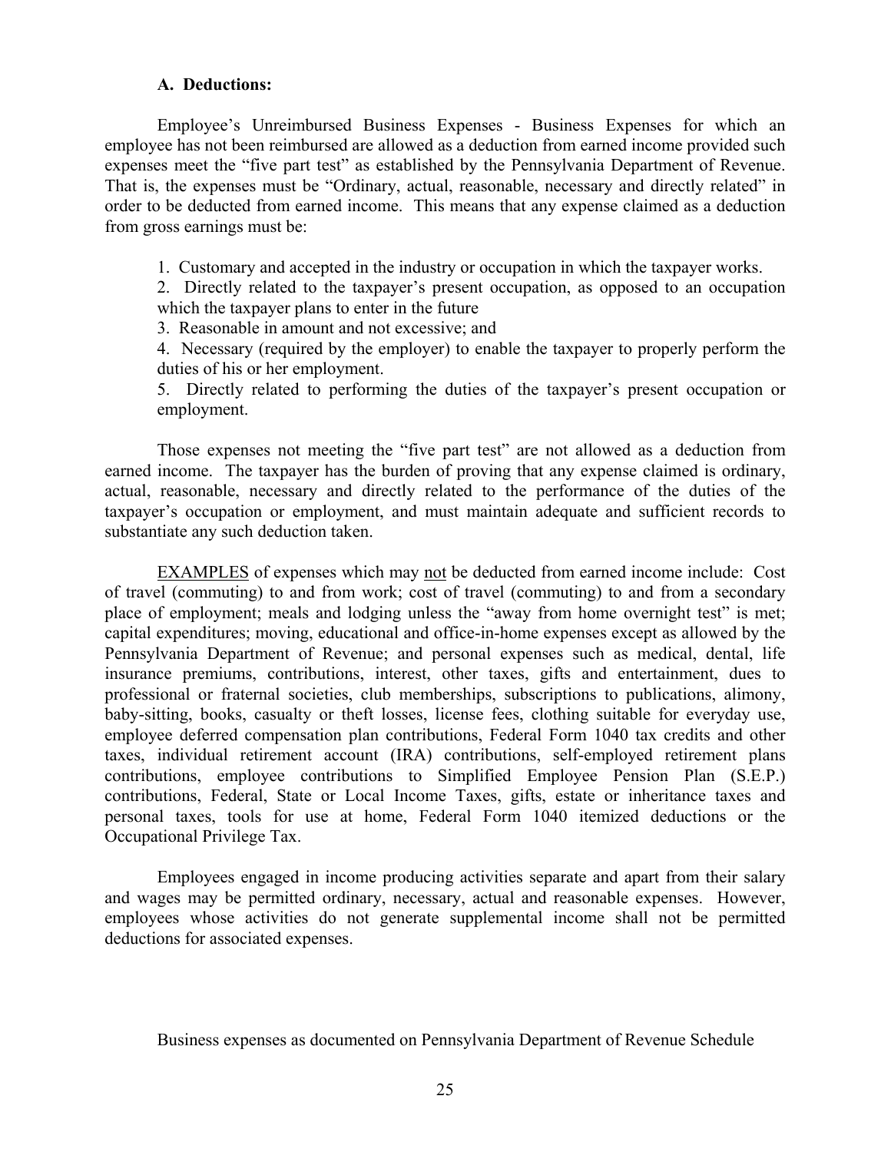#### **A. Deductions:**

 Employee's Unreimbursed Business Expenses - Business Expenses for which an employee has not been reimbursed are allowed as a deduction from earned income provided such expenses meet the "five part test" as established by the Pennsylvania Department of Revenue. That is, the expenses must be "Ordinary, actual, reasonable, necessary and directly related" in order to be deducted from earned income. This means that any expense claimed as a deduction from gross earnings must be:

1. Customary and accepted in the industry or occupation in which the taxpayer works.

2. Directly related to the taxpayer's present occupation, as opposed to an occupation which the taxpayer plans to enter in the future

3. Reasonable in amount and not excessive; and

4. Necessary (required by the employer) to enable the taxpayer to properly perform the duties of his or her employment.

5. Directly related to performing the duties of the taxpayer's present occupation or employment.

 Those expenses not meeting the "five part test" are not allowed as a deduction from earned income. The taxpayer has the burden of proving that any expense claimed is ordinary, actual, reasonable, necessary and directly related to the performance of the duties of the taxpayer's occupation or employment, and must maintain adequate and sufficient records to substantiate any such deduction taken.

 EXAMPLES of expenses which may not be deducted from earned income include: Cost of travel (commuting) to and from work; cost of travel (commuting) to and from a secondary place of employment; meals and lodging unless the "away from home overnight test" is met; capital expenditures; moving, educational and office-in-home expenses except as allowed by the Pennsylvania Department of Revenue; and personal expenses such as medical, dental, life insurance premiums, contributions, interest, other taxes, gifts and entertainment, dues to professional or fraternal societies, club memberships, subscriptions to publications, alimony, baby-sitting, books, casualty or theft losses, license fees, clothing suitable for everyday use, employee deferred compensation plan contributions, Federal Form 1040 tax credits and other taxes, individual retirement account (IRA) contributions, self-employed retirement plans contributions, employee contributions to Simplified Employee Pension Plan (S.E.P.) contributions, Federal, State or Local Income Taxes, gifts, estate or inheritance taxes and personal taxes, tools for use at home, Federal Form 1040 itemized deductions or the Occupational Privilege Tax.

 Employees engaged in income producing activities separate and apart from their salary and wages may be permitted ordinary, necessary, actual and reasonable expenses. However, employees whose activities do not generate supplemental income shall not be permitted deductions for associated expenses.

Business expenses as documented on Pennsylvania Department of Revenue Schedule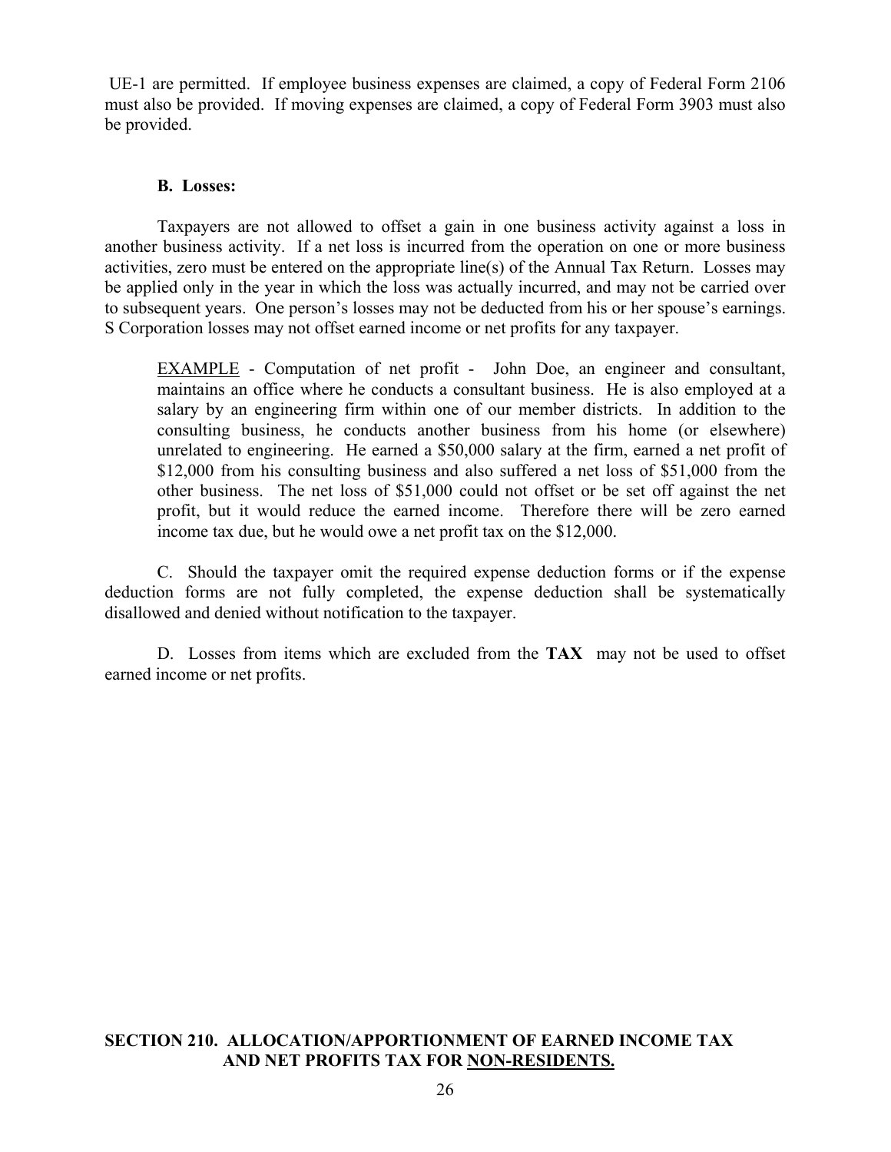UE-1 are permitted. If employee business expenses are claimed, a copy of Federal Form 2106 must also be provided. If moving expenses are claimed, a copy of Federal Form 3903 must also be provided.

## **B. Losses:**

 Taxpayers are not allowed to offset a gain in one business activity against a loss in another business activity. If a net loss is incurred from the operation on one or more business activities, zero must be entered on the appropriate line(s) of the Annual Tax Return. Losses may be applied only in the year in which the loss was actually incurred, and may not be carried over to subsequent years. One person's losses may not be deducted from his or her spouse's earnings. S Corporation losses may not offset earned income or net profits for any taxpayer.

EXAMPLE - Computation of net profit - John Doe, an engineer and consultant, maintains an office where he conducts a consultant business. He is also employed at a salary by an engineering firm within one of our member districts. In addition to the consulting business, he conducts another business from his home (or elsewhere) unrelated to engineering. He earned a \$50,000 salary at the firm, earned a net profit of \$12,000 from his consulting business and also suffered a net loss of \$51,000 from the other business. The net loss of \$51,000 could not offset or be set off against the net profit, but it would reduce the earned income. Therefore there will be zero earned income tax due, but he would owe a net profit tax on the \$12,000.

 C. Should the taxpayer omit the required expense deduction forms or if the expense deduction forms are not fully completed, the expense deduction shall be systematically disallowed and denied without notification to the taxpayer.

 D. Losses from items which are excluded from the **TAX** may not be used to offset earned income or net profits.

## **SECTION 210. ALLOCATION/APPORTIONMENT OF EARNED INCOME TAX AND NET PROFITS TAX FOR NON-RESIDENTS.**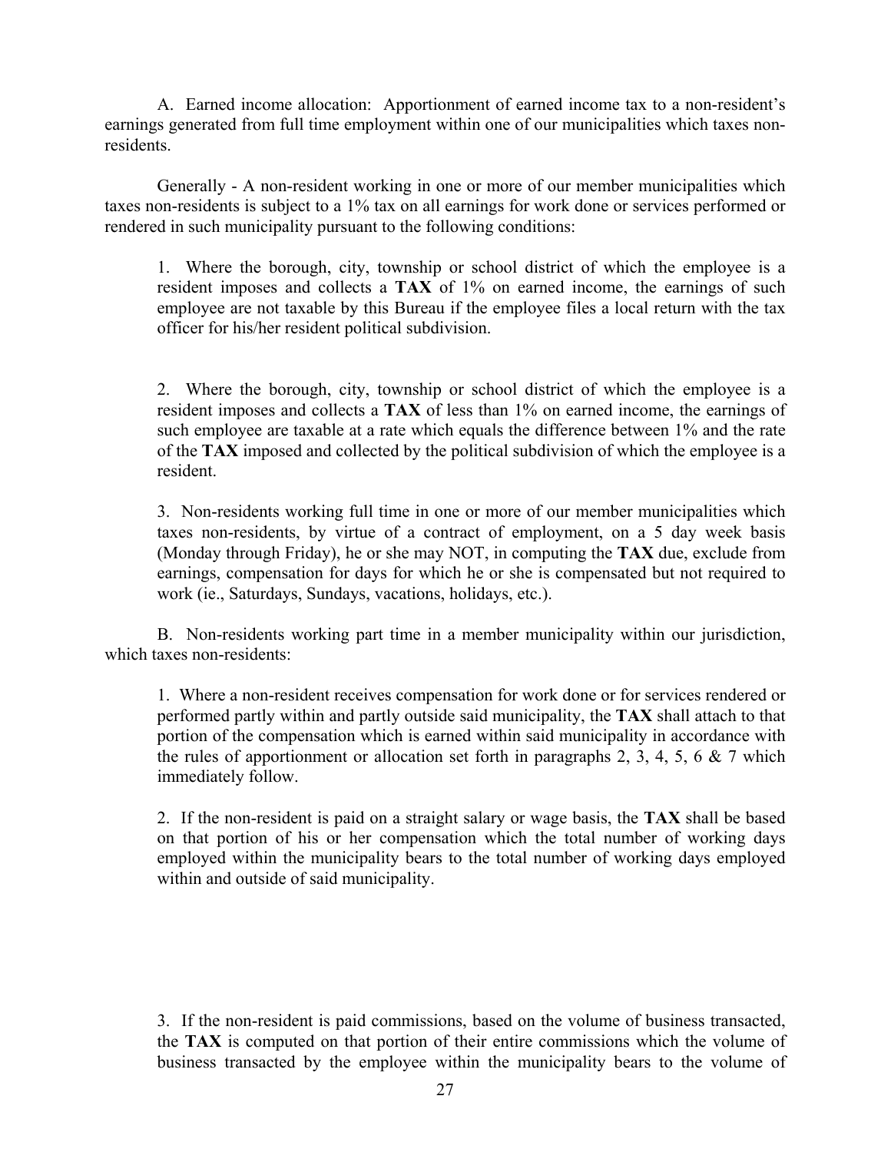A. Earned income allocation: Apportionment of earned income tax to a non-resident's earnings generated from full time employment within one of our municipalities which taxes nonresidents.

 Generally - A non-resident working in one or more of our member municipalities which taxes non-residents is subject to a 1% tax on all earnings for work done or services performed or rendered in such municipality pursuant to the following conditions:

 1. Where the borough, city, township or school district of which the employee is a resident imposes and collects a **TAX** of 1% on earned income, the earnings of such employee are not taxable by this Bureau if the employee files a local return with the tax officer for his/her resident political subdivision.

 2. Where the borough, city, township or school district of which the employee is a resident imposes and collects a **TAX** of less than 1% on earned income, the earnings of such employee are taxable at a rate which equals the difference between 1% and the rate of the **TAX** imposed and collected by the political subdivision of which the employee is a resident.

 3. Non-residents working full time in one or more of our member municipalities which taxes non-residents, by virtue of a contract of employment, on a 5 day week basis (Monday through Friday), he or she may NOT, in computing the **TAX** due, exclude from earnings, compensation for days for which he or she is compensated but not required to work (ie., Saturdays, Sundays, vacations, holidays, etc.).

 B. Non-residents working part time in a member municipality within our jurisdiction, which taxes non-residents:

1. Where a non-resident receives compensation for work done or for services rendered or performed partly within and partly outside said municipality, the **TAX** shall attach to that portion of the compensation which is earned within said municipality in accordance with the rules of apportionment or allocation set forth in paragraphs 2, 3, 4, 5, 6  $\&$  7 which immediately follow.

2. If the non-resident is paid on a straight salary or wage basis, the **TAX** shall be based on that portion of his or her compensation which the total number of working days employed within the municipality bears to the total number of working days employed within and outside of said municipality.

3. If the non-resident is paid commissions, based on the volume of business transacted, the **TAX** is computed on that portion of their entire commissions which the volume of business transacted by the employee within the municipality bears to the volume of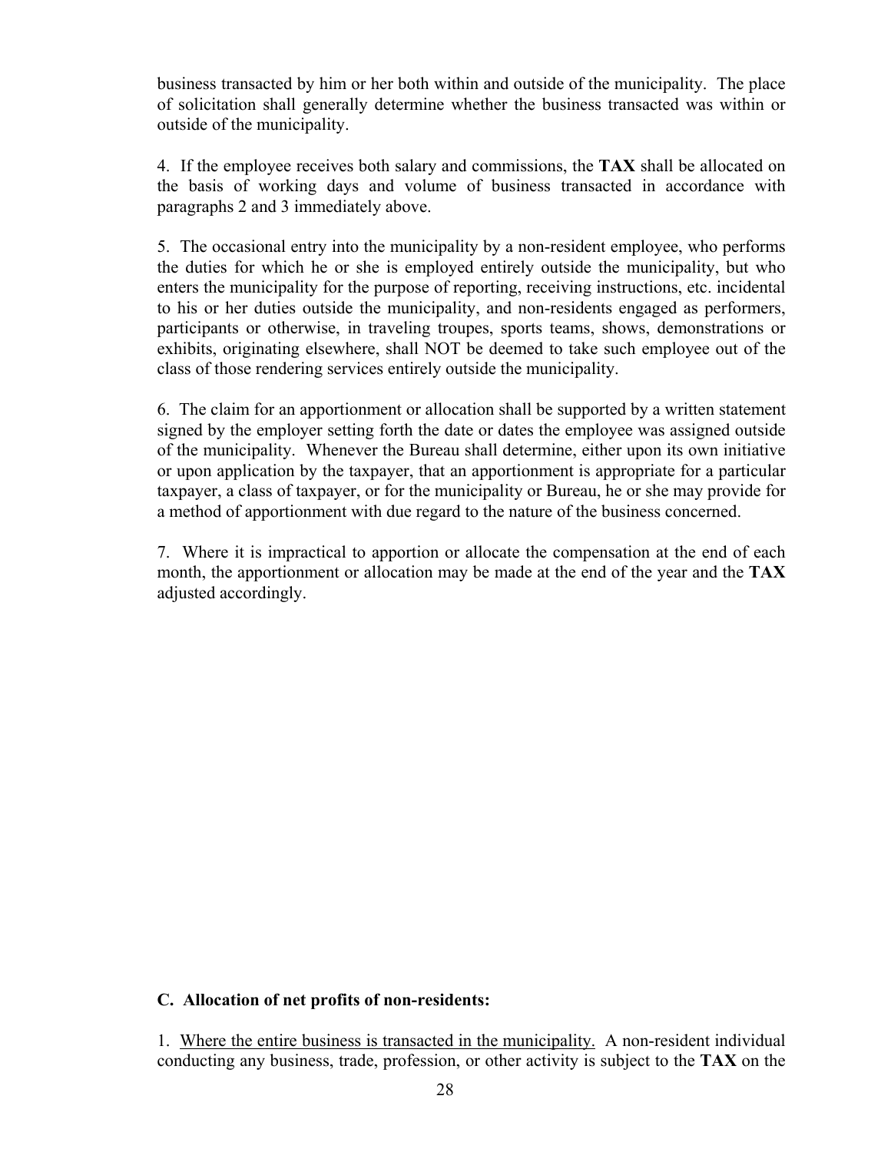business transacted by him or her both within and outside of the municipality. The place of solicitation shall generally determine whether the business transacted was within or outside of the municipality.

4. If the employee receives both salary and commissions, the **TAX** shall be allocated on the basis of working days and volume of business transacted in accordance with paragraphs 2 and 3 immediately above.

5. The occasional entry into the municipality by a non-resident employee, who performs the duties for which he or she is employed entirely outside the municipality, but who enters the municipality for the purpose of reporting, receiving instructions, etc. incidental to his or her duties outside the municipality, and non-residents engaged as performers, participants or otherwise, in traveling troupes, sports teams, shows, demonstrations or exhibits, originating elsewhere, shall NOT be deemed to take such employee out of the class of those rendering services entirely outside the municipality.

6. The claim for an apportionment or allocation shall be supported by a written statement signed by the employer setting forth the date or dates the employee was assigned outside of the municipality. Whenever the Bureau shall determine, either upon its own initiative or upon application by the taxpayer, that an apportionment is appropriate for a particular taxpayer, a class of taxpayer, or for the municipality or Bureau, he or she may provide for a method of apportionment with due regard to the nature of the business concerned.

7. Where it is impractical to apportion or allocate the compensation at the end of each month, the apportionment or allocation may be made at the end of the year and the **TAX** adjusted accordingly.

## **C. Allocation of net profits of non-residents:**

1. Where the entire business is transacted in the municipality. A non-resident individual conducting any business, trade, profession, or other activity is subject to the **TAX** on the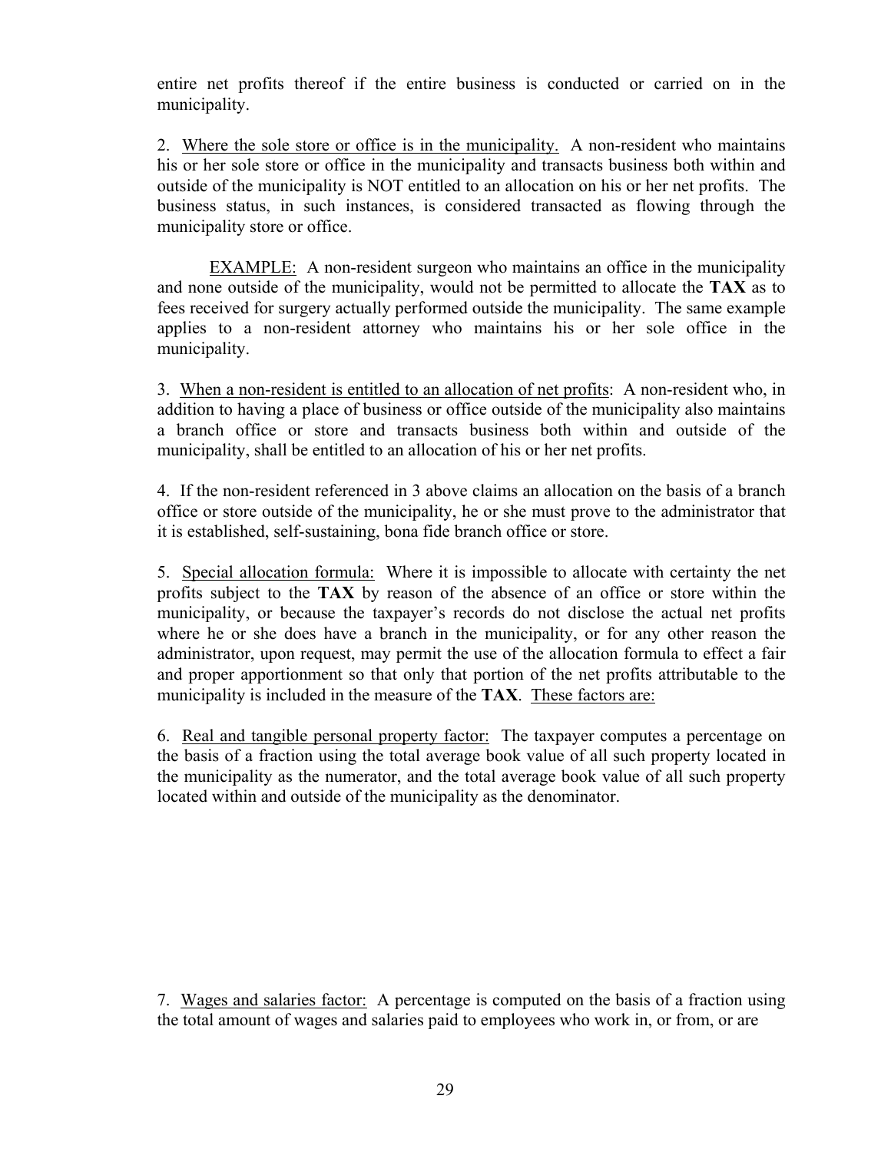entire net profits thereof if the entire business is conducted or carried on in the municipality.

2. Where the sole store or office is in the municipality. A non-resident who maintains his or her sole store or office in the municipality and transacts business both within and outside of the municipality is NOT entitled to an allocation on his or her net profits. The business status, in such instances, is considered transacted as flowing through the municipality store or office.

 EXAMPLE: A non-resident surgeon who maintains an office in the municipality and none outside of the municipality, would not be permitted to allocate the **TAX** as to fees received for surgery actually performed outside the municipality. The same example applies to a non-resident attorney who maintains his or her sole office in the municipality.

3. When a non-resident is entitled to an allocation of net profits: A non-resident who, in addition to having a place of business or office outside of the municipality also maintains a branch office or store and transacts business both within and outside of the municipality, shall be entitled to an allocation of his or her net profits.

4. If the non-resident referenced in 3 above claims an allocation on the basis of a branch office or store outside of the municipality, he or she must prove to the administrator that it is established, self-sustaining, bona fide branch office or store.

5. Special allocation formula: Where it is impossible to allocate with certainty the net profits subject to the **TAX** by reason of the absence of an office or store within the municipality, or because the taxpayer's records do not disclose the actual net profits where he or she does have a branch in the municipality, or for any other reason the administrator, upon request, may permit the use of the allocation formula to effect a fair and proper apportionment so that only that portion of the net profits attributable to the municipality is included in the measure of the **TAX**. These factors are:

6. Real and tangible personal property factor: The taxpayer computes a percentage on the basis of a fraction using the total average book value of all such property located in the municipality as the numerator, and the total average book value of all such property located within and outside of the municipality as the denominator.

7. Wages and salaries factor: A percentage is computed on the basis of a fraction using the total amount of wages and salaries paid to employees who work in, or from, or are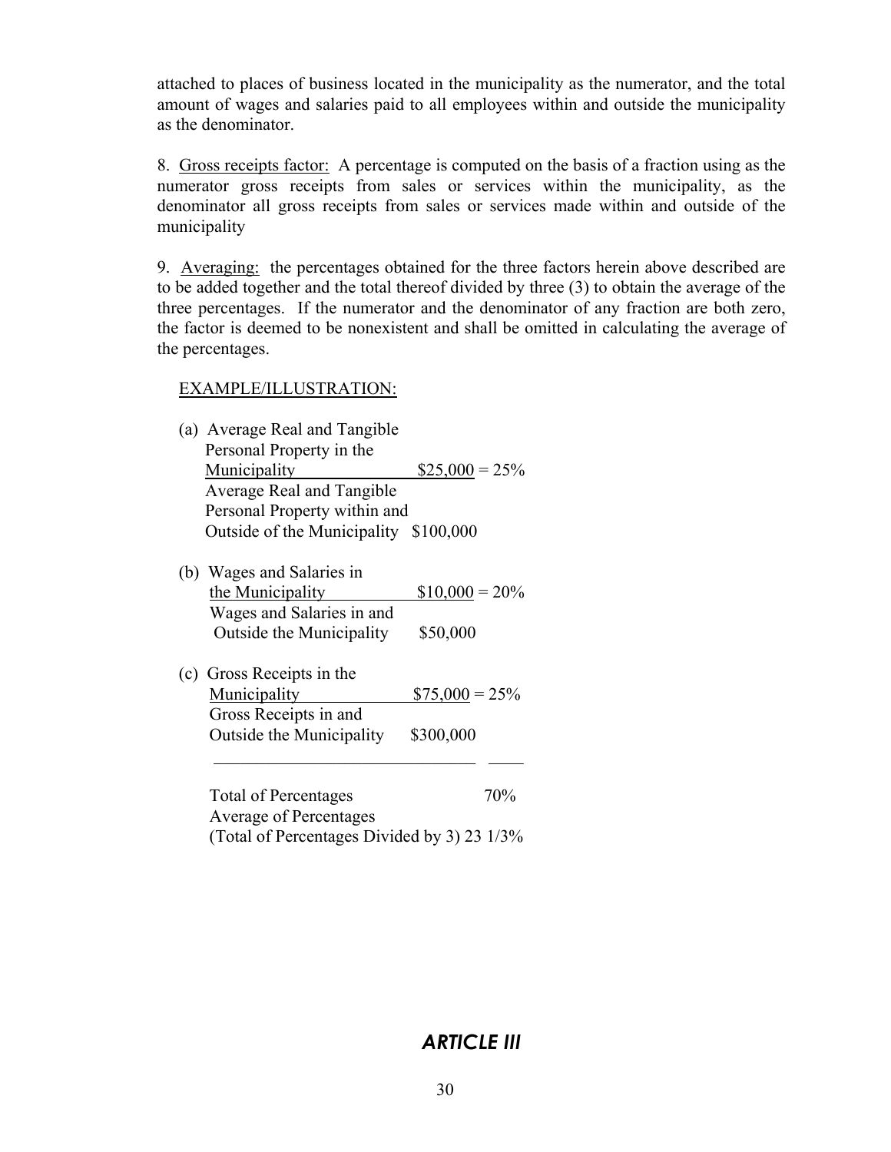attached to places of business located in the municipality as the numerator, and the total amount of wages and salaries paid to all employees within and outside the municipality as the denominator.

8. Gross receipts factor: A percentage is computed on the basis of a fraction using as the numerator gross receipts from sales or services within the municipality, as the denominator all gross receipts from sales or services made within and outside of the municipality

9. Averaging: the percentages obtained for the three factors herein above described are to be added together and the total thereof divided by three (3) to obtain the average of the three percentages. If the numerator and the denominator of any fraction are both zero, the factor is deemed to be nonexistent and shall be omitted in calculating the average of the percentages.

## EXAMPLE/ILLUSTRATION:

| (a) Average Real and Tangible               |                  |  |
|---------------------------------------------|------------------|--|
| Personal Property in the                    |                  |  |
| <b>Municipality</b>                         | $$25,000 = 25\%$ |  |
| Average Real and Tangible                   |                  |  |
| Personal Property within and                |                  |  |
| Outside of the Municipality                 | \$100,000        |  |
| (b) Wages and Salaries in                   |                  |  |
| the Municipality                            | $$10,000 = 20\%$ |  |
| Wages and Salaries in and                   |                  |  |
| Outside the Municipality                    | \$50,000         |  |
| (c) Gross Receipts in the                   |                  |  |
| Municipality                                | $$75,000 = 25\%$ |  |
| Gross Receipts in and                       |                  |  |
| Outside the Municipality                    | \$300,000        |  |
|                                             |                  |  |
| <b>Total of Percentages</b>                 | 70%              |  |
| <b>Average of Percentages</b>               |                  |  |
| (Total of Percentages Divided by 3) 23 1/3% |                  |  |

## *ARTICLE III*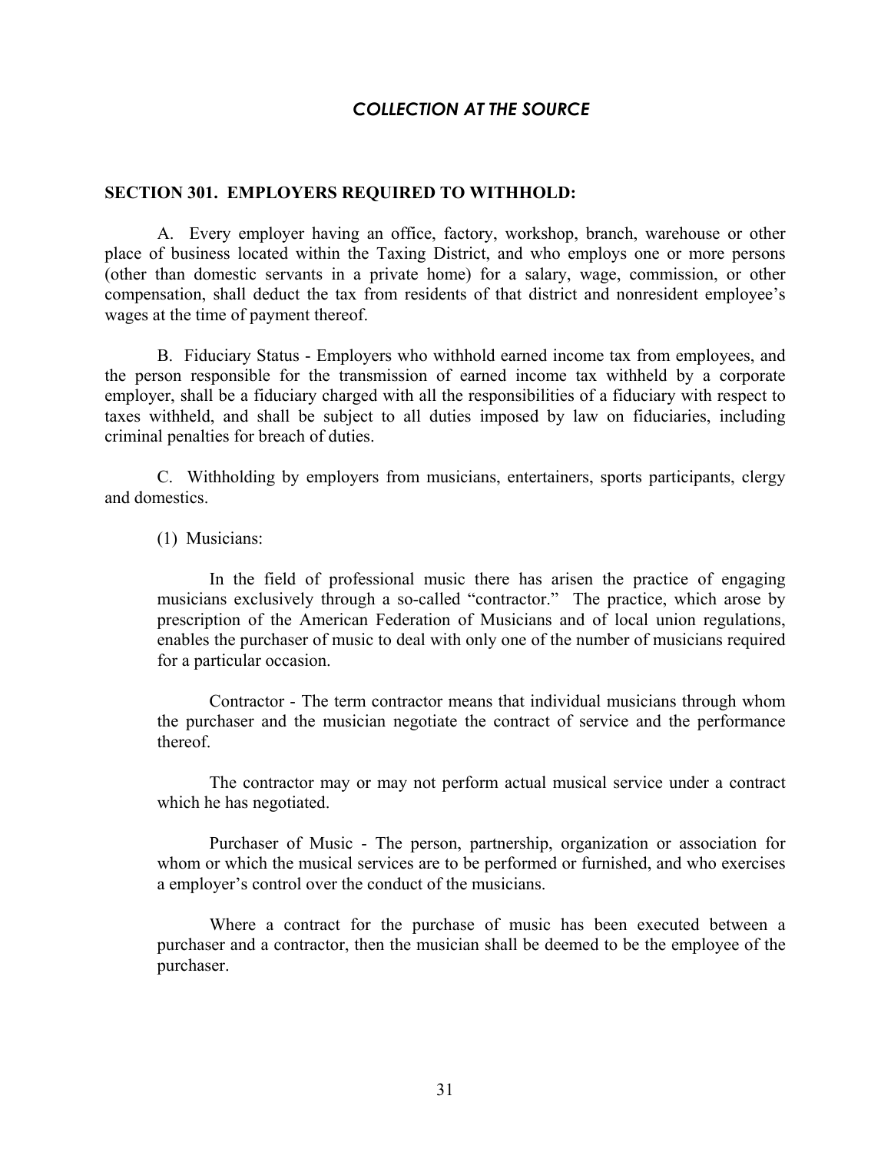## *COLLECTION AT THE SOURCE*

#### **SECTION 301. EMPLOYERS REQUIRED TO WITHHOLD:**

 A. Every employer having an office, factory, workshop, branch, warehouse or other place of business located within the Taxing District, and who employs one or more persons (other than domestic servants in a private home) for a salary, wage, commission, or other compensation, shall deduct the tax from residents of that district and nonresident employee's wages at the time of payment thereof.

 B. Fiduciary Status - Employers who withhold earned income tax from employees, and the person responsible for the transmission of earned income tax withheld by a corporate employer, shall be a fiduciary charged with all the responsibilities of a fiduciary with respect to taxes withheld, and shall be subject to all duties imposed by law on fiduciaries, including criminal penalties for breach of duties.

 C. Withholding by employers from musicians, entertainers, sports participants, clergy and domestics.

(1) Musicians:

 In the field of professional music there has arisen the practice of engaging musicians exclusively through a so-called "contractor." The practice, which arose by prescription of the American Federation of Musicians and of local union regulations, enables the purchaser of music to deal with only one of the number of musicians required for a particular occasion.

 Contractor - The term contractor means that individual musicians through whom the purchaser and the musician negotiate the contract of service and the performance thereof.

 The contractor may or may not perform actual musical service under a contract which he has negotiated.

 Purchaser of Music - The person, partnership, organization or association for whom or which the musical services are to be performed or furnished, and who exercises a employer's control over the conduct of the musicians.

 Where a contract for the purchase of music has been executed between a purchaser and a contractor, then the musician shall be deemed to be the employee of the purchaser.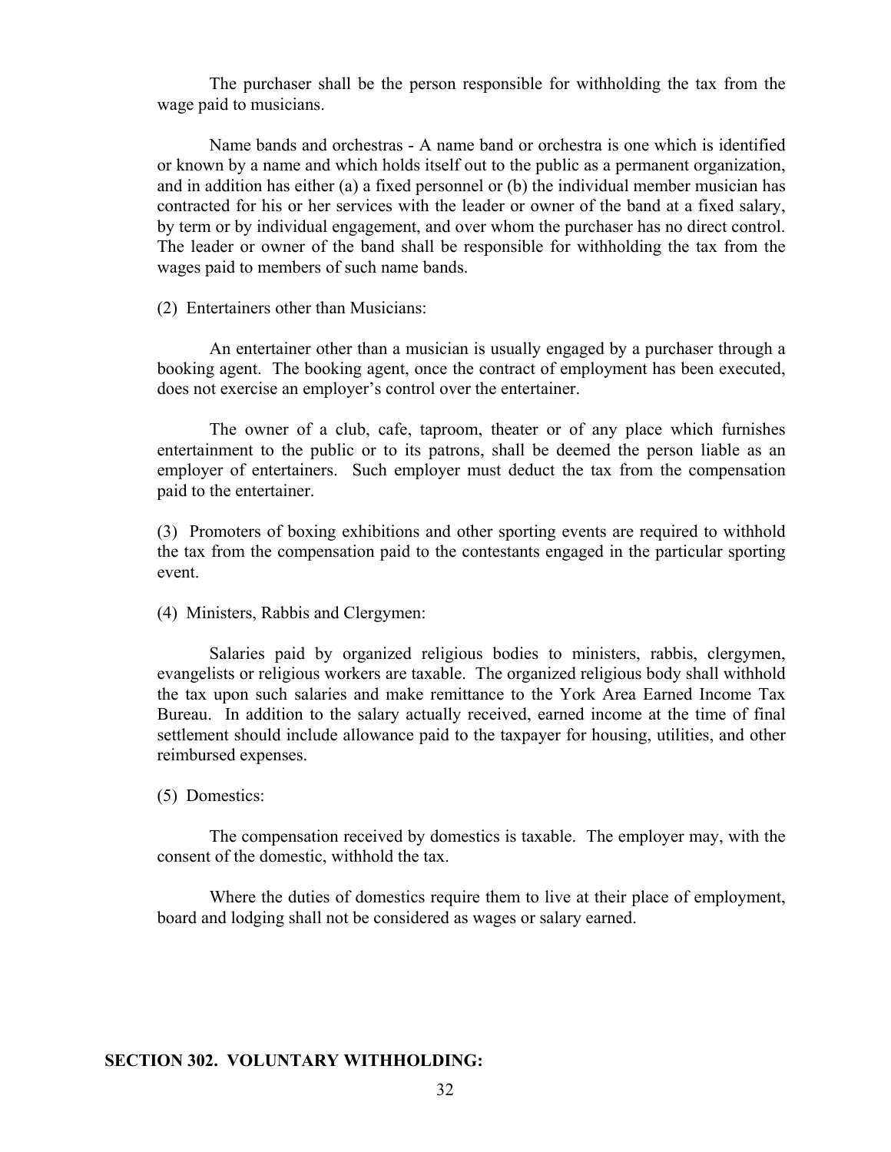The purchaser shall be the person responsible for withholding the tax from the wage paid to musicians.

 Name bands and orchestras - A name band or orchestra is one which is identified or known by a name and which holds itself out to the public as a permanent organization, and in addition has either (a) a fixed personnel or (b) the individual member musician has contracted for his or her services with the leader or owner of the band at a fixed salary, by term or by individual engagement, and over whom the purchaser has no direct control. The leader or owner of the band shall be responsible for withholding the tax from the wages paid to members of such name bands.

(2) Entertainers other than Musicians:

 An entertainer other than a musician is usually engaged by a purchaser through a booking agent. The booking agent, once the contract of employment has been executed, does not exercise an employer's control over the entertainer.

 The owner of a club, cafe, taproom, theater or of any place which furnishes entertainment to the public or to its patrons, shall be deemed the person liable as an employer of entertainers. Such employer must deduct the tax from the compensation paid to the entertainer.

(3) Promoters of boxing exhibitions and other sporting events are required to withhold the tax from the compensation paid to the contestants engaged in the particular sporting event.

(4) Ministers, Rabbis and Clergymen:

 Salaries paid by organized religious bodies to ministers, rabbis, clergymen, evangelists or religious workers are taxable. The organized religious body shall withhold the tax upon such salaries and make remittance to the York Area Earned Income Tax Bureau. In addition to the salary actually received, earned income at the time of final settlement should include allowance paid to the taxpayer for housing, utilities, and other reimbursed expenses.

(5) Domestics:

 The compensation received by domestics is taxable. The employer may, with the consent of the domestic, withhold the tax.

 Where the duties of domestics require them to live at their place of employment, board and lodging shall not be considered as wages or salary earned.

#### **SECTION 302. VOLUNTARY WITHHOLDING:**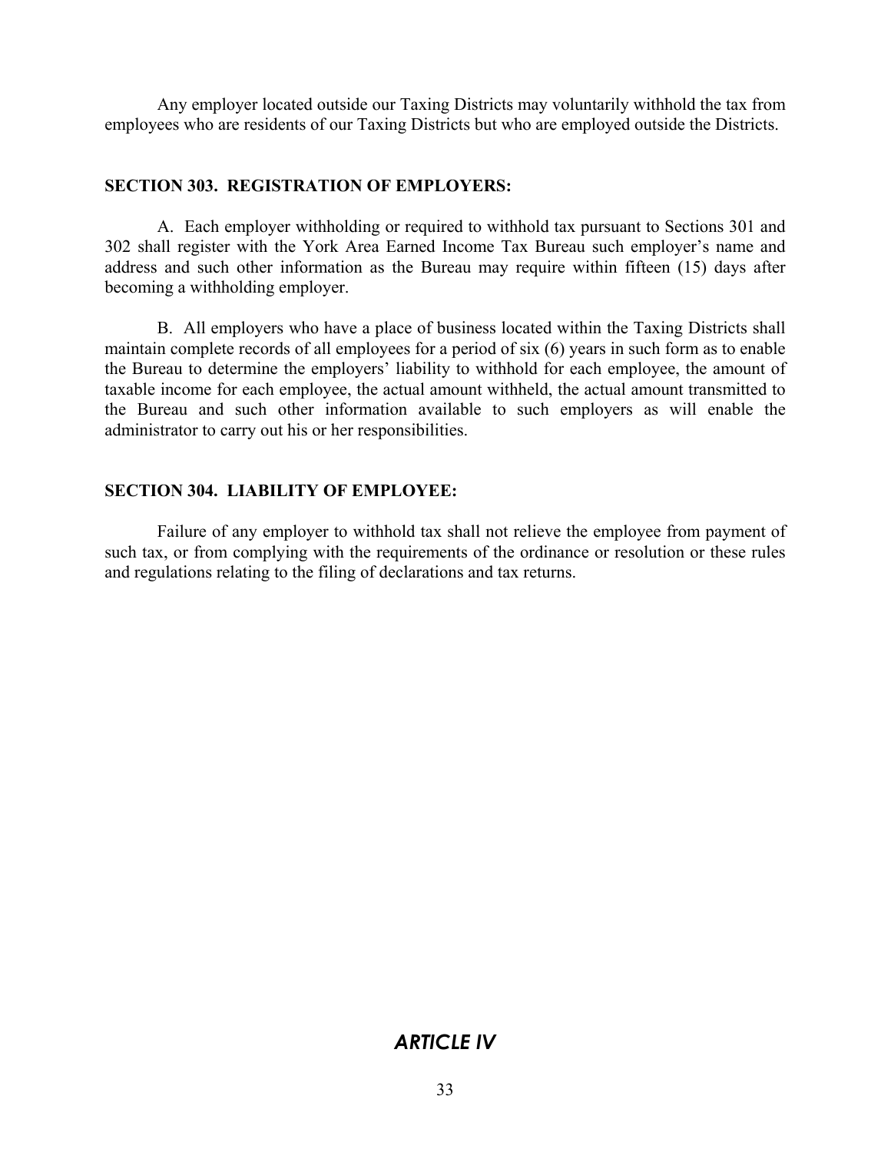Any employer located outside our Taxing Districts may voluntarily withhold the tax from employees who are residents of our Taxing Districts but who are employed outside the Districts.

## **SECTION 303. REGISTRATION OF EMPLOYERS:**

 A. Each employer withholding or required to withhold tax pursuant to Sections 301 and 302 shall register with the York Area Earned Income Tax Bureau such employer's name and address and such other information as the Bureau may require within fifteen (15) days after becoming a withholding employer.

 B. All employers who have a place of business located within the Taxing Districts shall maintain complete records of all employees for a period of six (6) years in such form as to enable the Bureau to determine the employers' liability to withhold for each employee, the amount of taxable income for each employee, the actual amount withheld, the actual amount transmitted to the Bureau and such other information available to such employers as will enable the administrator to carry out his or her responsibilities.

## **SECTION 304. LIABILITY OF EMPLOYEE:**

 Failure of any employer to withhold tax shall not relieve the employee from payment of such tax, or from complying with the requirements of the ordinance or resolution or these rules and regulations relating to the filing of declarations and tax returns.

# *ARTICLE IV*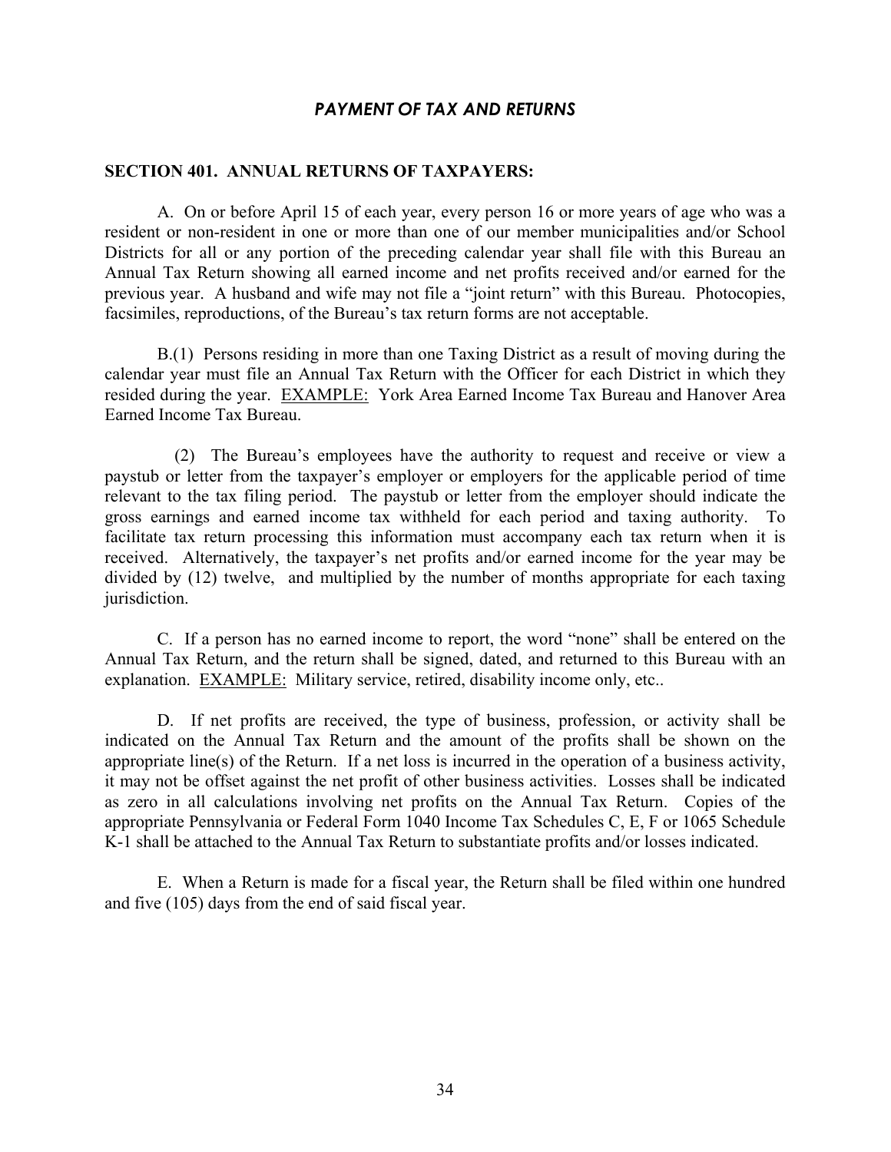#### *PAYMENT OF TAX AND RETURNS*

#### **SECTION 401. ANNUAL RETURNS OF TAXPAYERS:**

 A. On or before April 15 of each year, every person 16 or more years of age who was a resident or non-resident in one or more than one of our member municipalities and/or School Districts for all or any portion of the preceding calendar year shall file with this Bureau an Annual Tax Return showing all earned income and net profits received and/or earned for the previous year. A husband and wife may not file a "joint return" with this Bureau. Photocopies, facsimiles, reproductions, of the Bureau's tax return forms are not acceptable.

 B.(1) Persons residing in more than one Taxing District as a result of moving during the calendar year must file an Annual Tax Return with the Officer for each District in which they resided during the year. EXAMPLE: York Area Earned Income Tax Bureau and Hanover Area Earned Income Tax Bureau.

 (2) The Bureau's employees have the authority to request and receive or view a paystub or letter from the taxpayer's employer or employers for the applicable period of time relevant to the tax filing period. The paystub or letter from the employer should indicate the gross earnings and earned income tax withheld for each period and taxing authority. To facilitate tax return processing this information must accompany each tax return when it is received. Alternatively, the taxpayer's net profits and/or earned income for the year may be divided by (12) twelve, and multiplied by the number of months appropriate for each taxing jurisdiction.

 C. If a person has no earned income to report, the word "none" shall be entered on the Annual Tax Return, and the return shall be signed, dated, and returned to this Bureau with an explanation. EXAMPLE: Military service, retired, disability income only, etc..

 D. If net profits are received, the type of business, profession, or activity shall be indicated on the Annual Tax Return and the amount of the profits shall be shown on the appropriate line(s) of the Return. If a net loss is incurred in the operation of a business activity, it may not be offset against the net profit of other business activities. Losses shall be indicated as zero in all calculations involving net profits on the Annual Tax Return. Copies of the appropriate Pennsylvania or Federal Form 1040 Income Tax Schedules C, E, F or 1065 Schedule K-1 shall be attached to the Annual Tax Return to substantiate profits and/or losses indicated.

 E. When a Return is made for a fiscal year, the Return shall be filed within one hundred and five (105) days from the end of said fiscal year.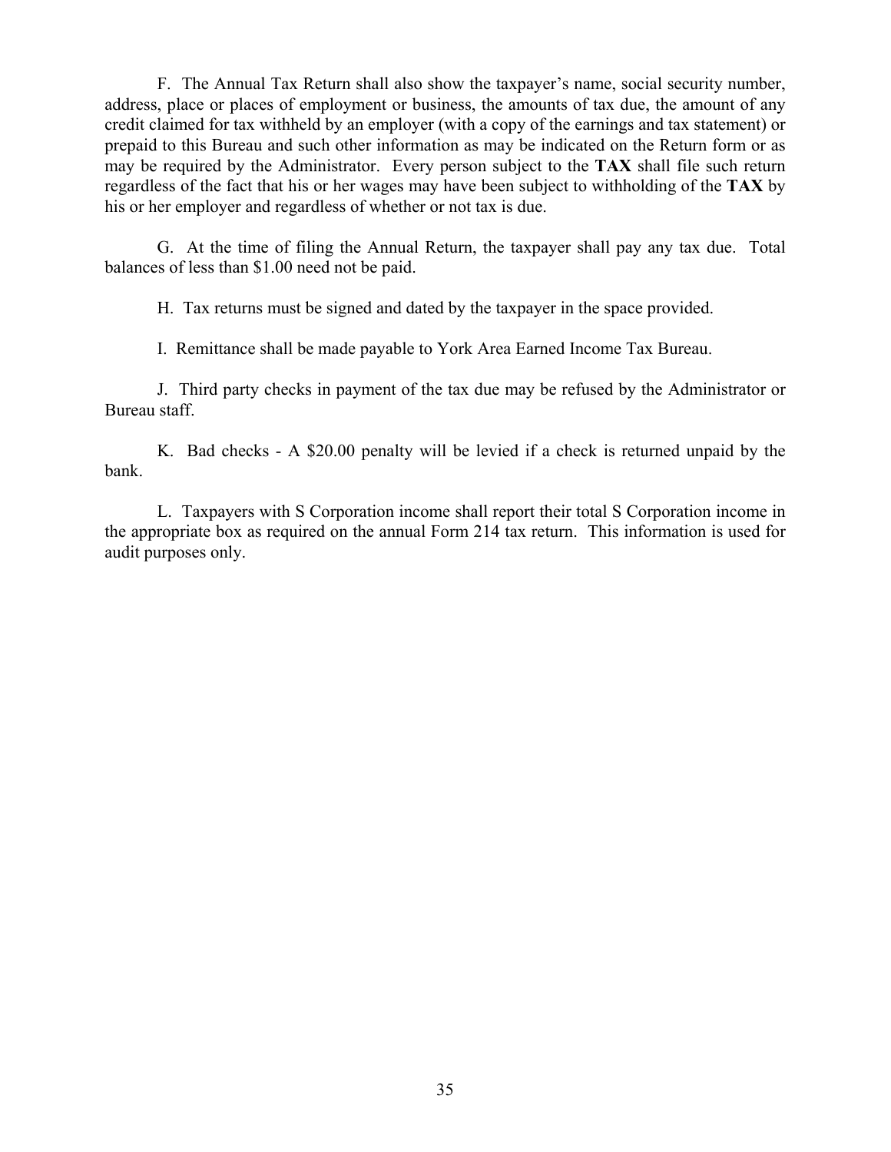F. The Annual Tax Return shall also show the taxpayer's name, social security number, address, place or places of employment or business, the amounts of tax due, the amount of any credit claimed for tax withheld by an employer (with a copy of the earnings and tax statement) or prepaid to this Bureau and such other information as may be indicated on the Return form or as may be required by the Administrator. Every person subject to the **TAX** shall file such return regardless of the fact that his or her wages may have been subject to withholding of the **TAX** by his or her employer and regardless of whether or not tax is due.

 G. At the time of filing the Annual Return, the taxpayer shall pay any tax due. Total balances of less than \$1.00 need not be paid.

H. Tax returns must be signed and dated by the taxpayer in the space provided.

I. Remittance shall be made payable to York Area Earned Income Tax Bureau.

 J. Third party checks in payment of the tax due may be refused by the Administrator or Bureau staff.

 K. Bad checks - A \$20.00 penalty will be levied if a check is returned unpaid by the bank.

 L. Taxpayers with S Corporation income shall report their total S Corporation income in the appropriate box as required on the annual Form 214 tax return. This information is used for audit purposes only.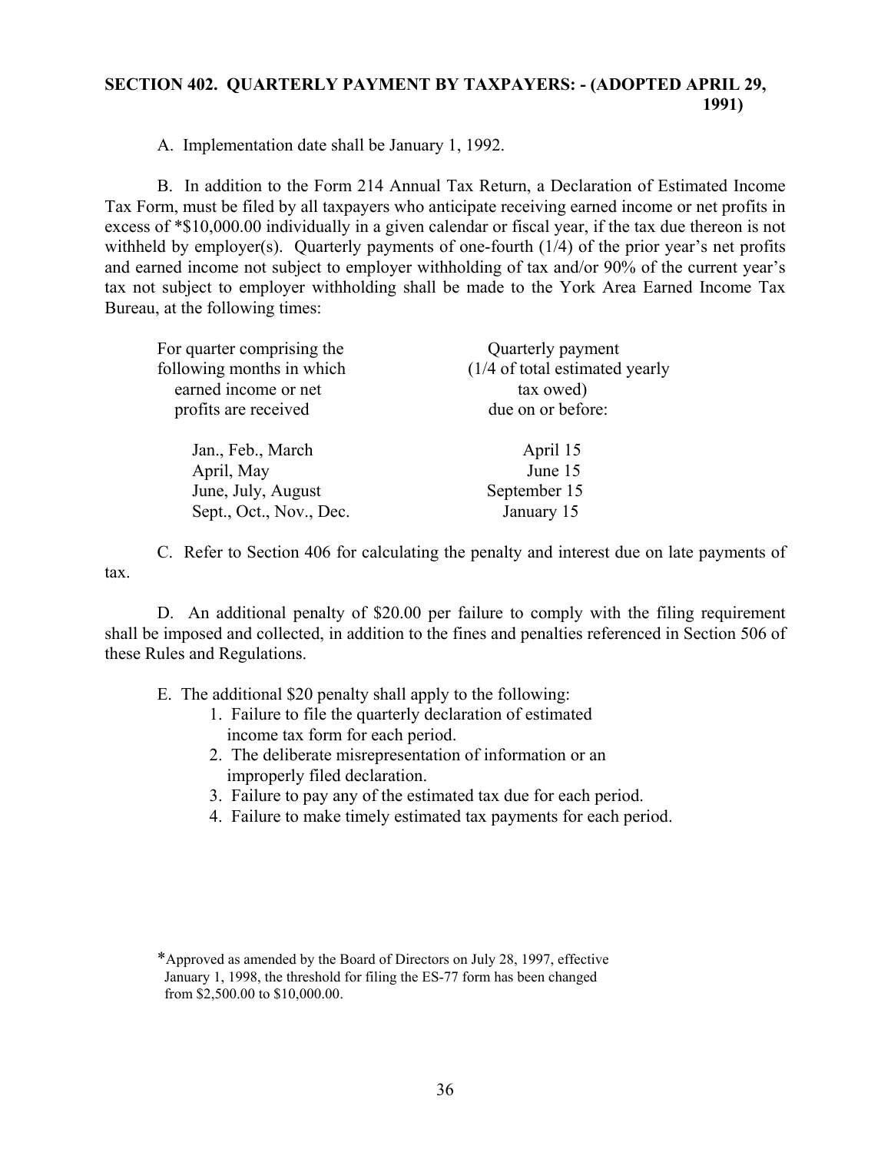## **SECTION 402. QUARTERLY PAYMENT BY TAXPAYERS: - (ADOPTED APRIL 29, 1991)**

A. Implementation date shall be January 1, 1992.

 B. In addition to the Form 214 Annual Tax Return, a Declaration of Estimated Income Tax Form, must be filed by all taxpayers who anticipate receiving earned income or net profits in excess of \*\$10,000.00 individually in a given calendar or fiscal year, if the tax due thereon is not withheld by employer(s). Quarterly payments of one-fourth  $(1/4)$  of the prior year's net profits and earned income not subject to employer withholding of tax and/or 90% of the current year's tax not subject to employer withholding shall be made to the York Area Earned Income Tax Bureau, at the following times:

| For quarter comprising the | Quarterly payment                         |  |
|----------------------------|-------------------------------------------|--|
| following months in which  | $(1/4 \text{ of total estimated }$ yearly |  |
| earned income or net       | tax owed)                                 |  |
| profits are received       | due on or before:                         |  |
|                            |                                           |  |
| Jan., Feb., March          | April 15                                  |  |
| April, May                 | June 15                                   |  |
| June, July, August         | September 15                              |  |
| Sept., Oct., Nov., Dec.    | January 15                                |  |
|                            |                                           |  |

 C. Refer to Section 406 for calculating the penalty and interest due on late payments of tax.

 D. An additional penalty of \$20.00 per failure to comply with the filing requirement shall be imposed and collected, in addition to the fines and penalties referenced in Section 506 of these Rules and Regulations.

E. The additional \$20 penalty shall apply to the following:

- 1. Failure to file the quarterly declaration of estimated income tax form for each period.
- 2. The deliberate misrepresentation of information or an improperly filed declaration.
- 3. Failure to pay any of the estimated tax due for each period.
- 4. Failure to make timely estimated tax payments for each period.

 <sup>\*</sup>Approved as amended by the Board of Directors on July 28, 1997, effective January 1, 1998, the threshold for filing the ES-77 form has been changed from \$2,500.00 to \$10,000.00.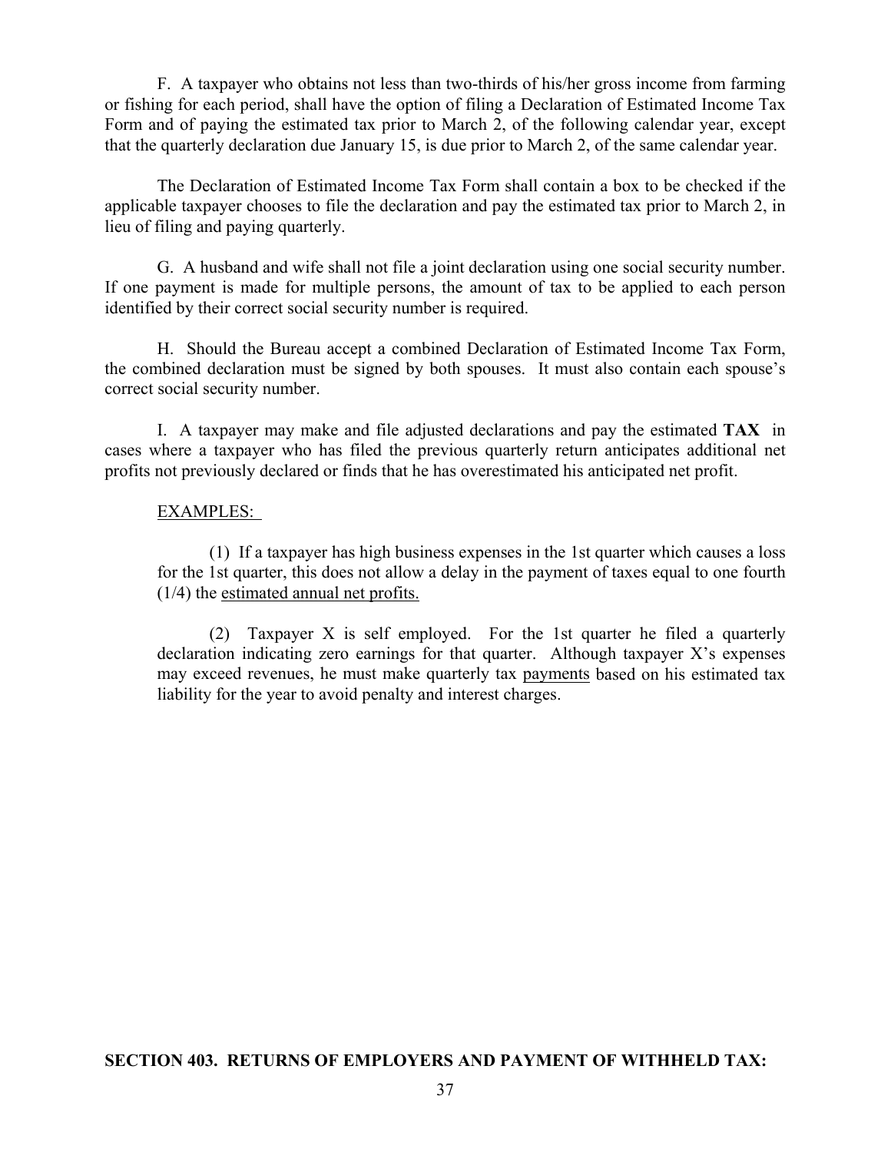F. A taxpayer who obtains not less than two-thirds of his/her gross income from farming or fishing for each period, shall have the option of filing a Declaration of Estimated Income Tax Form and of paying the estimated tax prior to March 2, of the following calendar year, except that the quarterly declaration due January 15, is due prior to March 2, of the same calendar year.

 The Declaration of Estimated Income Tax Form shall contain a box to be checked if the applicable taxpayer chooses to file the declaration and pay the estimated tax prior to March 2, in lieu of filing and paying quarterly.

 G. A husband and wife shall not file a joint declaration using one social security number. If one payment is made for multiple persons, the amount of tax to be applied to each person identified by their correct social security number is required.

 H. Should the Bureau accept a combined Declaration of Estimated Income Tax Form, the combined declaration must be signed by both spouses. It must also contain each spouse's correct social security number.

 I. A taxpayer may make and file adjusted declarations and pay the estimated **TAX** in cases where a taxpayer who has filed the previous quarterly return anticipates additional net profits not previously declared or finds that he has overestimated his anticipated net profit.

## EXAMPLES:

 (1) If a taxpayer has high business expenses in the 1st quarter which causes a loss for the 1st quarter, this does not allow a delay in the payment of taxes equal to one fourth (1/4) the estimated annual net profits.

 (2) Taxpayer X is self employed. For the 1st quarter he filed a quarterly declaration indicating zero earnings for that quarter. Although taxpayer X's expenses may exceed revenues, he must make quarterly tax payments based on his estimated tax liability for the year to avoid penalty and interest charges.

## **SECTION 403. RETURNS OF EMPLOYERS AND PAYMENT OF WITHHELD TAX:**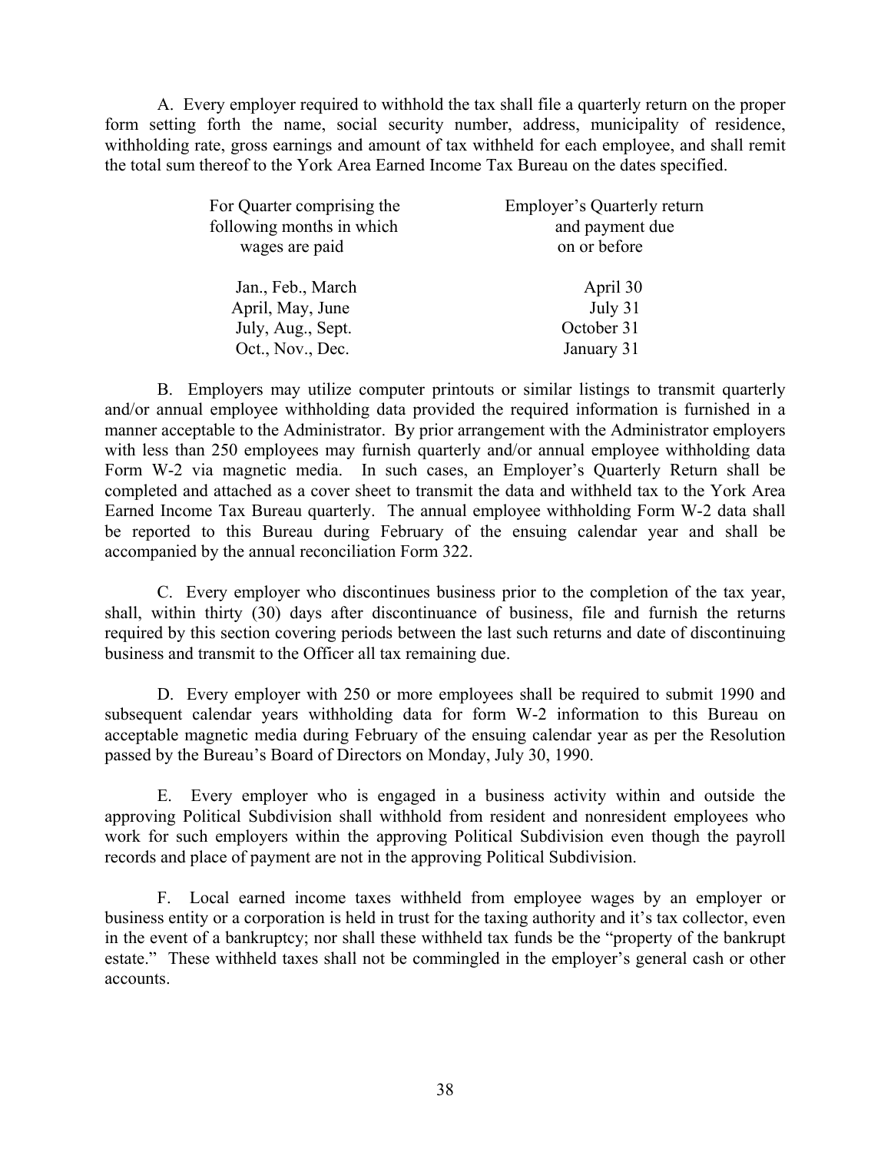A. Every employer required to withhold the tax shall file a quarterly return on the proper form setting forth the name, social security number, address, municipality of residence, withholding rate, gross earnings and amount of tax withheld for each employee, and shall remit the total sum thereof to the York Area Earned Income Tax Bureau on the dates specified.

| For Quarter comprising the<br>following months in which<br>wages are paid | <b>Employer's Quarterly return</b><br>and payment due<br>on or before |
|---------------------------------------------------------------------------|-----------------------------------------------------------------------|
| Jan., Feb., March                                                         | April 30                                                              |
| April, May, June                                                          | July 31                                                               |
| July, Aug., Sept.                                                         | October 31                                                            |
| Oct., Nov., Dec.                                                          | January 31                                                            |
|                                                                           |                                                                       |

 B. Employers may utilize computer printouts or similar listings to transmit quarterly and/or annual employee withholding data provided the required information is furnished in a manner acceptable to the Administrator. By prior arrangement with the Administrator employers with less than 250 employees may furnish quarterly and/or annual employee withholding data Form W-2 via magnetic media. In such cases, an Employer's Quarterly Return shall be completed and attached as a cover sheet to transmit the data and withheld tax to the York Area Earned Income Tax Bureau quarterly. The annual employee withholding Form W-2 data shall be reported to this Bureau during February of the ensuing calendar year and shall be accompanied by the annual reconciliation Form 322.

 C. Every employer who discontinues business prior to the completion of the tax year, shall, within thirty (30) days after discontinuance of business, file and furnish the returns required by this section covering periods between the last such returns and date of discontinuing business and transmit to the Officer all tax remaining due.

 D. Every employer with 250 or more employees shall be required to submit 1990 and subsequent calendar years withholding data for form W-2 information to this Bureau on acceptable magnetic media during February of the ensuing calendar year as per the Resolution passed by the Bureau's Board of Directors on Monday, July 30, 1990.

 E. Every employer who is engaged in a business activity within and outside the approving Political Subdivision shall withhold from resident and nonresident employees who work for such employers within the approving Political Subdivision even though the payroll records and place of payment are not in the approving Political Subdivision.

 F. Local earned income taxes withheld from employee wages by an employer or business entity or a corporation is held in trust for the taxing authority and it's tax collector, even in the event of a bankruptcy; nor shall these withheld tax funds be the "property of the bankrupt estate." These withheld taxes shall not be commingled in the employer's general cash or other accounts.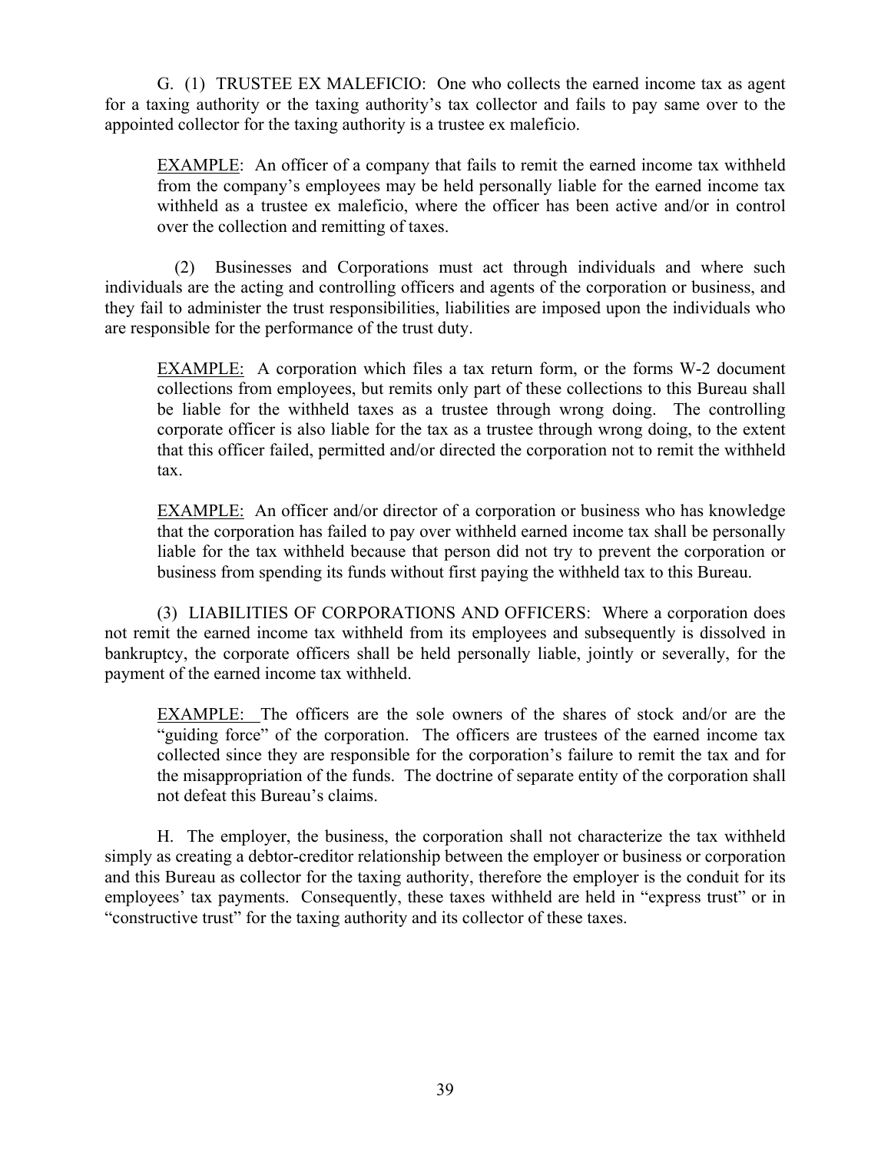G. (1) TRUSTEE EX MALEFICIO: One who collects the earned income tax as agent for a taxing authority or the taxing authority's tax collector and fails to pay same over to the appointed collector for the taxing authority is a trustee ex maleficio.

 EXAMPLE: An officer of a company that fails to remit the earned income tax withheld from the company's employees may be held personally liable for the earned income tax withheld as a trustee ex maleficio, where the officer has been active and/or in control over the collection and remitting of taxes.

 (2) Businesses and Corporations must act through individuals and where such individuals are the acting and controlling officers and agents of the corporation or business, and they fail to administer the trust responsibilities, liabilities are imposed upon the individuals who are responsible for the performance of the trust duty.

 EXAMPLE: A corporation which files a tax return form, or the forms W-2 document collections from employees, but remits only part of these collections to this Bureau shall be liable for the withheld taxes as a trustee through wrong doing. The controlling corporate officer is also liable for the tax as a trustee through wrong doing, to the extent that this officer failed, permitted and/or directed the corporation not to remit the withheld tax.

 EXAMPLE: An officer and/or director of a corporation or business who has knowledge that the corporation has failed to pay over withheld earned income tax shall be personally liable for the tax withheld because that person did not try to prevent the corporation or business from spending its funds without first paying the withheld tax to this Bureau.

 (3) LIABILITIES OF CORPORATIONS AND OFFICERS: Where a corporation does not remit the earned income tax withheld from its employees and subsequently is dissolved in bankruptcy, the corporate officers shall be held personally liable, jointly or severally, for the payment of the earned income tax withheld.

EXAMPLE: The officers are the sole owners of the shares of stock and/or are the "guiding force" of the corporation. The officers are trustees of the earned income tax collected since they are responsible for the corporation's failure to remit the tax and for the misappropriation of the funds. The doctrine of separate entity of the corporation shall not defeat this Bureau's claims.

 H. The employer, the business, the corporation shall not characterize the tax withheld simply as creating a debtor-creditor relationship between the employer or business or corporation and this Bureau as collector for the taxing authority, therefore the employer is the conduit for its employees' tax payments. Consequently, these taxes withheld are held in "express trust" or in "constructive trust" for the taxing authority and its collector of these taxes.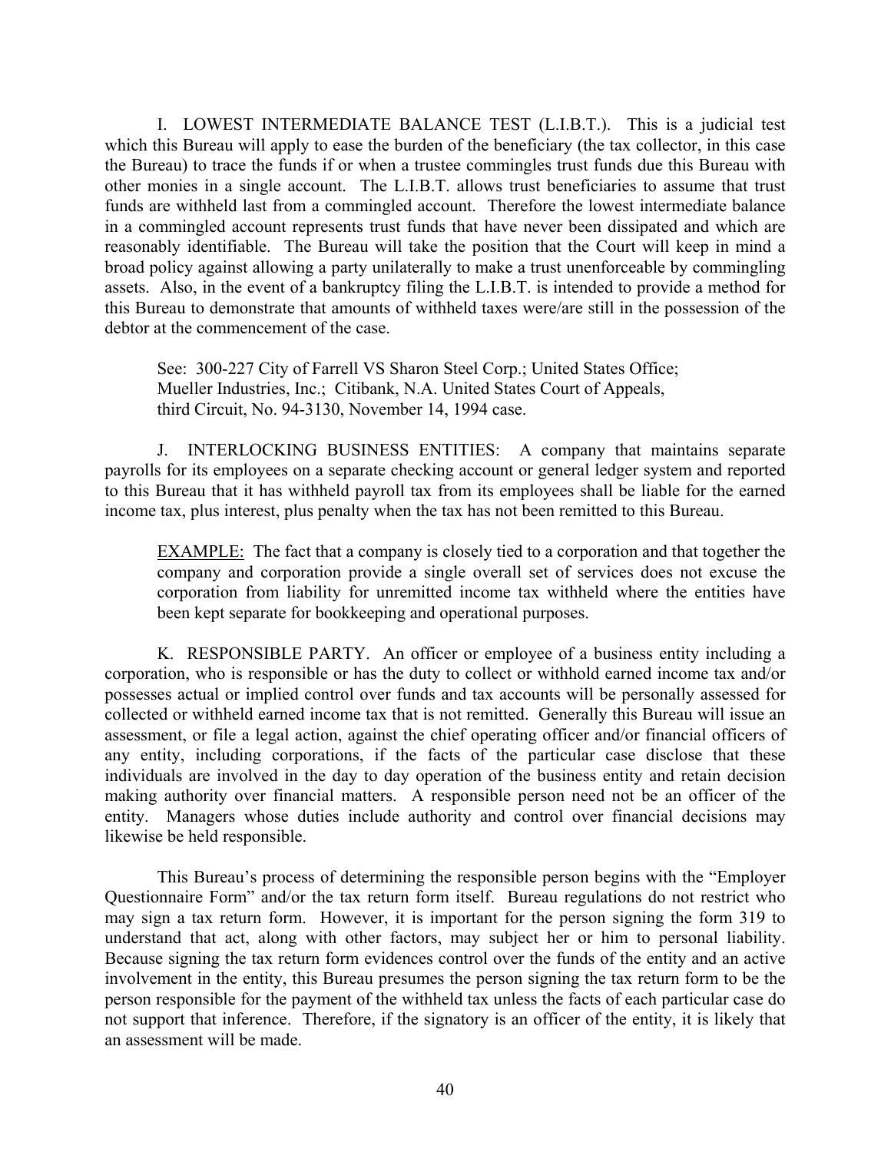I. LOWEST INTERMEDIATE BALANCE TEST (L.I.B.T.). This is a judicial test which this Bureau will apply to ease the burden of the beneficiary (the tax collector, in this case the Bureau) to trace the funds if or when a trustee commingles trust funds due this Bureau with other monies in a single account. The L.I.B.T. allows trust beneficiaries to assume that trust funds are withheld last from a commingled account. Therefore the lowest intermediate balance in a commingled account represents trust funds that have never been dissipated and which are reasonably identifiable. The Bureau will take the position that the Court will keep in mind a broad policy against allowing a party unilaterally to make a trust unenforceable by commingling assets. Also, in the event of a bankruptcy filing the L.I.B.T. is intended to provide a method for this Bureau to demonstrate that amounts of withheld taxes were/are still in the possession of the debtor at the commencement of the case.

 See: 300-227 City of Farrell VS Sharon Steel Corp.; United States Office; Mueller Industries, Inc.; Citibank, N.A. United States Court of Appeals, third Circuit, No. 94-3130, November 14, 1994 case.

 J. INTERLOCKING BUSINESS ENTITIES: A company that maintains separate payrolls for its employees on a separate checking account or general ledger system and reported to this Bureau that it has withheld payroll tax from its employees shall be liable for the earned income tax, plus interest, plus penalty when the tax has not been remitted to this Bureau.

EXAMPLE: The fact that a company is closely tied to a corporation and that together the company and corporation provide a single overall set of services does not excuse the corporation from liability for unremitted income tax withheld where the entities have been kept separate for bookkeeping and operational purposes.

 K. RESPONSIBLE PARTY. An officer or employee of a business entity including a corporation, who is responsible or has the duty to collect or withhold earned income tax and/or possesses actual or implied control over funds and tax accounts will be personally assessed for collected or withheld earned income tax that is not remitted. Generally this Bureau will issue an assessment, or file a legal action, against the chief operating officer and/or financial officers of any entity, including corporations, if the facts of the particular case disclose that these individuals are involved in the day to day operation of the business entity and retain decision making authority over financial matters. A responsible person need not be an officer of the entity. Managers whose duties include authority and control over financial decisions may likewise be held responsible.

 This Bureau's process of determining the responsible person begins with the "Employer Questionnaire Form" and/or the tax return form itself. Bureau regulations do not restrict who may sign a tax return form. However, it is important for the person signing the form 319 to understand that act, along with other factors, may subject her or him to personal liability. Because signing the tax return form evidences control over the funds of the entity and an active involvement in the entity, this Bureau presumes the person signing the tax return form to be the person responsible for the payment of the withheld tax unless the facts of each particular case do not support that inference. Therefore, if the signatory is an officer of the entity, it is likely that an assessment will be made.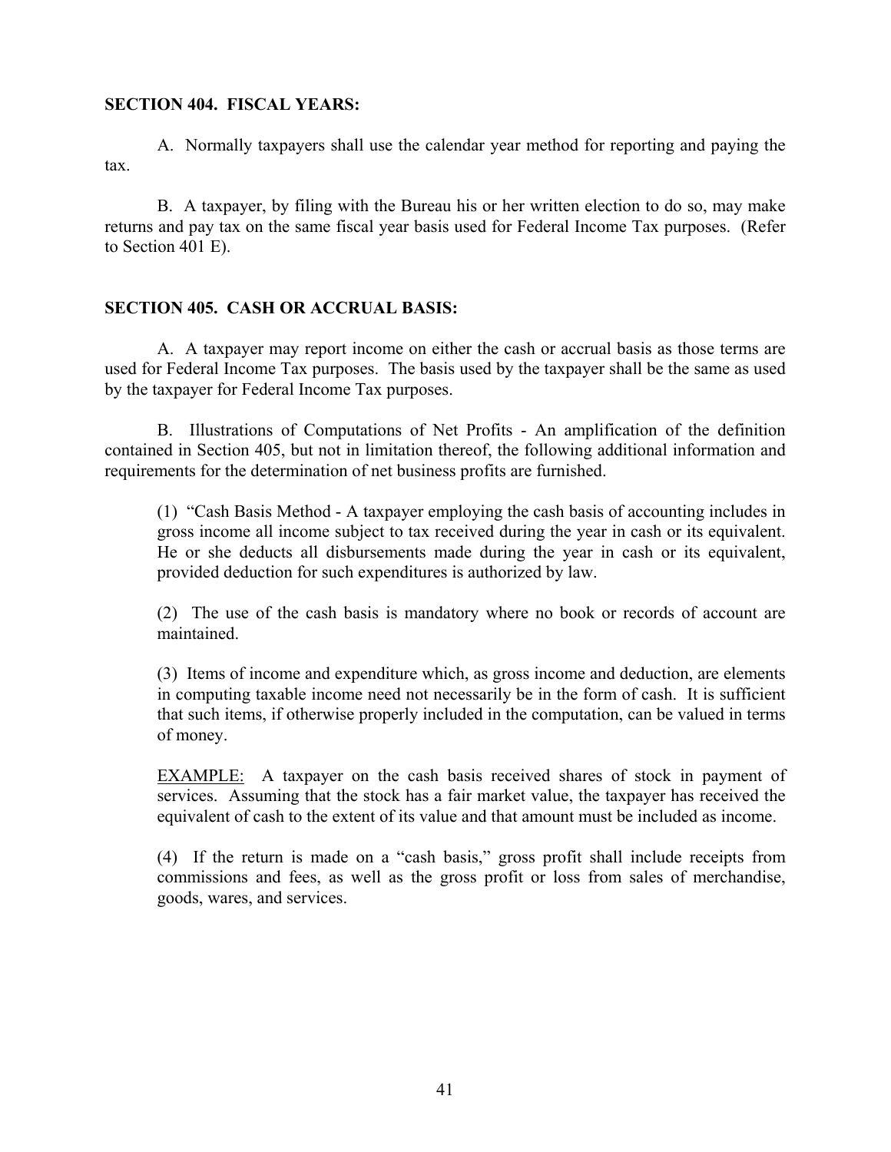## **SECTION 404. FISCAL YEARS:**

 A. Normally taxpayers shall use the calendar year method for reporting and paying the tax.

 B. A taxpayer, by filing with the Bureau his or her written election to do so, may make returns and pay tax on the same fiscal year basis used for Federal Income Tax purposes. (Refer to Section 401 E).

## **SECTION 405. CASH OR ACCRUAL BASIS:**

 A. A taxpayer may report income on either the cash or accrual basis as those terms are used for Federal Income Tax purposes. The basis used by the taxpayer shall be the same as used by the taxpayer for Federal Income Tax purposes.

 B. Illustrations of Computations of Net Profits - An amplification of the definition contained in Section 405, but not in limitation thereof, the following additional information and requirements for the determination of net business profits are furnished.

 (1) "Cash Basis Method - A taxpayer employing the cash basis of accounting includes in gross income all income subject to tax received during the year in cash or its equivalent. He or she deducts all disbursements made during the year in cash or its equivalent, provided deduction for such expenditures is authorized by law.

 (2) The use of the cash basis is mandatory where no book or records of account are maintained.

 (3) Items of income and expenditure which, as gross income and deduction, are elements in computing taxable income need not necessarily be in the form of cash. It is sufficient that such items, if otherwise properly included in the computation, can be valued in terms of money.

 EXAMPLE: A taxpayer on the cash basis received shares of stock in payment of services. Assuming that the stock has a fair market value, the taxpayer has received the equivalent of cash to the extent of its value and that amount must be included as income.

 (4) If the return is made on a "cash basis," gross profit shall include receipts from commissions and fees, as well as the gross profit or loss from sales of merchandise, goods, wares, and services.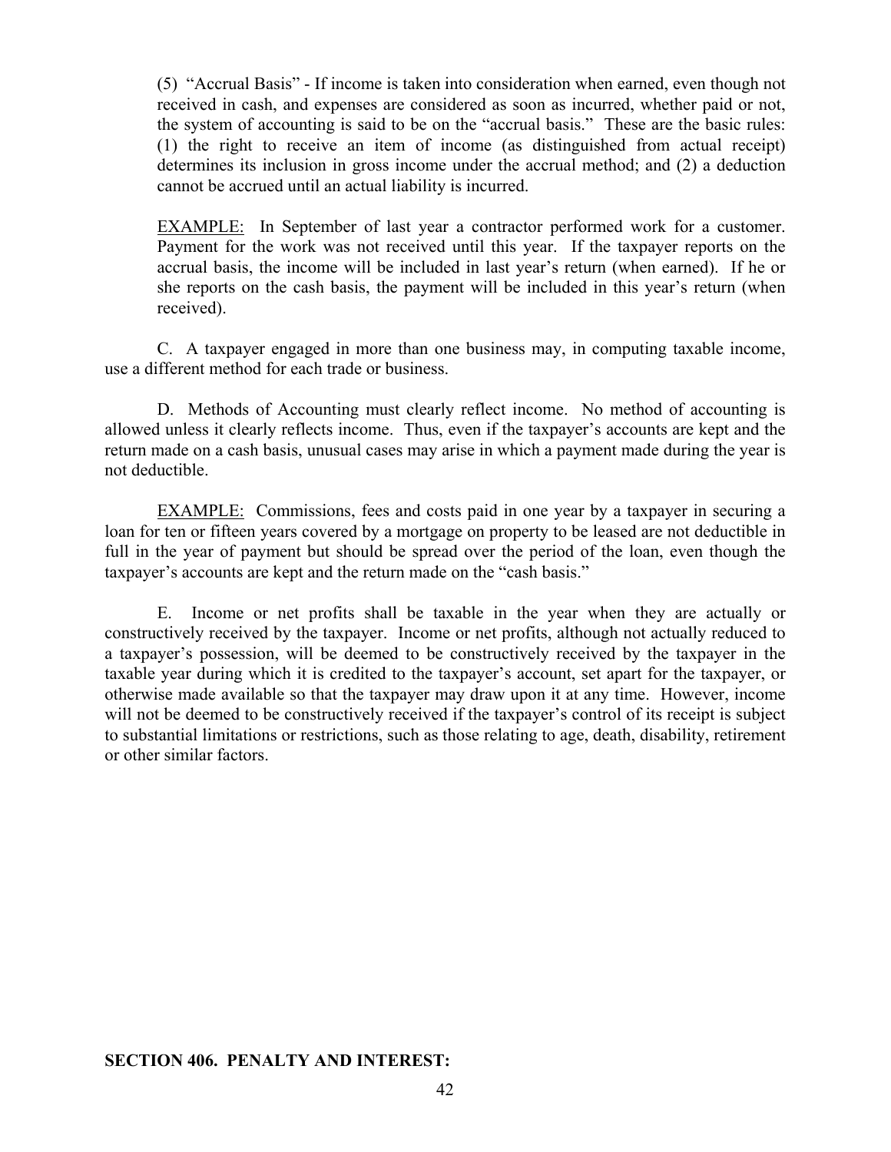(5) "Accrual Basis" - If income is taken into consideration when earned, even though not received in cash, and expenses are considered as soon as incurred, whether paid or not, the system of accounting is said to be on the "accrual basis." These are the basic rules: (1) the right to receive an item of income (as distinguished from actual receipt) determines its inclusion in gross income under the accrual method; and (2) a deduction cannot be accrued until an actual liability is incurred.

 EXAMPLE: In September of last year a contractor performed work for a customer. Payment for the work was not received until this year. If the taxpayer reports on the accrual basis, the income will be included in last year's return (when earned). If he or she reports on the cash basis, the payment will be included in this year's return (when received).

 C. A taxpayer engaged in more than one business may, in computing taxable income, use a different method for each trade or business.

 D. Methods of Accounting must clearly reflect income. No method of accounting is allowed unless it clearly reflects income. Thus, even if the taxpayer's accounts are kept and the return made on a cash basis, unusual cases may arise in which a payment made during the year is not deductible.

EXAMPLE: Commissions, fees and costs paid in one year by a taxpayer in securing a loan for ten or fifteen years covered by a mortgage on property to be leased are not deductible in full in the year of payment but should be spread over the period of the loan, even though the taxpayer's accounts are kept and the return made on the "cash basis."

 E. Income or net profits shall be taxable in the year when they are actually or constructively received by the taxpayer. Income or net profits, although not actually reduced to a taxpayer's possession, will be deemed to be constructively received by the taxpayer in the taxable year during which it is credited to the taxpayer's account, set apart for the taxpayer, or otherwise made available so that the taxpayer may draw upon it at any time. However, income will not be deemed to be constructively received if the taxpayer's control of its receipt is subject to substantial limitations or restrictions, such as those relating to age, death, disability, retirement or other similar factors.

## **SECTION 406. PENALTY AND INTEREST:**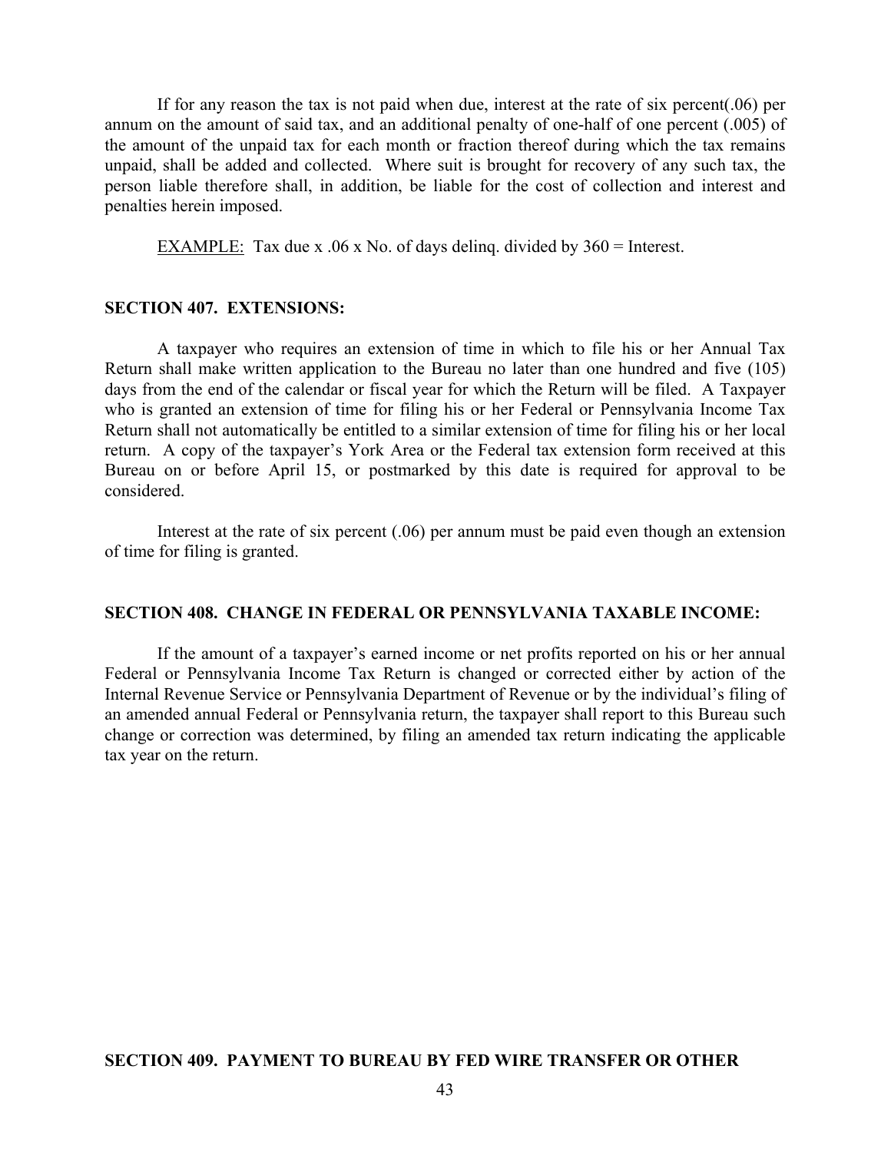If for any reason the tax is not paid when due, interest at the rate of six percent(.06) per annum on the amount of said tax, and an additional penalty of one-half of one percent (.005) of the amount of the unpaid tax for each month or fraction thereof during which the tax remains unpaid, shall be added and collected. Where suit is brought for recovery of any such tax, the person liable therefore shall, in addition, be liable for the cost of collection and interest and penalties herein imposed.

EXAMPLE: Tax due x .06 x No. of days deling. divided by  $360 =$  Interest.

#### **SECTION 407. EXTENSIONS:**

 A taxpayer who requires an extension of time in which to file his or her Annual Tax Return shall make written application to the Bureau no later than one hundred and five (105) days from the end of the calendar or fiscal year for which the Return will be filed. A Taxpayer who is granted an extension of time for filing his or her Federal or Pennsylvania Income Tax Return shall not automatically be entitled to a similar extension of time for filing his or her local return. A copy of the taxpayer's York Area or the Federal tax extension form received at this Bureau on or before April 15, or postmarked by this date is required for approval to be considered.

 Interest at the rate of six percent (.06) per annum must be paid even though an extension of time for filing is granted.

#### **SECTION 408. CHANGE IN FEDERAL OR PENNSYLVANIA TAXABLE INCOME:**

 If the amount of a taxpayer's earned income or net profits reported on his or her annual Federal or Pennsylvania Income Tax Return is changed or corrected either by action of the Internal Revenue Service or Pennsylvania Department of Revenue or by the individual's filing of an amended annual Federal or Pennsylvania return, the taxpayer shall report to this Bureau such change or correction was determined, by filing an amended tax return indicating the applicable tax year on the return.

#### **SECTION 409. PAYMENT TO BUREAU BY FED WIRE TRANSFER OR OTHER**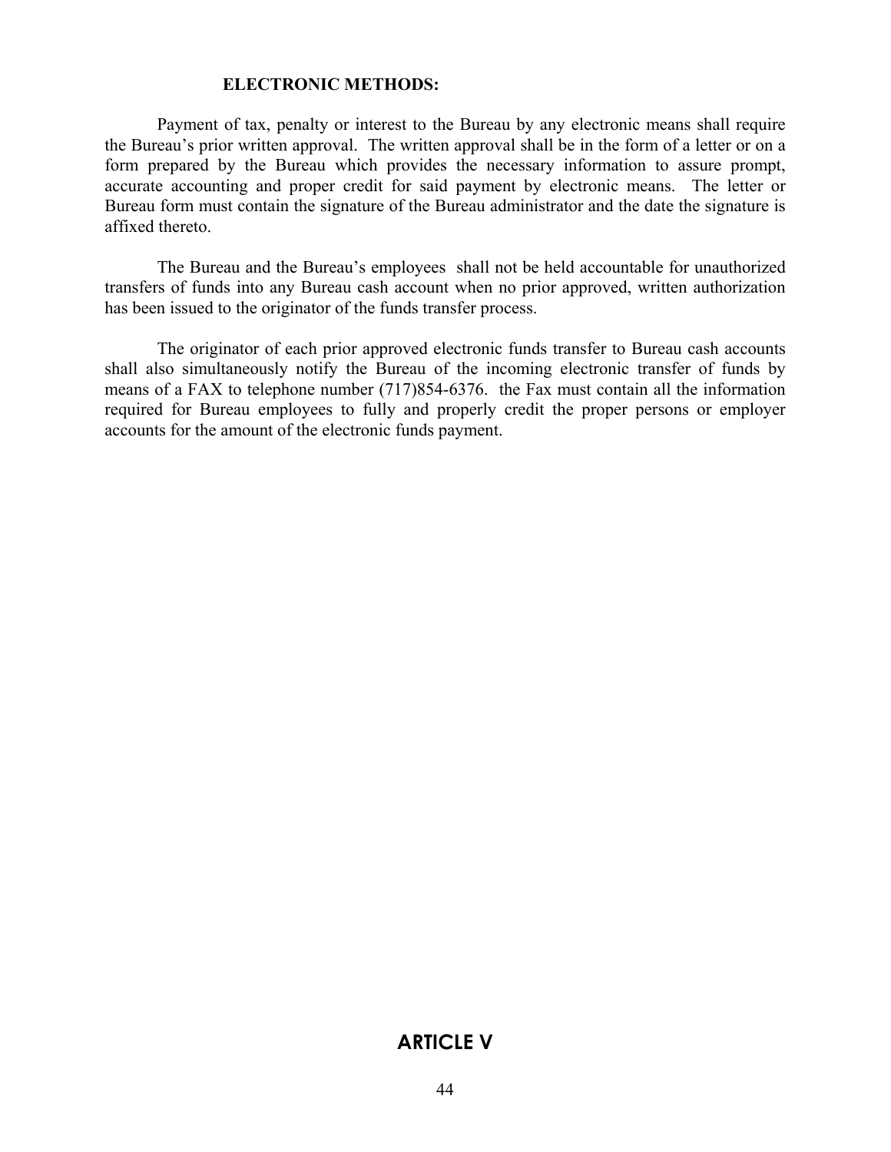#### **ELECTRONIC METHODS:**

 Payment of tax, penalty or interest to the Bureau by any electronic means shall require the Bureau's prior written approval. The written approval shall be in the form of a letter or on a form prepared by the Bureau which provides the necessary information to assure prompt, accurate accounting and proper credit for said payment by electronic means. The letter or Bureau form must contain the signature of the Bureau administrator and the date the signature is affixed thereto.

 The Bureau and the Bureau's employees shall not be held accountable for unauthorized transfers of funds into any Bureau cash account when no prior approved, written authorization has been issued to the originator of the funds transfer process.

 The originator of each prior approved electronic funds transfer to Bureau cash accounts shall also simultaneously notify the Bureau of the incoming electronic transfer of funds by means of a FAX to telephone number (717)854-6376. the Fax must contain all the information required for Bureau employees to fully and properly credit the proper persons or employer accounts for the amount of the electronic funds payment.

## **ARTICLE V**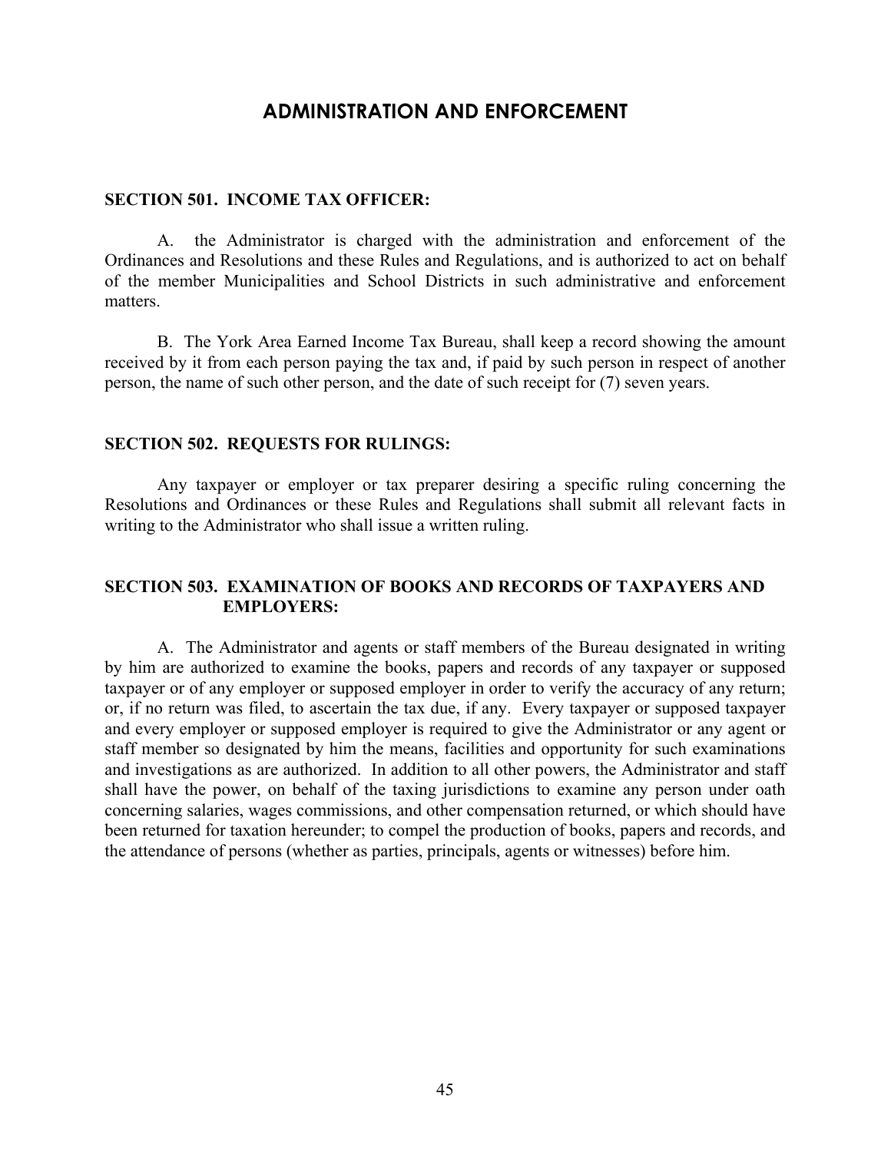## **ADMINISTRATION AND ENFORCEMENT**

#### **SECTION 501. INCOME TAX OFFICER:**

 A. the Administrator is charged with the administration and enforcement of the Ordinances and Resolutions and these Rules and Regulations, and is authorized to act on behalf of the member Municipalities and School Districts in such administrative and enforcement matters.

 B. The York Area Earned Income Tax Bureau, shall keep a record showing the amount received by it from each person paying the tax and, if paid by such person in respect of another person, the name of such other person, and the date of such receipt for (7) seven years.

#### **SECTION 502. REQUESTS FOR RULINGS:**

 Any taxpayer or employer or tax preparer desiring a specific ruling concerning the Resolutions and Ordinances or these Rules and Regulations shall submit all relevant facts in writing to the Administrator who shall issue a written ruling.

## **SECTION 503. EXAMINATION OF BOOKS AND RECORDS OF TAXPAYERS AND EMPLOYERS:**

A. The Administrator and agents or staff members of the Bureau designated in writing by him are authorized to examine the books, papers and records of any taxpayer or supposed taxpayer or of any employer or supposed employer in order to verify the accuracy of any return; or, if no return was filed, to ascertain the tax due, if any. Every taxpayer or supposed taxpayer and every employer or supposed employer is required to give the Administrator or any agent or staff member so designated by him the means, facilities and opportunity for such examinations and investigations as are authorized. In addition to all other powers, the Administrator and staff shall have the power, on behalf of the taxing jurisdictions to examine any person under oath concerning salaries, wages commissions, and other compensation returned, or which should have been returned for taxation hereunder; to compel the production of books, papers and records, and the attendance of persons (whether as parties, principals, agents or witnesses) before him.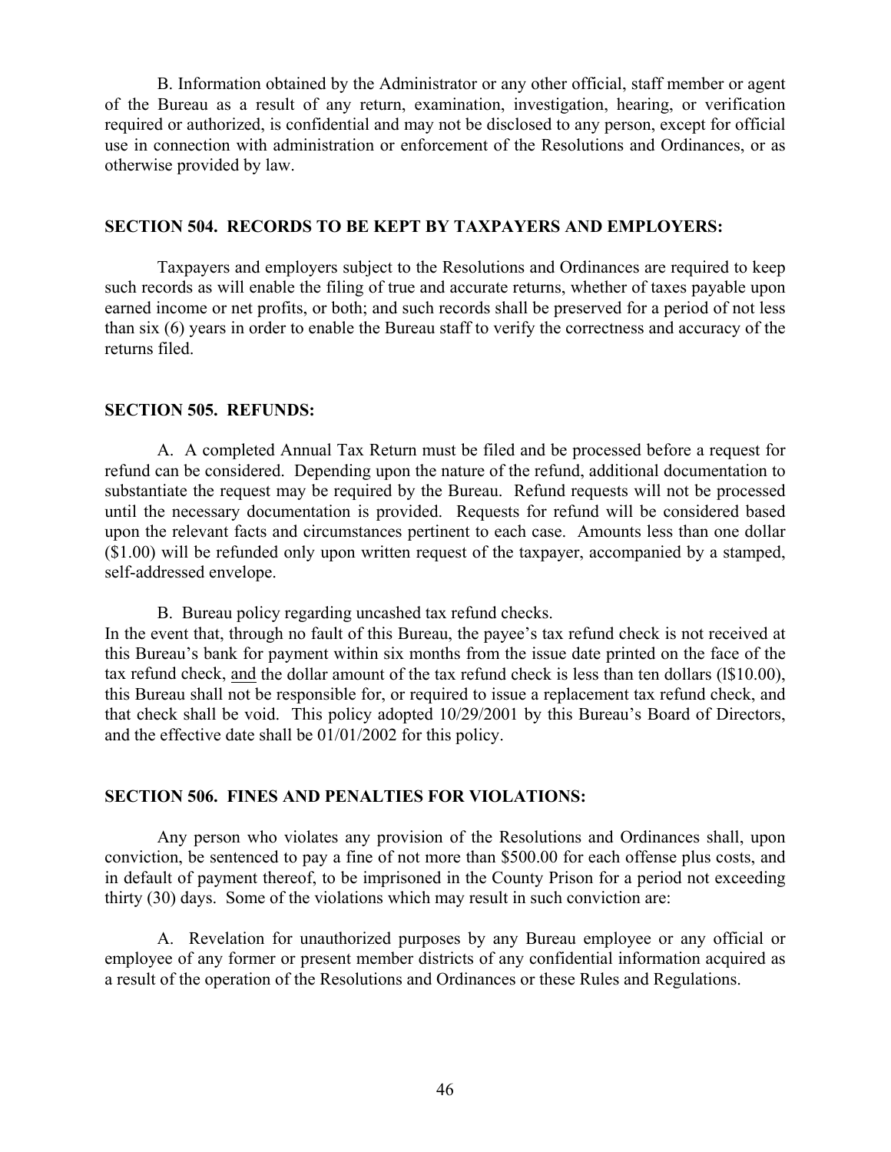B. Information obtained by the Administrator or any other official, staff member or agent of the Bureau as a result of any return, examination, investigation, hearing, or verification required or authorized, is confidential and may not be disclosed to any person, except for official use in connection with administration or enforcement of the Resolutions and Ordinances, or as otherwise provided by law.

#### **SECTION 504. RECORDS TO BE KEPT BY TAXPAYERS AND EMPLOYERS:**

 Taxpayers and employers subject to the Resolutions and Ordinances are required to keep such records as will enable the filing of true and accurate returns, whether of taxes payable upon earned income or net profits, or both; and such records shall be preserved for a period of not less than six (6) years in order to enable the Bureau staff to verify the correctness and accuracy of the returns filed.

#### **SECTION 505. REFUNDS:**

 A. A completed Annual Tax Return must be filed and be processed before a request for refund can be considered. Depending upon the nature of the refund, additional documentation to substantiate the request may be required by the Bureau. Refund requests will not be processed until the necessary documentation is provided. Requests for refund will be considered based upon the relevant facts and circumstances pertinent to each case. Amounts less than one dollar (\$1.00) will be refunded only upon written request of the taxpayer, accompanied by a stamped, self-addressed envelope.

B. Bureau policy regarding uncashed tax refund checks.

In the event that, through no fault of this Bureau, the payee's tax refund check is not received at this Bureau's bank for payment within six months from the issue date printed on the face of the tax refund check, and the dollar amount of the tax refund check is less than ten dollars (l\$10.00), this Bureau shall not be responsible for, or required to issue a replacement tax refund check, and that check shall be void. This policy adopted 10/29/2001 by this Bureau's Board of Directors, and the effective date shall be 01/01/2002 for this policy.

## **SECTION 506. FINES AND PENALTIES FOR VIOLATIONS:**

 Any person who violates any provision of the Resolutions and Ordinances shall, upon conviction, be sentenced to pay a fine of not more than \$500.00 for each offense plus costs, and in default of payment thereof, to be imprisoned in the County Prison for a period not exceeding thirty (30) days. Some of the violations which may result in such conviction are:

 A. Revelation for unauthorized purposes by any Bureau employee or any official or employee of any former or present member districts of any confidential information acquired as a result of the operation of the Resolutions and Ordinances or these Rules and Regulations.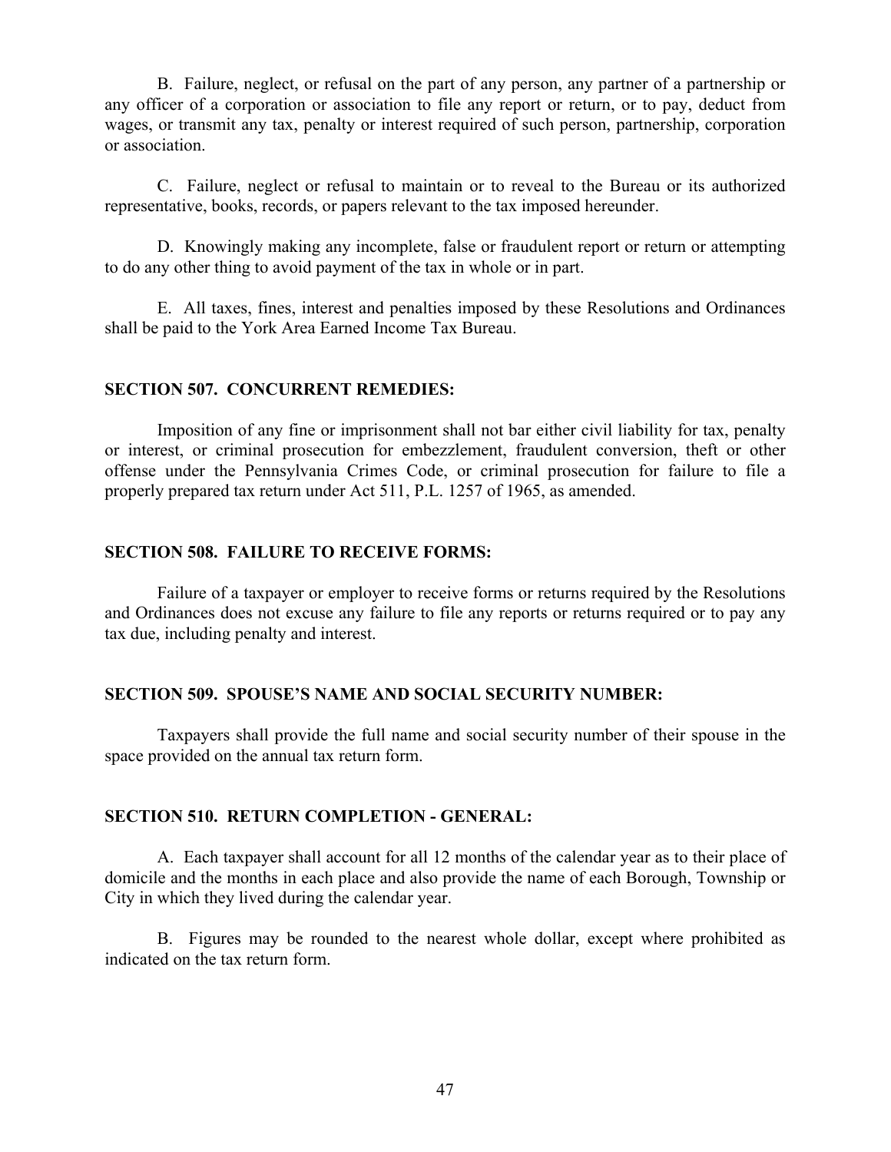B. Failure, neglect, or refusal on the part of any person, any partner of a partnership or any officer of a corporation or association to file any report or return, or to pay, deduct from wages, or transmit any tax, penalty or interest required of such person, partnership, corporation or association.

 C. Failure, neglect or refusal to maintain or to reveal to the Bureau or its authorized representative, books, records, or papers relevant to the tax imposed hereunder.

 D. Knowingly making any incomplete, false or fraudulent report or return or attempting to do any other thing to avoid payment of the tax in whole or in part.

 E. All taxes, fines, interest and penalties imposed by these Resolutions and Ordinances shall be paid to the York Area Earned Income Tax Bureau.

#### **SECTION 507. CONCURRENT REMEDIES:**

Imposition of any fine or imprisonment shall not bar either civil liability for tax, penalty or interest, or criminal prosecution for embezzlement, fraudulent conversion, theft or other offense under the Pennsylvania Crimes Code, or criminal prosecution for failure to file a properly prepared tax return under Act 511, P.L. 1257 of 1965, as amended.

## **SECTION 508. FAILURE TO RECEIVE FORMS:**

Failure of a taxpayer or employer to receive forms or returns required by the Resolutions and Ordinances does not excuse any failure to file any reports or returns required or to pay any tax due, including penalty and interest.

## **SECTION 509. SPOUSE'S NAME AND SOCIAL SECURITY NUMBER:**

 Taxpayers shall provide the full name and social security number of their spouse in the space provided on the annual tax return form.

## **SECTION 510. RETURN COMPLETION - GENERAL:**

 A. Each taxpayer shall account for all 12 months of the calendar year as to their place of domicile and the months in each place and also provide the name of each Borough, Township or City in which they lived during the calendar year.

 B. Figures may be rounded to the nearest whole dollar, except where prohibited as indicated on the tax return form.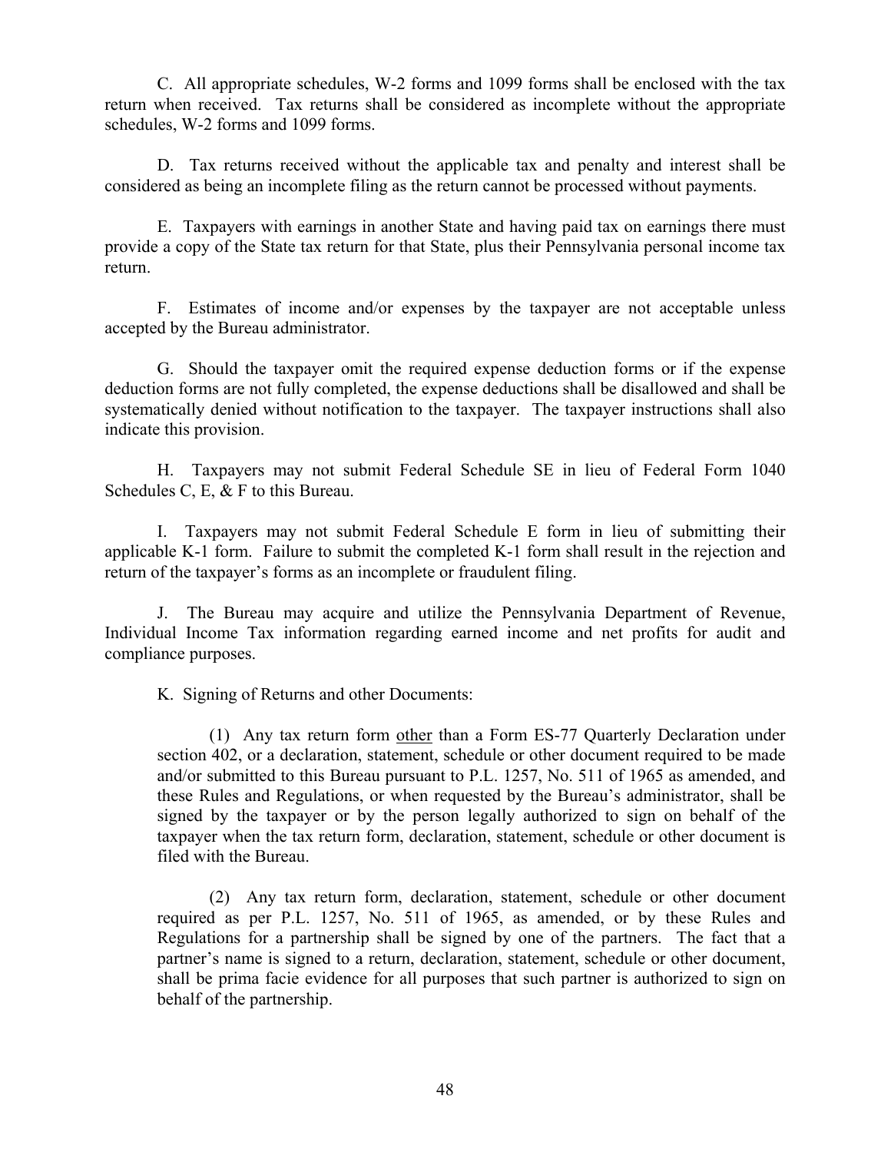C. All appropriate schedules, W-2 forms and 1099 forms shall be enclosed with the tax return when received. Tax returns shall be considered as incomplete without the appropriate schedules, W-2 forms and 1099 forms.

 D. Tax returns received without the applicable tax and penalty and interest shall be considered as being an incomplete filing as the return cannot be processed without payments.

 E. Taxpayers with earnings in another State and having paid tax on earnings there must provide a copy of the State tax return for that State, plus their Pennsylvania personal income tax return.

 F. Estimates of income and/or expenses by the taxpayer are not acceptable unless accepted by the Bureau administrator.

 G. Should the taxpayer omit the required expense deduction forms or if the expense deduction forms are not fully completed, the expense deductions shall be disallowed and shall be systematically denied without notification to the taxpayer. The taxpayer instructions shall also indicate this provision.

 H. Taxpayers may not submit Federal Schedule SE in lieu of Federal Form 1040 Schedules C, E, & F to this Bureau.

 I. Taxpayers may not submit Federal Schedule E form in lieu of submitting their applicable K-1 form. Failure to submit the completed K-1 form shall result in the rejection and return of the taxpayer's forms as an incomplete or fraudulent filing.

 J. The Bureau may acquire and utilize the Pennsylvania Department of Revenue, Individual Income Tax information regarding earned income and net profits for audit and compliance purposes.

K. Signing of Returns and other Documents:

 (1) Any tax return form other than a Form ES-77 Quarterly Declaration under section 402, or a declaration, statement, schedule or other document required to be made and/or submitted to this Bureau pursuant to P.L. 1257, No. 511 of 1965 as amended, and these Rules and Regulations, or when requested by the Bureau's administrator, shall be signed by the taxpayer or by the person legally authorized to sign on behalf of the taxpayer when the tax return form, declaration, statement, schedule or other document is filed with the Bureau.

 (2) Any tax return form, declaration, statement, schedule or other document required as per P.L. 1257, No. 511 of 1965, as amended, or by these Rules and Regulations for a partnership shall be signed by one of the partners. The fact that a partner's name is signed to a return, declaration, statement, schedule or other document, shall be prima facie evidence for all purposes that such partner is authorized to sign on behalf of the partnership.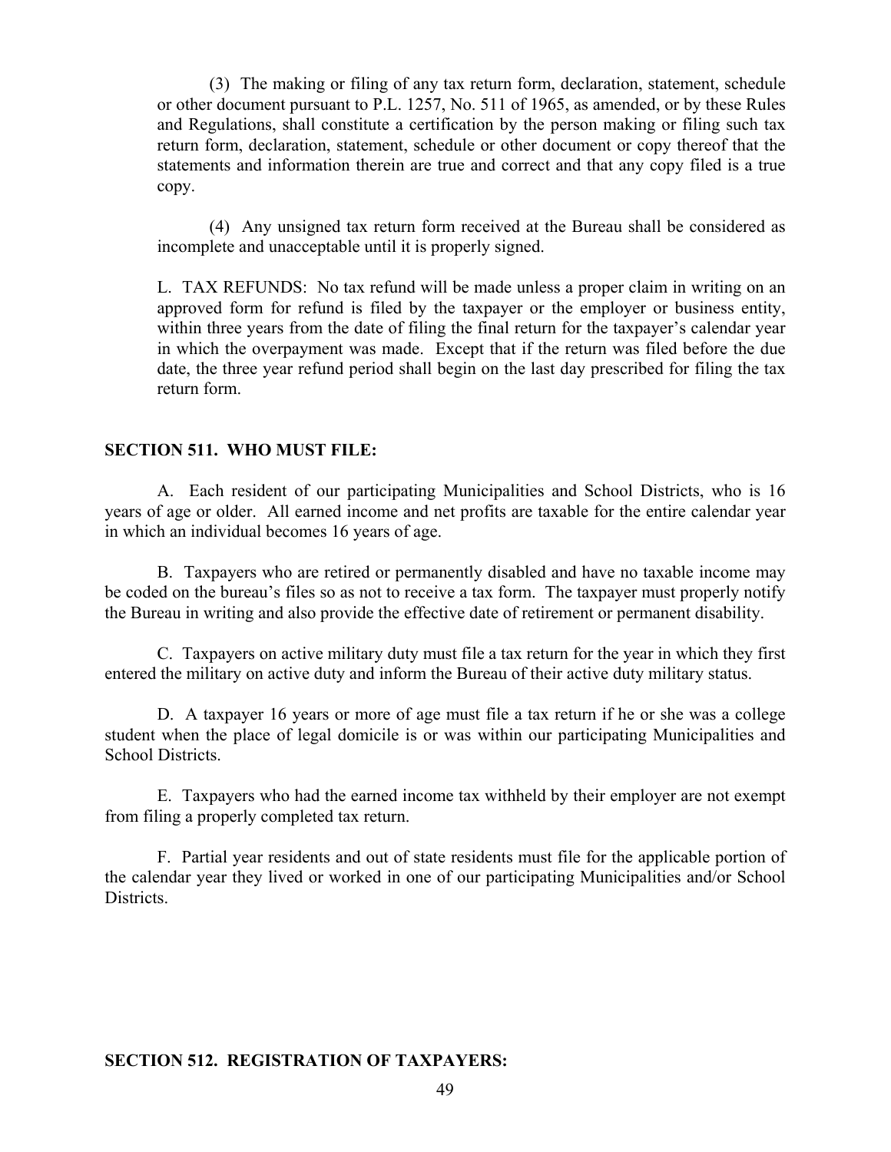(3) The making or filing of any tax return form, declaration, statement, schedule or other document pursuant to P.L. 1257, No. 511 of 1965, as amended, or by these Rules and Regulations, shall constitute a certification by the person making or filing such tax return form, declaration, statement, schedule or other document or copy thereof that the statements and information therein are true and correct and that any copy filed is a true copy.

 (4) Any unsigned tax return form received at the Bureau shall be considered as incomplete and unacceptable until it is properly signed.

 L. TAX REFUNDS: No tax refund will be made unless a proper claim in writing on an approved form for refund is filed by the taxpayer or the employer or business entity, within three years from the date of filing the final return for the taxpayer's calendar year in which the overpayment was made. Except that if the return was filed before the due date, the three year refund period shall begin on the last day prescribed for filing the tax return form.

#### **SECTION 511. WHO MUST FILE:**

 A. Each resident of our participating Municipalities and School Districts, who is 16 years of age or older. All earned income and net profits are taxable for the entire calendar year in which an individual becomes 16 years of age.

 B. Taxpayers who are retired or permanently disabled and have no taxable income may be coded on the bureau's files so as not to receive a tax form. The taxpayer must properly notify the Bureau in writing and also provide the effective date of retirement or permanent disability.

 C. Taxpayers on active military duty must file a tax return for the year in which they first entered the military on active duty and inform the Bureau of their active duty military status.

 D. A taxpayer 16 years or more of age must file a tax return if he or she was a college student when the place of legal domicile is or was within our participating Municipalities and School Districts.

 E. Taxpayers who had the earned income tax withheld by their employer are not exempt from filing a properly completed tax return.

 F. Partial year residents and out of state residents must file for the applicable portion of the calendar year they lived or worked in one of our participating Municipalities and/or School Districts.

## **SECTION 512. REGISTRATION OF TAXPAYERS:**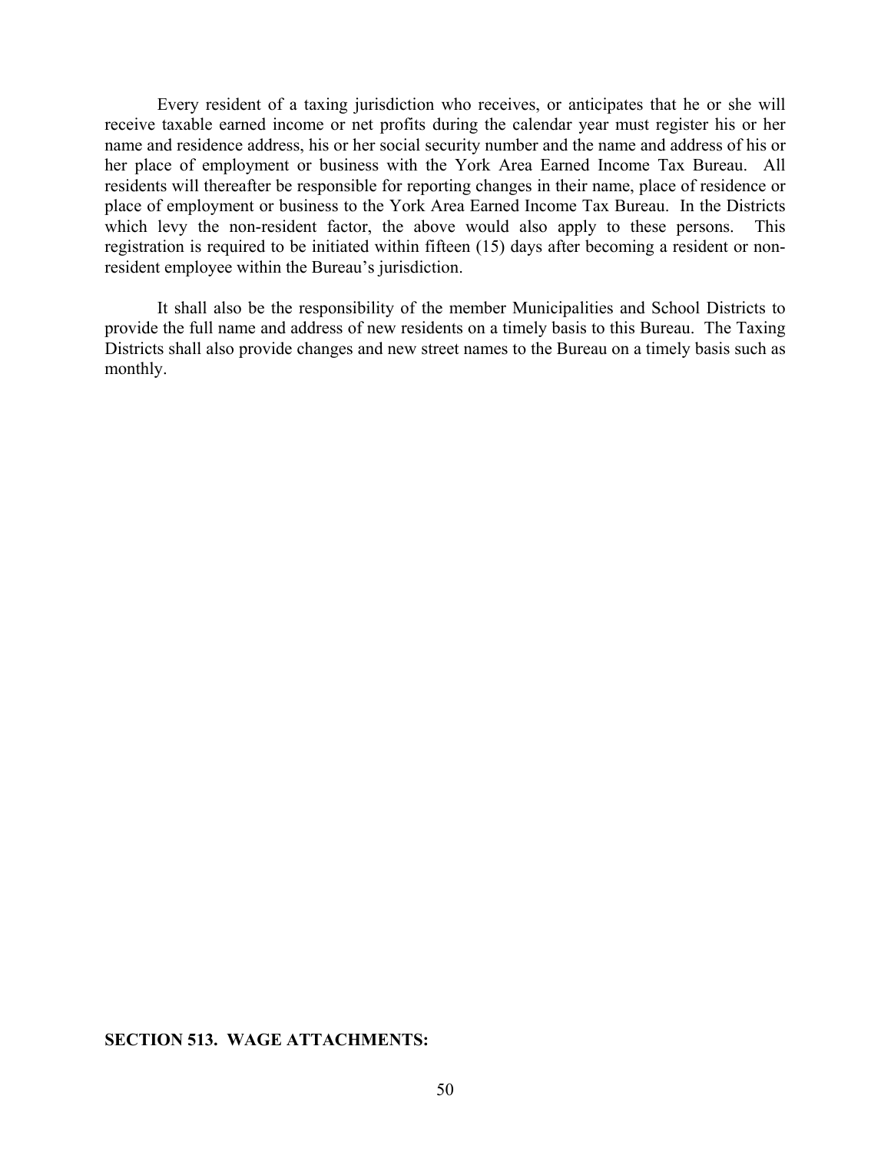Every resident of a taxing jurisdiction who receives, or anticipates that he or she will receive taxable earned income or net profits during the calendar year must register his or her name and residence address, his or her social security number and the name and address of his or her place of employment or business with the York Area Earned Income Tax Bureau. All residents will thereafter be responsible for reporting changes in their name, place of residence or place of employment or business to the York Area Earned Income Tax Bureau. In the Districts which levy the non-resident factor, the above would also apply to these persons. This registration is required to be initiated within fifteen (15) days after becoming a resident or nonresident employee within the Bureau's jurisdiction.

 It shall also be the responsibility of the member Municipalities and School Districts to provide the full name and address of new residents on a timely basis to this Bureau. The Taxing Districts shall also provide changes and new street names to the Bureau on a timely basis such as monthly.

## **SECTION 513. WAGE ATTACHMENTS:**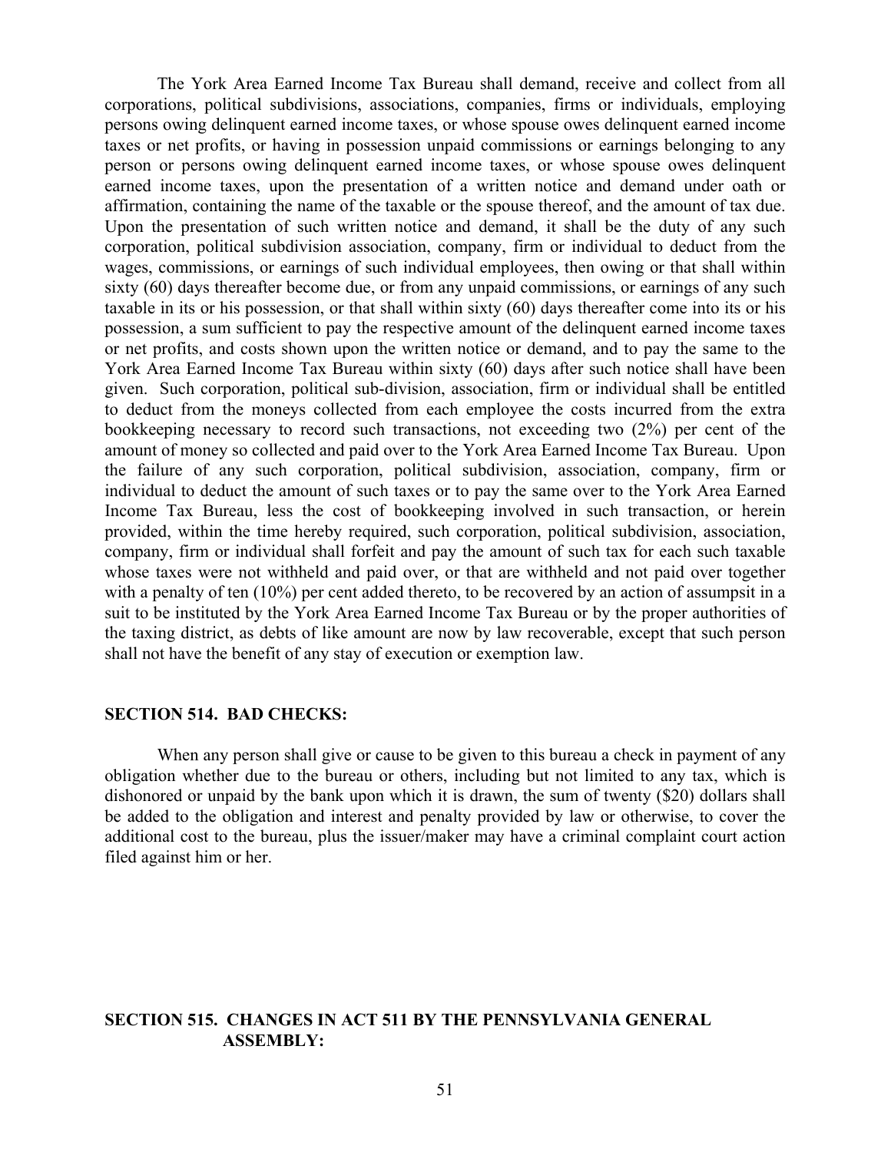The York Area Earned Income Tax Bureau shall demand, receive and collect from all corporations, political subdivisions, associations, companies, firms or individuals, employing persons owing delinquent earned income taxes, or whose spouse owes delinquent earned income taxes or net profits, or having in possession unpaid commissions or earnings belonging to any person or persons owing delinquent earned income taxes, or whose spouse owes delinquent earned income taxes, upon the presentation of a written notice and demand under oath or affirmation, containing the name of the taxable or the spouse thereof, and the amount of tax due. Upon the presentation of such written notice and demand, it shall be the duty of any such corporation, political subdivision association, company, firm or individual to deduct from the wages, commissions, or earnings of such individual employees, then owing or that shall within sixty (60) days thereafter become due, or from any unpaid commissions, or earnings of any such taxable in its or his possession, or that shall within sixty (60) days thereafter come into its or his possession, a sum sufficient to pay the respective amount of the delinquent earned income taxes or net profits, and costs shown upon the written notice or demand, and to pay the same to the York Area Earned Income Tax Bureau within sixty (60) days after such notice shall have been given. Such corporation, political sub-division, association, firm or individual shall be entitled to deduct from the moneys collected from each employee the costs incurred from the extra bookkeeping necessary to record such transactions, not exceeding two (2%) per cent of the amount of money so collected and paid over to the York Area Earned Income Tax Bureau. Upon the failure of any such corporation, political subdivision, association, company, firm or individual to deduct the amount of such taxes or to pay the same over to the York Area Earned Income Tax Bureau, less the cost of bookkeeping involved in such transaction, or herein provided, within the time hereby required, such corporation, political subdivision, association, company, firm or individual shall forfeit and pay the amount of such tax for each such taxable whose taxes were not withheld and paid over, or that are withheld and not paid over together with a penalty of ten (10%) per cent added thereto, to be recovered by an action of assumpsit in a suit to be instituted by the York Area Earned Income Tax Bureau or by the proper authorities of the taxing district, as debts of like amount are now by law recoverable, except that such person shall not have the benefit of any stay of execution or exemption law.

#### **SECTION 514. BAD CHECKS:**

When any person shall give or cause to be given to this bureau a check in payment of any obligation whether due to the bureau or others, including but not limited to any tax, which is dishonored or unpaid by the bank upon which it is drawn, the sum of twenty (\$20) dollars shall be added to the obligation and interest and penalty provided by law or otherwise, to cover the additional cost to the bureau, plus the issuer/maker may have a criminal complaint court action filed against him or her.

## **SECTION 515. CHANGES IN ACT 511 BY THE PENNSYLVANIA GENERAL ASSEMBLY:**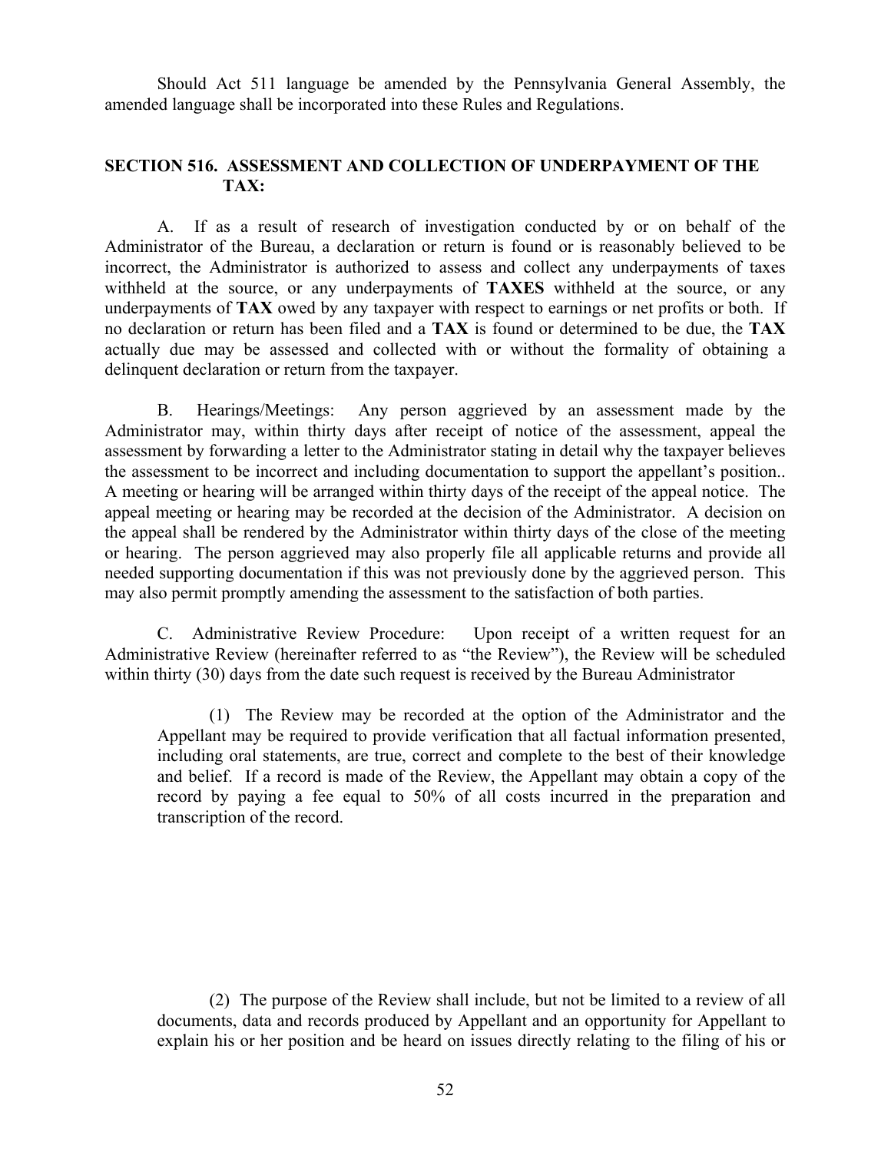Should Act 511 language be amended by the Pennsylvania General Assembly, the amended language shall be incorporated into these Rules and Regulations.

## **SECTION 516. ASSESSMENT AND COLLECTION OF UNDERPAYMENT OF THE TAX:**

 A. If as a result of research of investigation conducted by or on behalf of the Administrator of the Bureau, a declaration or return is found or is reasonably believed to be incorrect, the Administrator is authorized to assess and collect any underpayments of taxes withheld at the source, or any underpayments of **TAXES** withheld at the source, or any underpayments of **TAX** owed by any taxpayer with respect to earnings or net profits or both. If no declaration or return has been filed and a **TAX** is found or determined to be due, the **TAX** actually due may be assessed and collected with or without the formality of obtaining a delinquent declaration or return from the taxpayer.

 B. Hearings/Meetings: Any person aggrieved by an assessment made by the Administrator may, within thirty days after receipt of notice of the assessment, appeal the assessment by forwarding a letter to the Administrator stating in detail why the taxpayer believes the assessment to be incorrect and including documentation to support the appellant's position.. A meeting or hearing will be arranged within thirty days of the receipt of the appeal notice. The appeal meeting or hearing may be recorded at the decision of the Administrator. A decision on the appeal shall be rendered by the Administrator within thirty days of the close of the meeting or hearing. The person aggrieved may also properly file all applicable returns and provide all needed supporting documentation if this was not previously done by the aggrieved person. This may also permit promptly amending the assessment to the satisfaction of both parties.

 C. Administrative Review Procedure: Upon receipt of a written request for an Administrative Review (hereinafter referred to as "the Review"), the Review will be scheduled within thirty (30) days from the date such request is received by the Bureau Administrator

 (1) The Review may be recorded at the option of the Administrator and the Appellant may be required to provide verification that all factual information presented, including oral statements, are true, correct and complete to the best of their knowledge and belief. If a record is made of the Review, the Appellant may obtain a copy of the record by paying a fee equal to 50% of all costs incurred in the preparation and transcription of the record.

 (2) The purpose of the Review shall include, but not be limited to a review of all documents, data and records produced by Appellant and an opportunity for Appellant to explain his or her position and be heard on issues directly relating to the filing of his or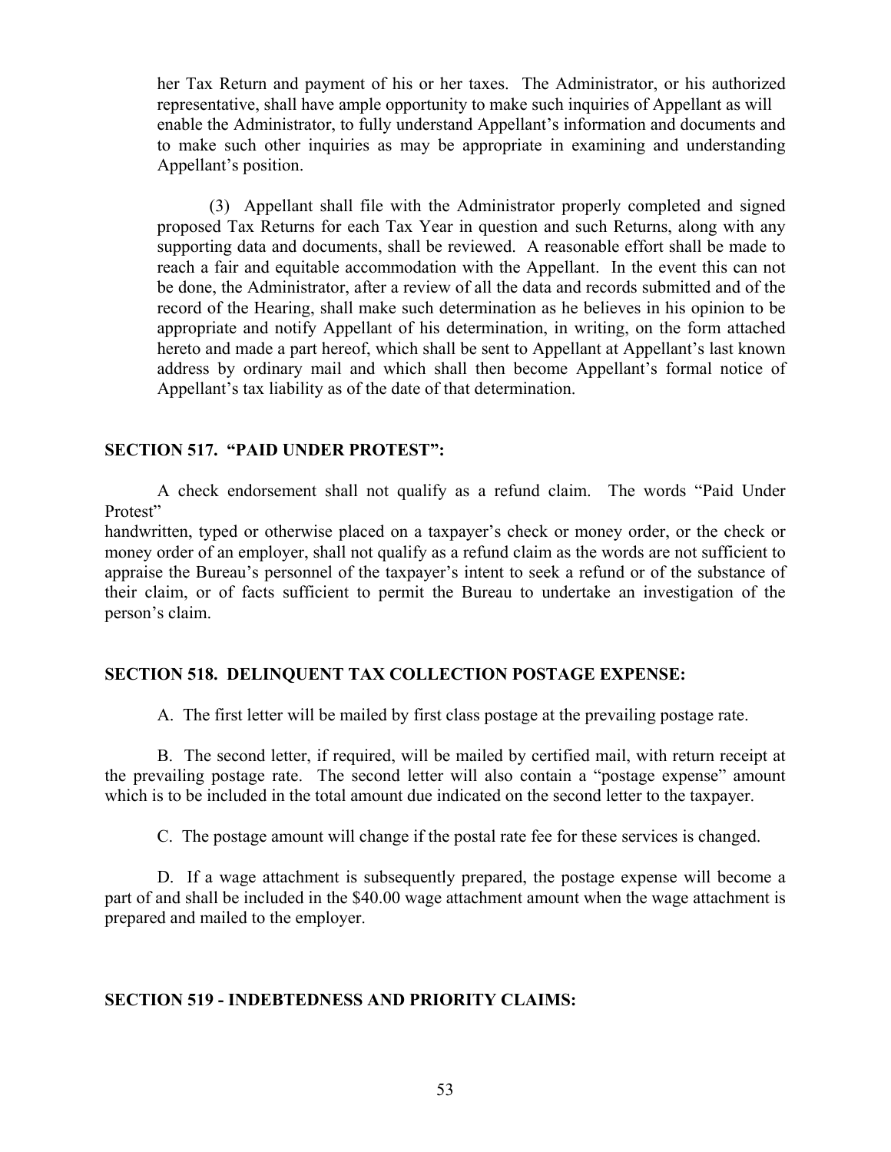her Tax Return and payment of his or her taxes. The Administrator, or his authorized representative, shall have ample opportunity to make such inquiries of Appellant as will enable the Administrator, to fully understand Appellant's information and documents and to make such other inquiries as may be appropriate in examining and understanding Appellant's position.

 (3) Appellant shall file with the Administrator properly completed and signed proposed Tax Returns for each Tax Year in question and such Returns, along with any supporting data and documents, shall be reviewed. A reasonable effort shall be made to reach a fair and equitable accommodation with the Appellant. In the event this can not be done, the Administrator, after a review of all the data and records submitted and of the record of the Hearing, shall make such determination as he believes in his opinion to be appropriate and notify Appellant of his determination, in writing, on the form attached hereto and made a part hereof, which shall be sent to Appellant at Appellant's last known address by ordinary mail and which shall then become Appellant's formal notice of Appellant's tax liability as of the date of that determination.

## **SECTION 517. "PAID UNDER PROTEST":**

A check endorsement shall not qualify as a refund claim. The words "Paid Under Protest"

handwritten, typed or otherwise placed on a taxpayer's check or money order, or the check or money order of an employer, shall not qualify as a refund claim as the words are not sufficient to appraise the Bureau's personnel of the taxpayer's intent to seek a refund or of the substance of their claim, or of facts sufficient to permit the Bureau to undertake an investigation of the person's claim.

## **SECTION 518. DELINQUENT TAX COLLECTION POSTAGE EXPENSE:**

A. The first letter will be mailed by first class postage at the prevailing postage rate.

 B. The second letter, if required, will be mailed by certified mail, with return receipt at the prevailing postage rate. The second letter will also contain a "postage expense" amount which is to be included in the total amount due indicated on the second letter to the taxpayer.

C. The postage amount will change if the postal rate fee for these services is changed.

 D. If a wage attachment is subsequently prepared, the postage expense will become a part of and shall be included in the \$40.00 wage attachment amount when the wage attachment is prepared and mailed to the employer.

## **SECTION 519 - INDEBTEDNESS AND PRIORITY CLAIMS:**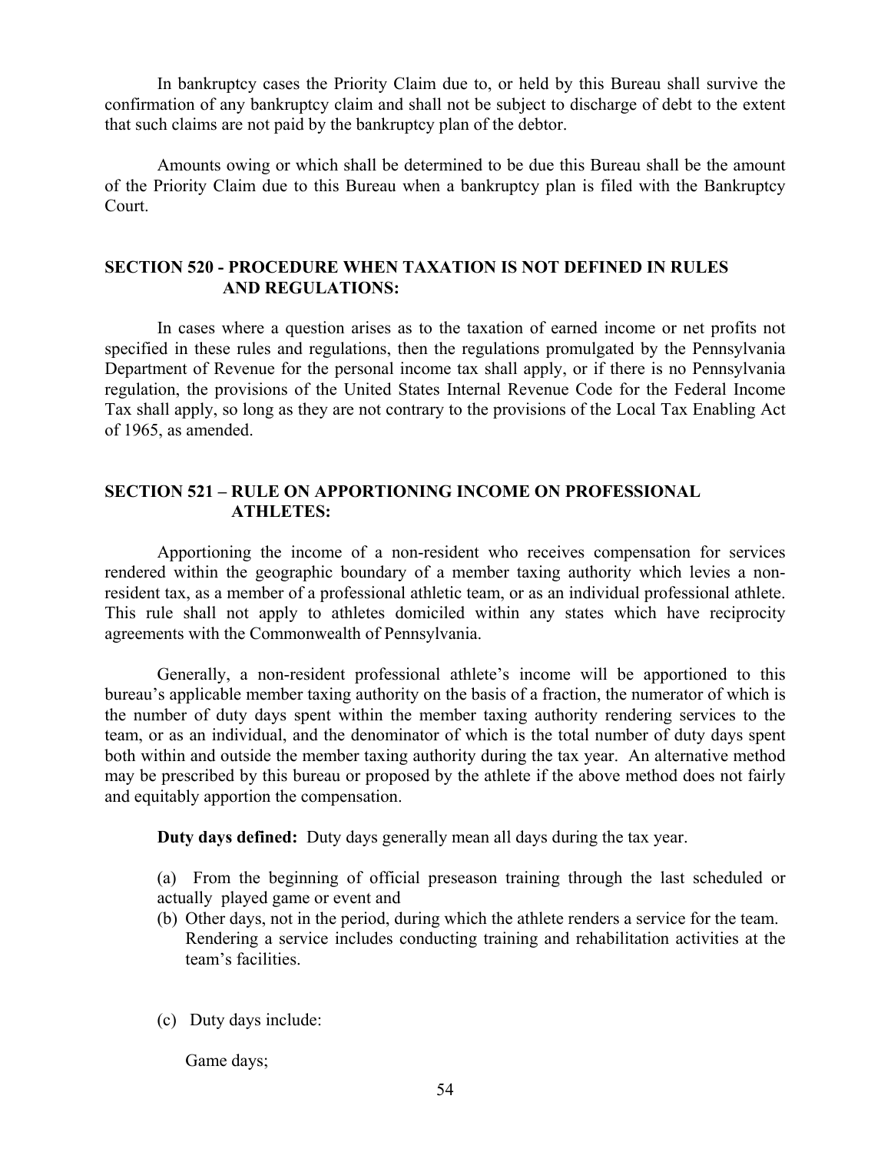In bankruptcy cases the Priority Claim due to, or held by this Bureau shall survive the confirmation of any bankruptcy claim and shall not be subject to discharge of debt to the extent that such claims are not paid by the bankruptcy plan of the debtor.

 Amounts owing or which shall be determined to be due this Bureau shall be the amount of the Priority Claim due to this Bureau when a bankruptcy plan is filed with the Bankruptcy Court.

## **SECTION 520 - PROCEDURE WHEN TAXATION IS NOT DEFINED IN RULES AND REGULATIONS:**

 In cases where a question arises as to the taxation of earned income or net profits not specified in these rules and regulations, then the regulations promulgated by the Pennsylvania Department of Revenue for the personal income tax shall apply, or if there is no Pennsylvania regulation, the provisions of the United States Internal Revenue Code for the Federal Income Tax shall apply, so long as they are not contrary to the provisions of the Local Tax Enabling Act of 1965, as amended.

## **SECTION 521 – RULE ON APPORTIONING INCOME ON PROFESSIONAL ATHLETES:**

 Apportioning the income of a non-resident who receives compensation for services rendered within the geographic boundary of a member taxing authority which levies a nonresident tax, as a member of a professional athletic team, or as an individual professional athlete. This rule shall not apply to athletes domiciled within any states which have reciprocity agreements with the Commonwealth of Pennsylvania.

 Generally, a non-resident professional athlete's income will be apportioned to this bureau's applicable member taxing authority on the basis of a fraction, the numerator of which is the number of duty days spent within the member taxing authority rendering services to the team, or as an individual, and the denominator of which is the total number of duty days spent both within and outside the member taxing authority during the tax year. An alternative method may be prescribed by this bureau or proposed by the athlete if the above method does not fairly and equitably apportion the compensation.

**Duty days defined:** Duty days generally mean all days during the tax year.

(a) From the beginning of official preseason training through the last scheduled or actually played game or event and

- (b) Other days, not in the period, during which the athlete renders a service for the team. Rendering a service includes conducting training and rehabilitation activities at the team's facilities.
- (c) Duty days include:

Game days;